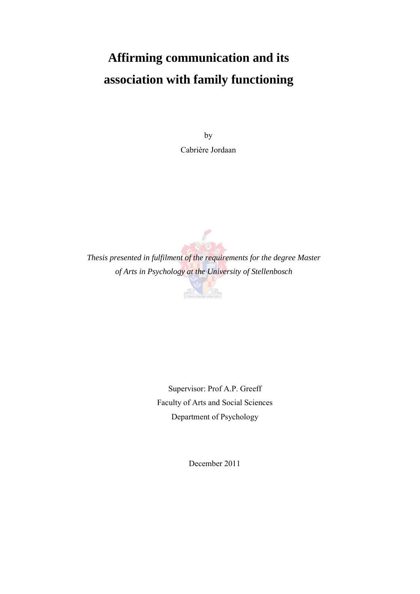# **Affirming communication and its association with family functioning**

by Cabrière Jordaan



*Thesis presented in fulfilment of the requirements for the degree Master of Arts in Psychology at the University of Stellenbosch* 



Supervisor: Prof A.P. Greeff Faculty of Arts and Social Sciences Department of Psychology

December 2011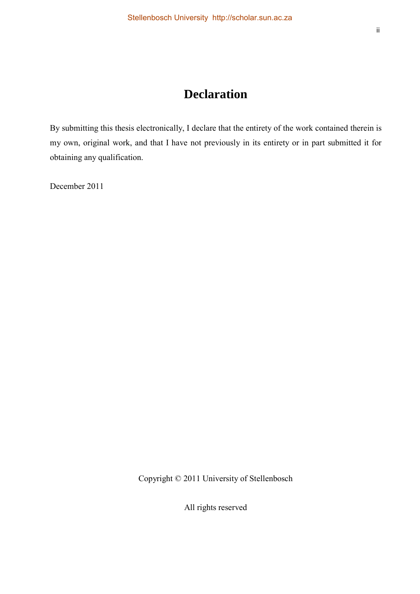# **Declaration**

By submitting this thesis electronically, I declare that the entirety of the work contained therein is my own, original work, and that I have not previously in its entirety or in part submitted it for obtaining any qualification.

December 2011

Copyright © 2011 University of Stellenbosch

All rights reserved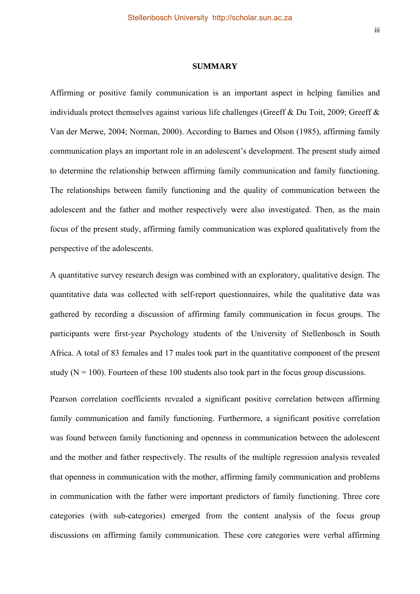#### **SUMMARY**

Affirming or positive family communication is an important aspect in helping families and individuals protect themselves against various life challenges (Greeff & Du Toit, 2009; Greeff & Van der Merwe, 2004; Norman, 2000). According to Barnes and Olson (1985), affirming family communication plays an important role in an adolescent's development. The present study aimed to determine the relationship between affirming family communication and family functioning. The relationships between family functioning and the quality of communication between the adolescent and the father and mother respectively were also investigated. Then, as the main focus of the present study, affirming family communication was explored qualitatively from the perspective of the adolescents.

A quantitative survey research design was combined with an exploratory, qualitative design. The quantitative data was collected with self-report questionnaires, while the qualitative data was gathered by recording a discussion of affirming family communication in focus groups. The participants were first-year Psychology students of the University of Stellenbosch in South Africa. A total of 83 females and 17 males took part in the quantitative component of the present study ( $N = 100$ ). Fourteen of these 100 students also took part in the focus group discussions.

Pearson correlation coefficients revealed a significant positive correlation between affirming family communication and family functioning. Furthermore, a significant positive correlation was found between family functioning and openness in communication between the adolescent and the mother and father respectively. The results of the multiple regression analysis revealed that openness in communication with the mother, affirming family communication and problems in communication with the father were important predictors of family functioning. Three core categories (with sub-categories) emerged from the content analysis of the focus group discussions on affirming family communication. These core categories were verbal affirming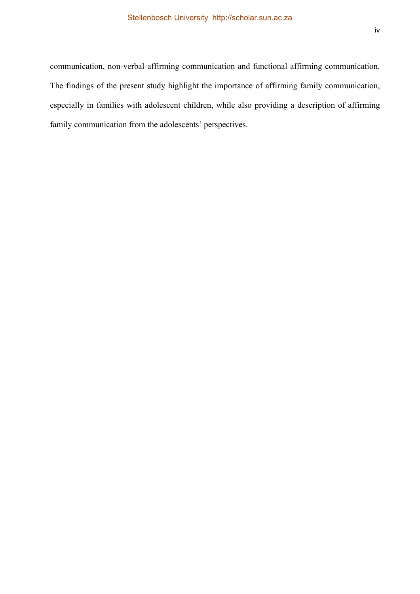communication, non-verbal affirming communication and functional affirming communication. The findings of the present study highlight the importance of affirming family communication, especially in families with adolescent children, while also providing a description of affirming family communication from the adolescents' perspectives.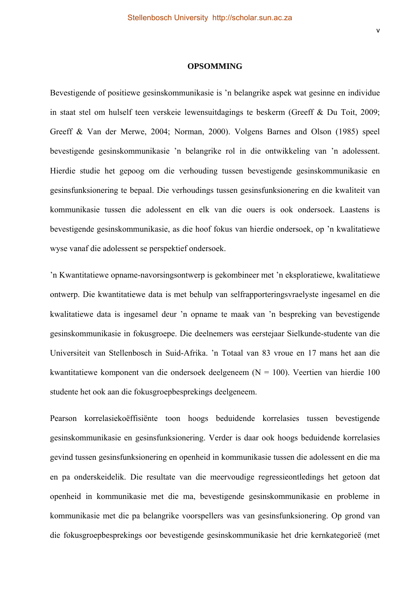#### **OPSOMMING**

Bevestigende of positiewe gesinskommunikasie is 'n belangrike aspek wat gesinne en individue in staat stel om hulself teen verskeie lewensuitdagings te beskerm (Greeff & Du Toit, 2009; Greeff & Van der Merwe, 2004; Norman, 2000). Volgens Barnes and Olson (1985) speel bevestigende gesinskommunikasie 'n belangrike rol in die ontwikkeling van 'n adolessent. Hierdie studie het gepoog om die verhouding tussen bevestigende gesinskommunikasie en gesinsfunksionering te bepaal. Die verhoudings tussen gesinsfunksionering en die kwaliteit van kommunikasie tussen die adolessent en elk van die ouers is ook ondersoek. Laastens is bevestigende gesinskommunikasie, as die hoof fokus van hierdie ondersoek, op 'n kwalitatiewe wyse vanaf die adolessent se perspektief ondersoek.

'n Kwantitatiewe opname-navorsingsontwerp is gekombineer met 'n eksploratiewe, kwalitatiewe ontwerp. Die kwantitatiewe data is met behulp van selfrapporteringsvraelyste ingesamel en die kwalitatiewe data is ingesamel deur 'n opname te maak van 'n bespreking van bevestigende gesinskommunikasie in fokusgroepe. Die deelnemers was eerstejaar Sielkunde-studente van die Universiteit van Stellenbosch in Suid-Afrika. 'n Totaal van 83 vroue en 17 mans het aan die kwantitatiewe komponent van die ondersoek deelgeneem ( $N = 100$ ). Veertien van hierdie 100 studente het ook aan die fokusgroepbesprekings deelgeneem.

Pearson korrelasiekoëffisiënte toon hoogs beduidende korrelasies tussen bevestigende gesinskommunikasie en gesinsfunksionering. Verder is daar ook hoogs beduidende korrelasies gevind tussen gesinsfunksionering en openheid in kommunikasie tussen die adolessent en die ma en pa onderskeidelik. Die resultate van die meervoudige regressieontledings het getoon dat openheid in kommunikasie met die ma, bevestigende gesinskommunikasie en probleme in kommunikasie met die pa belangrike voorspellers was van gesinsfunksionering. Op grond van die fokusgroepbesprekings oor bevestigende gesinskommunikasie het drie kernkategorieë (met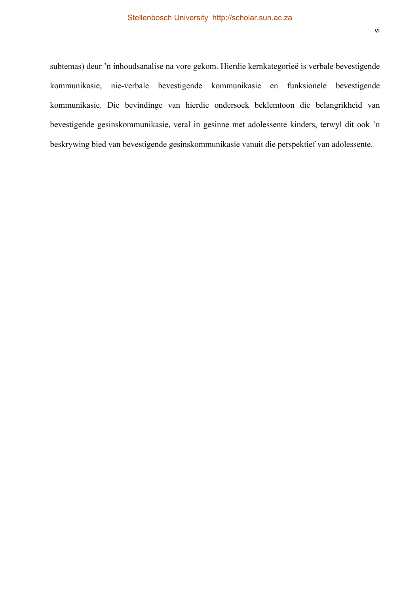subtemas) deur 'n inhoudsanalise na vore gekom. Hierdie kernkategorieë is verbale bevestigende kommunikasie, nie-verbale bevestigende kommunikasie en funksionele bevestigende kommunikasie. Die bevindinge van hierdie ondersoek beklemtoon die belangrikheid van bevestigende gesinskommunikasie, veral in gesinne met adolessente kinders, terwyl dit ook 'n beskrywing bied van bevestigende gesinskommunikasie vanuit die perspektief van adolessente.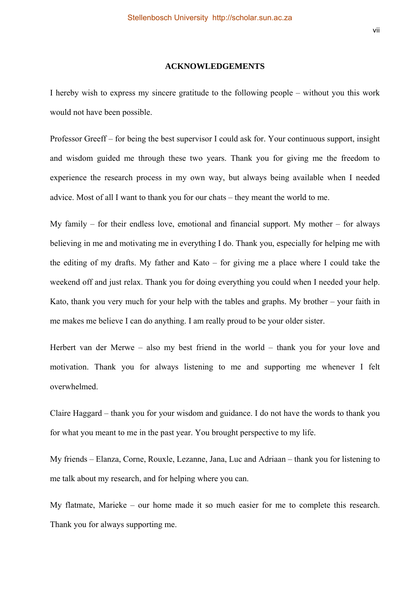#### **ACKNOWLEDGEMENTS**

I hereby wish to express my sincere gratitude to the following people – without you this work would not have been possible.

Professor Greeff – for being the best supervisor I could ask for. Your continuous support, insight and wisdom guided me through these two years. Thank you for giving me the freedom to experience the research process in my own way, but always being available when I needed advice. Most of all I want to thank you for our chats – they meant the world to me.

My family – for their endless love, emotional and financial support. My mother – for always believing in me and motivating me in everything I do. Thank you, especially for helping me with the editing of my drafts. My father and Kato – for giving me a place where I could take the weekend off and just relax. Thank you for doing everything you could when I needed your help. Kato, thank you very much for your help with the tables and graphs. My brother – your faith in me makes me believe I can do anything. I am really proud to be your older sister.

Herbert van der Merwe – also my best friend in the world – thank you for your love and motivation. Thank you for always listening to me and supporting me whenever I felt overwhelmed.

Claire Haggard – thank you for your wisdom and guidance. I do not have the words to thank you for what you meant to me in the past year. You brought perspective to my life.

My friends – Elanza, Corne, Rouxle, Lezanne, Jana, Luc and Adriaan – thank you for listening to me talk about my research, and for helping where you can.

My flatmate, Marieke – our home made it so much easier for me to complete this research. Thank you for always supporting me.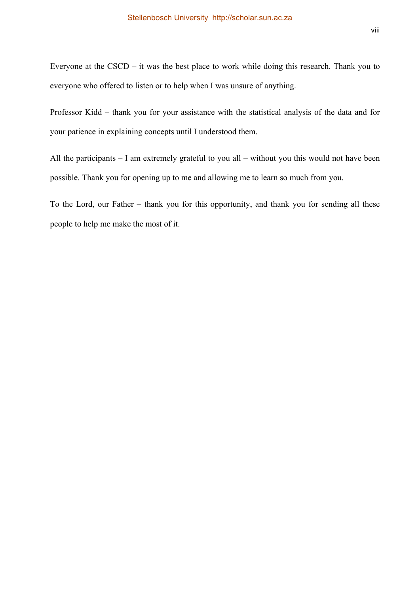Everyone at the CSCD – it was the best place to work while doing this research. Thank you to everyone who offered to listen or to help when I was unsure of anything.

Professor Kidd – thank you for your assistance with the statistical analysis of the data and for your patience in explaining concepts until I understood them.

All the participants – I am extremely grateful to you all – without you this would not have been possible. Thank you for opening up to me and allowing me to learn so much from you.

To the Lord, our Father – thank you for this opportunity, and thank you for sending all these people to help me make the most of it.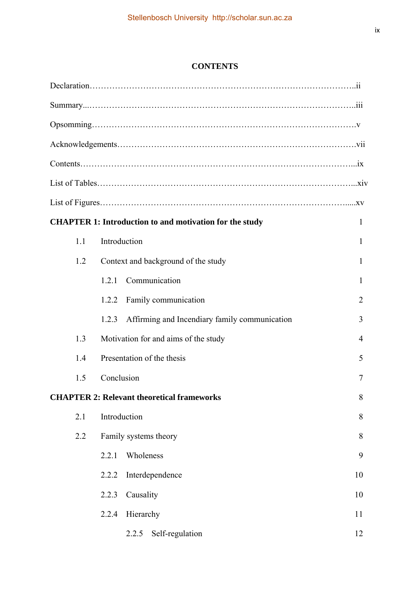# **CONTENTS**

|     | <b>CHAPTER 1: Introduction to and motivation for the study</b> | 1  |
|-----|----------------------------------------------------------------|----|
| 1.1 | Introduction                                                   | 1  |
| 1.2 | Context and background of the study                            | 1  |
|     | Communication<br>1.2.1                                         | 1  |
|     | Family communication<br>1.2.2                                  | 2  |
|     | Affirming and Incendiary family communication<br>1.2.3         | 3  |
| 1.3 | Motivation for and aims of the study                           | 4  |
| 1.4 | Presentation of the thesis                                     | 5  |
| 1.5 | Conclusion                                                     | 7  |
|     | <b>CHAPTER 2: Relevant theoretical frameworks</b>              | 8  |
| 2.1 | Introduction                                                   | 8  |
| 2.2 | Family systems theory                                          | 8  |
|     | 2.2.1<br>Wholeness                                             | 9  |
|     | Interdependence<br>2.2.2                                       | 10 |
|     | 2.2.3<br>Causality                                             | 10 |
|     | 2.2.4<br>Hierarchy                                             | 11 |
|     | 2.2.5<br>Self-regulation                                       | 12 |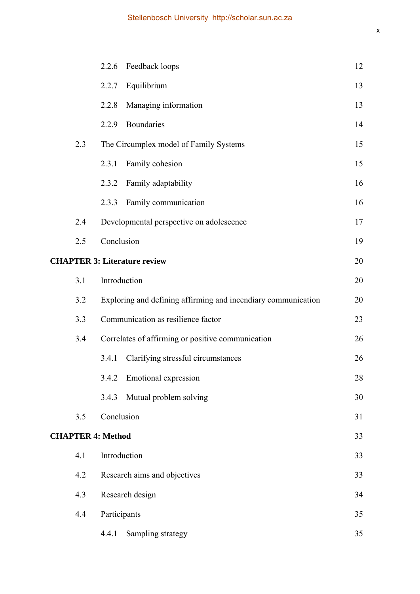|                          | 2.2.6 Feedback loops                                          | 12 |
|--------------------------|---------------------------------------------------------------|----|
|                          | Equilibrium<br>2.2.7                                          | 13 |
|                          | Managing information<br>2.2.8                                 | 13 |
|                          | Boundaries<br>2.2.9                                           | 14 |
| 2.3                      | The Circumplex model of Family Systems                        | 15 |
|                          | Family cohesion<br>2.3.1                                      | 15 |
|                          | Family adaptability<br>2.3.2                                  | 16 |
|                          | Family communication<br>2.3.3                                 | 16 |
| 2.4                      | Developmental perspective on adolescence                      | 17 |
| 2.5                      | Conclusion                                                    | 19 |
|                          | <b>CHAPTER 3: Literature review</b>                           | 20 |
| 3.1                      | Introduction                                                  | 20 |
| 3.2                      | Exploring and defining affirming and incendiary communication | 20 |
| 3.3                      | Communication as resilience factor                            | 23 |
| 3.4                      | Correlates of affirming or positive communication             | 26 |
|                          | Clarifying stressful circumstances<br>3.4.1                   | 26 |
|                          | 3.4.2<br><b>Emotional</b> expression                          | 28 |
|                          | Mutual problem solving<br>3.4.3                               | 30 |
| 3.5                      | Conclusion                                                    | 31 |
| <b>CHAPTER 4: Method</b> |                                                               | 33 |
| 4.1                      | Introduction                                                  | 33 |
| 4.2                      | Research aims and objectives                                  | 33 |
| 4.3                      | Research design                                               | 34 |
| 4.4                      | Participants                                                  | 35 |
|                          | Sampling strategy<br>4.4.1                                    | 35 |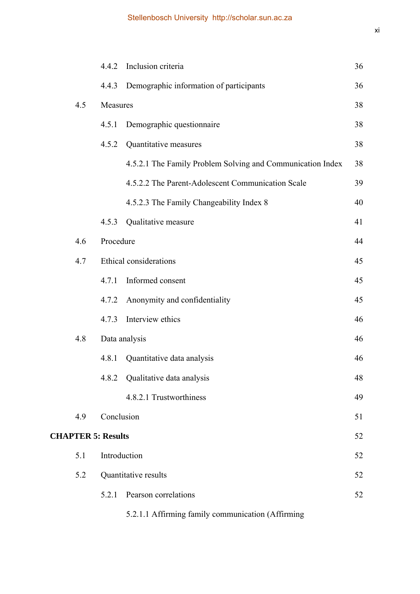|                           | 4.4.2        | Inclusion criteria                                         | 36 |
|---------------------------|--------------|------------------------------------------------------------|----|
|                           | 4.4.3        | Demographic information of participants                    | 36 |
| 4.5                       | Measures     |                                                            |    |
|                           | 4.5.1        | Demographic questionnaire                                  | 38 |
|                           | 4.5.2        | Quantitative measures                                      | 38 |
|                           |              | 4.5.2.1 The Family Problem Solving and Communication Index | 38 |
|                           |              | 4.5.2.2 The Parent-Adolescent Communication Scale          | 39 |
|                           |              | 4.5.2.3 The Family Changeability Index 8                   | 40 |
|                           | 4.5.3        | Qualitative measure                                        | 41 |
| 4.6                       | Procedure    |                                                            | 44 |
| 4.7                       |              | Ethical considerations                                     | 45 |
|                           | 4.7.1        | Informed consent                                           | 45 |
|                           | 4.7.2        | Anonymity and confidentiality                              | 45 |
|                           | 4.7.3        | Interview ethics                                           | 46 |
| 4.8                       |              | Data analysis                                              | 46 |
|                           | 4.8.1        | Quantitative data analysis                                 | 46 |
|                           |              | 4.8.2 Qualitative data analysis                            | 48 |
|                           |              | 4.8.2.1 Trustworthiness                                    | 49 |
| 4.9                       | Conclusion   |                                                            | 51 |
| <b>CHAPTER 5: Results</b> |              |                                                            | 52 |
| 5.1                       | Introduction |                                                            | 52 |
| 5.2                       |              | Quantitative results                                       | 52 |
|                           | 5.2.1        | Pearson correlations                                       | 52 |
|                           |              |                                                            |    |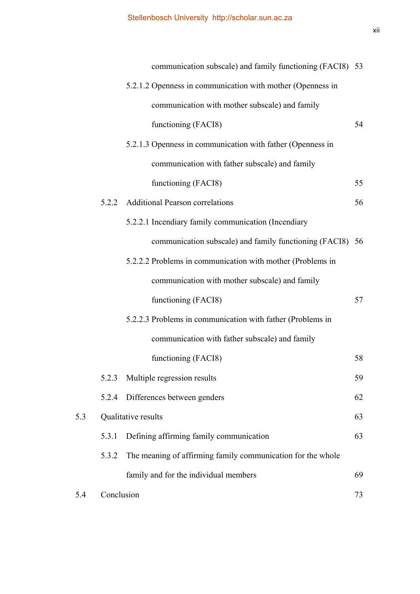|     |            | communication subscale) and family functioning (FACI8) 53   |    |
|-----|------------|-------------------------------------------------------------|----|
|     |            | 5.2.1.2 Openness in communication with mother (Openness in  |    |
|     |            | communication with mother subscale) and family              |    |
|     |            | functioning (FACI8)                                         | 54 |
|     |            | 5.2.1.3 Openness in communication with father (Openness in  |    |
|     |            | communication with father subscale) and family              |    |
|     |            | functioning (FACI8)                                         | 55 |
|     | 5.2.2      | <b>Additional Pearson correlations</b>                      | 56 |
|     |            | 5.2.2.1 Incendiary family communication (Incendiary         |    |
|     |            | communication subscale) and family functioning (FACI8) 56   |    |
|     |            | 5.2.2.2 Problems in communication with mother (Problems in  |    |
|     |            | communication with mother subscale) and family              |    |
|     |            | functioning (FACI8)                                         | 57 |
|     |            | 5.2.2.3 Problems in communication with father (Problems in  |    |
|     |            | communication with father subscale) and family              |    |
|     |            | functioning (FACI8)                                         | 58 |
|     |            | 5.2.3 Multiple regression results                           | 59 |
|     | 5.2.4      | Differences between genders                                 | 62 |
| 5.3 |            | Qualitative results                                         | 63 |
|     | 5.3.1      | Defining affirming family communication                     | 63 |
|     | 5.3.2      | The meaning of affirming family communication for the whole |    |
|     |            | family and for the individual members                       | 69 |
| 5.4 | Conclusion |                                                             | 73 |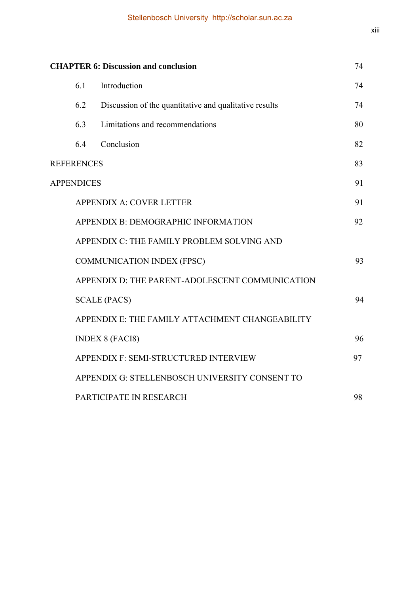| <b>CHAPTER 6: Discussion and conclusion</b>                            |                                                 |                                                        | 74 |
|------------------------------------------------------------------------|-------------------------------------------------|--------------------------------------------------------|----|
|                                                                        | 6.1                                             | Introduction                                           | 74 |
|                                                                        | 6.2                                             | Discussion of the quantitative and qualitative results | 74 |
|                                                                        | 6.3                                             | Limitations and recommendations                        | 80 |
|                                                                        | 6.4                                             | Conclusion                                             | 82 |
|                                                                        | <b>REFERENCES</b>                               |                                                        | 83 |
| 91<br><b>APPENDICES</b><br>91                                          |                                                 |                                                        |    |
| <b>APPENDIX A: COVER LETTER</b><br>APPENDIX B: DEMOGRAPHIC INFORMATION |                                                 |                                                        |    |
|                                                                        |                                                 |                                                        | 92 |
|                                                                        |                                                 | APPENDIX C: THE FAMILY PROBLEM SOLVING AND             |    |
|                                                                        | <b>COMMUNICATION INDEX (FPSC)</b>               |                                                        |    |
|                                                                        | APPENDIX D: THE PARENT-ADOLESCENT COMMUNICATION |                                                        |    |
|                                                                        |                                                 | <b>SCALE (PACS)</b>                                    | 94 |
|                                                                        |                                                 | APPENDIX E: THE FAMILY ATTACHMENT CHANGEABILITY        |    |
|                                                                        |                                                 | <b>INDEX 8 (FACI8)</b>                                 | 96 |
|                                                                        |                                                 | APPENDIX F: SEMI-STRUCTURED INTERVIEW                  | 97 |
|                                                                        |                                                 | APPENDIX G: STELLENBOSCH UNIVERSITY CONSENT TO         |    |
|                                                                        |                                                 | PARTICIPATE IN RESEARCH                                | 98 |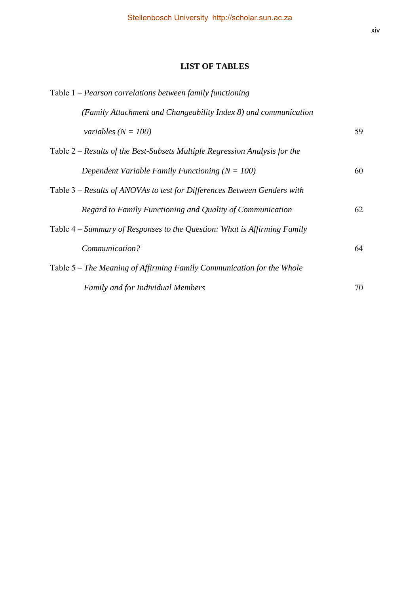# **LIST OF TABLES**

| Table $1$ – Pearson correlations between family functioning                |    |
|----------------------------------------------------------------------------|----|
| (Family Attachment and Changeability Index 8) and communication            |    |
| variables ( $N = 100$ )                                                    | 59 |
| Table 2 – Results of the Best-Subsets Multiple Regression Analysis for the |    |
| Dependent Variable Family Functioning ( $N = 100$ )                        | 60 |
| Table 3 – Results of ANOVAs to test for Differences Between Genders with   |    |
| Regard to Family Functioning and Quality of Communication                  | 62 |
| Table 4 – Summary of Responses to the Question: What is Affirming Family   |    |
| Communication?                                                             | 64 |
| Table 5 – The Meaning of Affirming Family Communication for the Whole      |    |
| Family and for Individual Members                                          | 70 |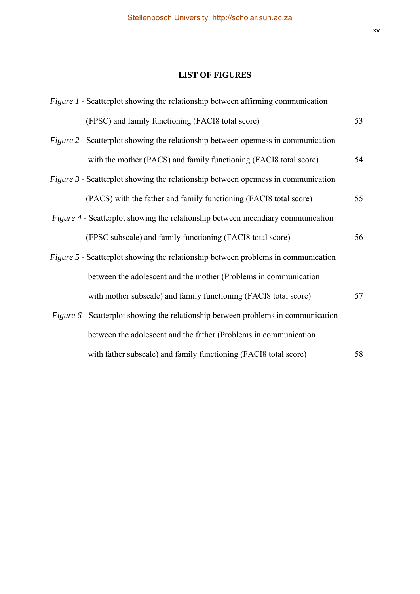# **LIST OF FIGURES**

| <i>Figure 1</i> - Scatterplot showing the relationship between affirming communication   |    |
|------------------------------------------------------------------------------------------|----|
| (FPSC) and family functioning (FACI8 total score)                                        | 53 |
| <i>Figure 2</i> - Scatterplot showing the relationship between openness in communication |    |
| with the mother (PACS) and family functioning (FACI8 total score)                        | 54 |
| <i>Figure 3</i> - Scatterplot showing the relationship between openness in communication |    |
| (PACS) with the father and family functioning (FACI8 total score)                        | 55 |
| <i>Figure 4</i> - Scatterplot showing the relationship between incendiary communication  |    |
| (FPSC subscale) and family functioning (FACI8 total score)                               | 56 |
| <i>Figure 5</i> - Scatterplot showing the relationship between problems in communication |    |
| between the adolescent and the mother (Problems in communication                         |    |
| with mother subscale) and family functioning (FACI8 total score)                         | 57 |
| Figure 6 - Scatterplot showing the relationship between problems in communication        |    |
| between the adolescent and the father (Problems in communication                         |    |
| with father subscale) and family functioning (FACI8 total score)                         | 58 |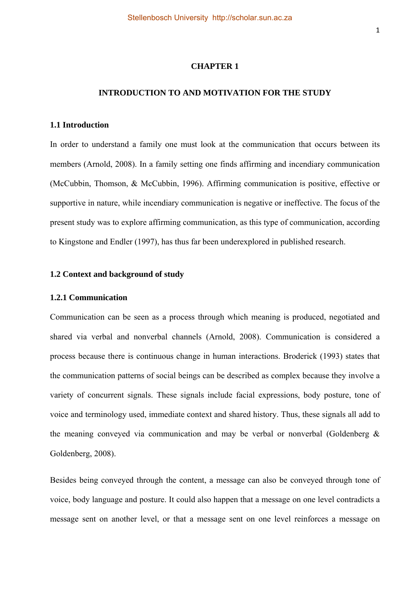#### **CHAPTER 1**

#### **INTRODUCTION TO AND MOTIVATION FOR THE STUDY**

#### **1.1 Introduction**

In order to understand a family one must look at the communication that occurs between its members (Arnold, 2008). In a family setting one finds affirming and incendiary communication (McCubbin, Thomson, & McCubbin, 1996). Affirming communication is positive, effective or supportive in nature, while incendiary communication is negative or ineffective. The focus of the present study was to explore affirming communication, as this type of communication, according to Kingstone and Endler (1997), has thus far been underexplored in published research.

# **1.2 Context and background of study**

#### **1.2.1 Communication**

Communication can be seen as a process through which meaning is produced, negotiated and shared via verbal and nonverbal channels (Arnold, 2008). Communication is considered a process because there is continuous change in human interactions. Broderick (1993) states that the communication patterns of social beings can be described as complex because they involve a variety of concurrent signals. These signals include facial expressions, body posture, tone of voice and terminology used, immediate context and shared history. Thus, these signals all add to the meaning conveyed via communication and may be verbal or nonverbal (Goldenberg & Goldenberg, 2008).

Besides being conveyed through the content, a message can also be conveyed through tone of voice, body language and posture. It could also happen that a message on one level contradicts a message sent on another level, or that a message sent on one level reinforces a message on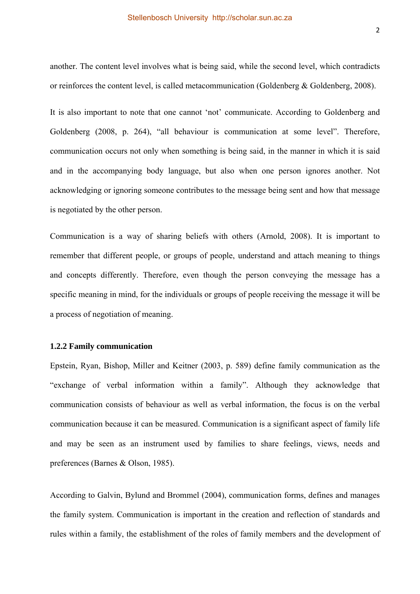another. The content level involves what is being said, while the second level, which contradicts or reinforces the content level, is called metacommunication (Goldenberg & Goldenberg, 2008).

It is also important to note that one cannot 'not' communicate. According to Goldenberg and Goldenberg (2008, p. 264), "all behaviour is communication at some level". Therefore, communication occurs not only when something is being said, in the manner in which it is said and in the accompanying body language, but also when one person ignores another. Not acknowledging or ignoring someone contributes to the message being sent and how that message is negotiated by the other person.

Communication is a way of sharing beliefs with others (Arnold, 2008). It is important to remember that different people, or groups of people, understand and attach meaning to things and concepts differently. Therefore, even though the person conveying the message has a specific meaning in mind, for the individuals or groups of people receiving the message it will be a process of negotiation of meaning.

#### **1.2.2 Family communication**

Epstein, Ryan, Bishop, Miller and Keitner (2003, p. 589) define family communication as the "exchange of verbal information within a family". Although they acknowledge that communication consists of behaviour as well as verbal information, the focus is on the verbal communication because it can be measured. Communication is a significant aspect of family life and may be seen as an instrument used by families to share feelings, views, needs and preferences (Barnes & Olson, 1985).

According to Galvin, Bylund and Brommel (2004), communication forms, defines and manages the family system. Communication is important in the creation and reflection of standards and rules within a family, the establishment of the roles of family members and the development of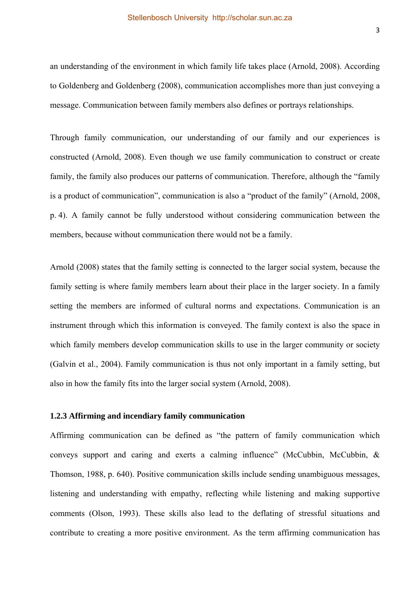an understanding of the environment in which family life takes place (Arnold, 2008). According to Goldenberg and Goldenberg (2008), communication accomplishes more than just conveying a message. Communication between family members also defines or portrays relationships.

Through family communication, our understanding of our family and our experiences is constructed (Arnold, 2008). Even though we use family communication to construct or create family, the family also produces our patterns of communication. Therefore, although the "family is a product of communication", communication is also a "product of the family" (Arnold, 2008, p. 4). A family cannot be fully understood without considering communication between the members, because without communication there would not be a family.

Arnold (2008) states that the family setting is connected to the larger social system, because the family setting is where family members learn about their place in the larger society. In a family setting the members are informed of cultural norms and expectations. Communication is an instrument through which this information is conveyed. The family context is also the space in which family members develop communication skills to use in the larger community or society (Galvin et al., 2004). Family communication is thus not only important in a family setting, but also in how the family fits into the larger social system (Arnold, 2008).

#### **1.2.3 Affirming and incendiary family communication**

Affirming communication can be defined as "the pattern of family communication which conveys support and caring and exerts a calming influence" (McCubbin, McCubbin, & Thomson, 1988, p. 640). Positive communication skills include sending unambiguous messages, listening and understanding with empathy, reflecting while listening and making supportive comments (Olson, 1993). These skills also lead to the deflating of stressful situations and contribute to creating a more positive environment. As the term affirming communication has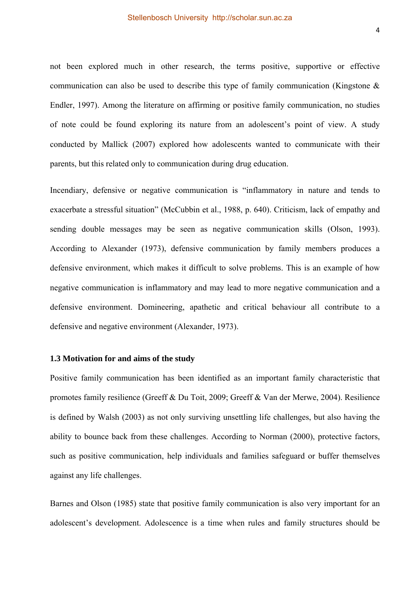not been explored much in other research, the terms positive, supportive or effective communication can also be used to describe this type of family communication (Kingstone & Endler, 1997). Among the literature on affirming or positive family communication, no studies of note could be found exploring its nature from an adolescent's point of view. A study conducted by Mallick (2007) explored how adolescents wanted to communicate with their parents, but this related only to communication during drug education.

Incendiary, defensive or negative communication is "inflammatory in nature and tends to exacerbate a stressful situation" (McCubbin et al., 1988, p. 640). Criticism, lack of empathy and sending double messages may be seen as negative communication skills (Olson, 1993). According to Alexander (1973), defensive communication by family members produces a defensive environment, which makes it difficult to solve problems. This is an example of how negative communication is inflammatory and may lead to more negative communication and a defensive environment. Domineering, apathetic and critical behaviour all contribute to a defensive and negative environment (Alexander, 1973).

#### **1.3 Motivation for and aims of the study**

Positive family communication has been identified as an important family characteristic that promotes family resilience (Greeff & Du Toit, 2009; Greeff & Van der Merwe, 2004). Resilience is defined by Walsh (2003) as not only surviving unsettling life challenges, but also having the ability to bounce back from these challenges. According to Norman (2000), protective factors, such as positive communication, help individuals and families safeguard or buffer themselves against any life challenges.

Barnes and Olson (1985) state that positive family communication is also very important for an adolescent's development. Adolescence is a time when rules and family structures should be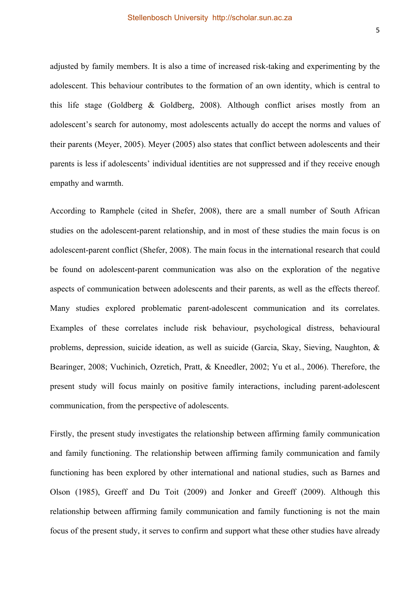adjusted by family members. It is also a time of increased risk-taking and experimenting by the adolescent. This behaviour contributes to the formation of an own identity, which is central to this life stage (Goldberg & Goldberg, 2008). Although conflict arises mostly from an adolescent's search for autonomy, most adolescents actually do accept the norms and values of their parents (Meyer, 2005). Meyer (2005) also states that conflict between adolescents and their parents is less if adolescents' individual identities are not suppressed and if they receive enough empathy and warmth.

According to Ramphele (cited in Shefer, 2008), there are a small number of South African studies on the adolescent-parent relationship, and in most of these studies the main focus is on adolescent-parent conflict (Shefer, 2008). The main focus in the international research that could be found on adolescent-parent communication was also on the exploration of the negative aspects of communication between adolescents and their parents, as well as the effects thereof. Many studies explored problematic parent-adolescent communication and its correlates. Examples of these correlates include risk behaviour, psychological distress, behavioural problems, depression, suicide ideation, as well as suicide (Garcia, Skay, Sieving, Naughton, & Bearinger, 2008; Vuchinich, Ozretich, Pratt, & Kneedler, 2002; Yu et al., 2006). Therefore, the present study will focus mainly on positive family interactions, including parent-adolescent communication, from the perspective of adolescents.

Firstly, the present study investigates the relationship between affirming family communication and family functioning. The relationship between affirming family communication and family functioning has been explored by other international and national studies, such as Barnes and Olson (1985), Greeff and Du Toit (2009) and Jonker and Greeff (2009). Although this relationship between affirming family communication and family functioning is not the main focus of the present study, it serves to confirm and support what these other studies have already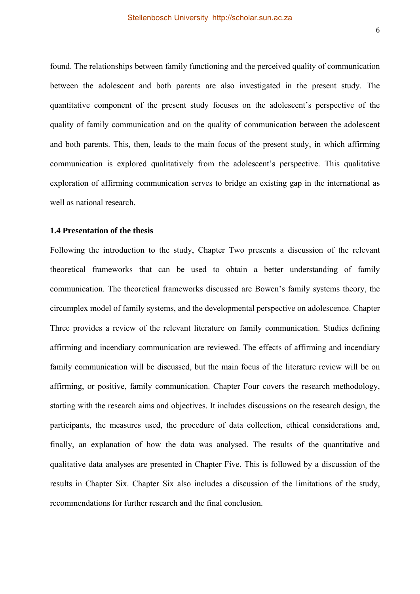found. The relationships between family functioning and the perceived quality of communication between the adolescent and both parents are also investigated in the present study. The quantitative component of the present study focuses on the adolescent's perspective of the quality of family communication and on the quality of communication between the adolescent and both parents. This, then, leads to the main focus of the present study, in which affirming communication is explored qualitatively from the adolescent's perspective. This qualitative exploration of affirming communication serves to bridge an existing gap in the international as well as national research.

# **1.4 Presentation of the thesis**

Following the introduction to the study, Chapter Two presents a discussion of the relevant theoretical frameworks that can be used to obtain a better understanding of family communication. The theoretical frameworks discussed are Bowen's family systems theory, the circumplex model of family systems, and the developmental perspective on adolescence. Chapter Three provides a review of the relevant literature on family communication. Studies defining affirming and incendiary communication are reviewed. The effects of affirming and incendiary family communication will be discussed, but the main focus of the literature review will be on affirming, or positive, family communication. Chapter Four covers the research methodology, starting with the research aims and objectives. It includes discussions on the research design, the participants, the measures used, the procedure of data collection, ethical considerations and, finally, an explanation of how the data was analysed. The results of the quantitative and qualitative data analyses are presented in Chapter Five. This is followed by a discussion of the results in Chapter Six. Chapter Six also includes a discussion of the limitations of the study, recommendations for further research and the final conclusion.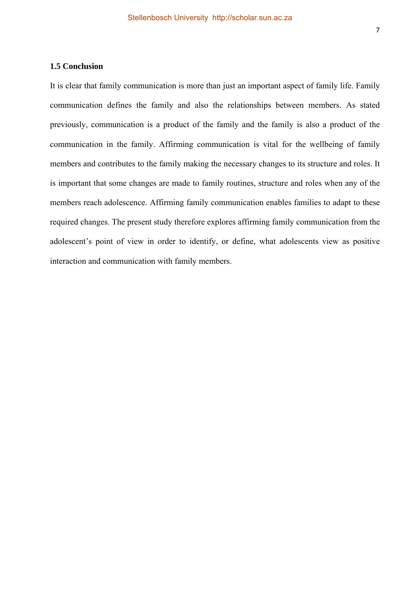# **1.5 Conclusion**

It is clear that family communication is more than just an important aspect of family life. Family communication defines the family and also the relationships between members. As stated previously, communication is a product of the family and the family is also a product of the communication in the family. Affirming communication is vital for the wellbeing of family members and contributes to the family making the necessary changes to its structure and roles. It is important that some changes are made to family routines, structure and roles when any of the members reach adolescence. Affirming family communication enables families to adapt to these required changes. The present study therefore explores affirming family communication from the adolescent's point of view in order to identify, or define, what adolescents view as positive interaction and communication with family members.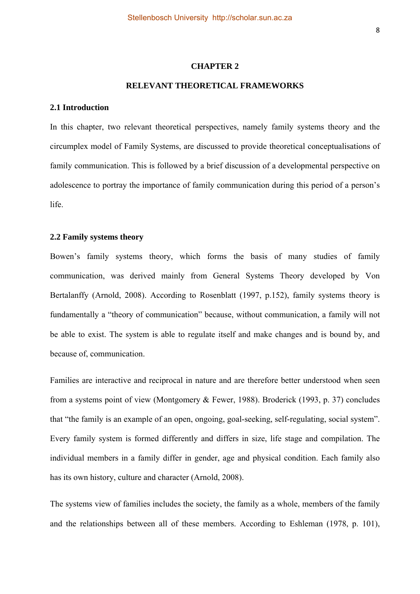#### **CHAPTER 2**

#### **RELEVANT THEORETICAL FRAMEWORKS**

#### **2.1 Introduction**

In this chapter, two relevant theoretical perspectives, namely family systems theory and the circumplex model of Family Systems, are discussed to provide theoretical conceptualisations of family communication. This is followed by a brief discussion of a developmental perspective on adolescence to portray the importance of family communication during this period of a person's life.

#### **2.2 Family systems theory**

Bowen's family systems theory, which forms the basis of many studies of family communication, was derived mainly from General Systems Theory developed by Von Bertalanffy (Arnold, 2008). According to Rosenblatt (1997, p.152), family systems theory is fundamentally a "theory of communication" because, without communication, a family will not be able to exist. The system is able to regulate itself and make changes and is bound by, and because of, communication.

Families are interactive and reciprocal in nature and are therefore better understood when seen from a systems point of view (Montgomery & Fewer, 1988). Broderick (1993, p. 37) concludes that "the family is an example of an open, ongoing, goal-seeking, self-regulating, social system". Every family system is formed differently and differs in size, life stage and compilation. The individual members in a family differ in gender, age and physical condition. Each family also has its own history, culture and character (Arnold, 2008).

The systems view of families includes the society, the family as a whole, members of the family and the relationships between all of these members. According to Eshleman (1978, p. 101),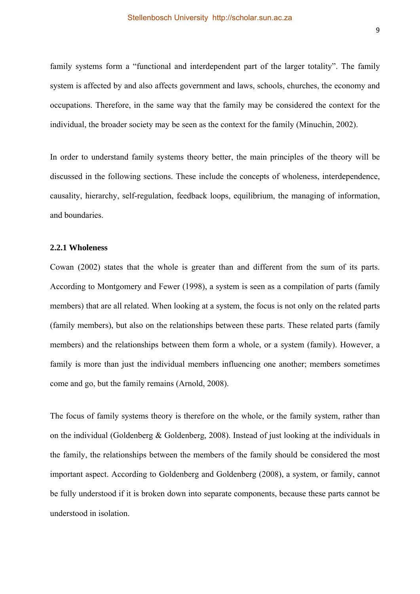family systems form a "functional and interdependent part of the larger totality". The family system is affected by and also affects government and laws, schools, churches, the economy and occupations. Therefore, in the same way that the family may be considered the context for the individual, the broader society may be seen as the context for the family (Minuchin, 2002).

In order to understand family systems theory better, the main principles of the theory will be discussed in the following sections. These include the concepts of wholeness, interdependence, causality, hierarchy, self-regulation, feedback loops, equilibrium, the managing of information, and boundaries.

#### **2.2.1 Wholeness**

Cowan (2002) states that the whole is greater than and different from the sum of its parts. According to Montgomery and Fewer (1998), a system is seen as a compilation of parts (family members) that are all related. When looking at a system, the focus is not only on the related parts (family members), but also on the relationships between these parts. These related parts (family members) and the relationships between them form a whole, or a system (family). However, a family is more than just the individual members influencing one another; members sometimes come and go, but the family remains (Arnold, 2008).

The focus of family systems theory is therefore on the whole, or the family system, rather than on the individual (Goldenberg & Goldenberg, 2008). Instead of just looking at the individuals in the family, the relationships between the members of the family should be considered the most important aspect. According to Goldenberg and Goldenberg (2008), a system, or family, cannot be fully understood if it is broken down into separate components, because these parts cannot be understood in isolation.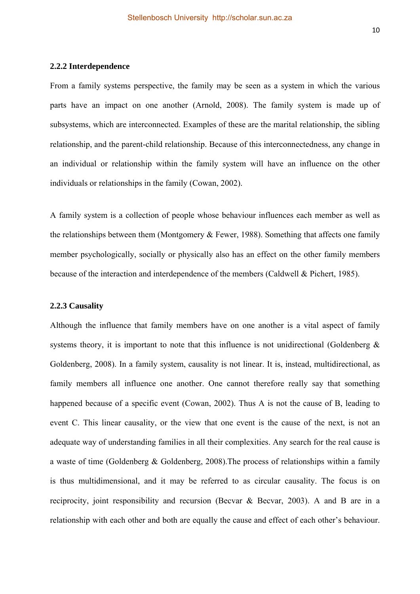#### **2.2.2 Interdependence**

From a family systems perspective, the family may be seen as a system in which the various parts have an impact on one another (Arnold, 2008). The family system is made up of subsystems, which are interconnected. Examples of these are the marital relationship, the sibling relationship, and the parent-child relationship. Because of this interconnectedness, any change in an individual or relationship within the family system will have an influence on the other individuals or relationships in the family (Cowan, 2002).

A family system is a collection of people whose behaviour influences each member as well as the relationships between them (Montgomery & Fewer, 1988). Something that affects one family member psychologically, socially or physically also has an effect on the other family members because of the interaction and interdependence of the members (Caldwell & Pichert, 1985).

# **2.2.3 Causality**

Although the influence that family members have on one another is a vital aspect of family systems theory, it is important to note that this influence is not unidirectional (Goldenberg  $\&$ Goldenberg, 2008). In a family system, causality is not linear. It is, instead, multidirectional, as family members all influence one another. One cannot therefore really say that something happened because of a specific event (Cowan, 2002). Thus A is not the cause of B, leading to event C. This linear causality, or the view that one event is the cause of the next, is not an adequate way of understanding families in all their complexities. Any search for the real cause is a waste of time (Goldenberg & Goldenberg, 2008).The process of relationships within a family is thus multidimensional, and it may be referred to as circular causality. The focus is on reciprocity, joint responsibility and recursion (Becvar & Becvar, 2003). A and B are in a relationship with each other and both are equally the cause and effect of each other's behaviour.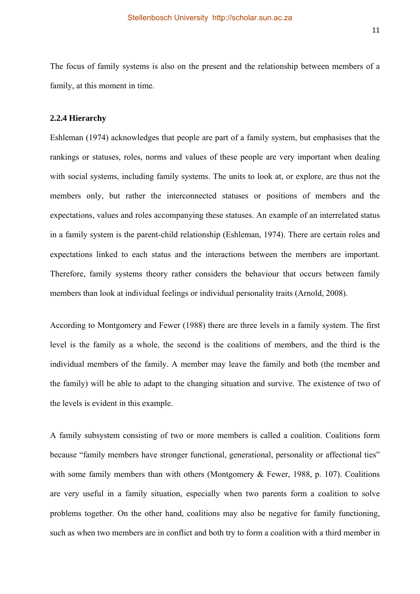The focus of family systems is also on the present and the relationship between members of a family, at this moment in time.

#### **2.2.4 Hierarchy**

Eshleman (1974) acknowledges that people are part of a family system, but emphasises that the rankings or statuses, roles, norms and values of these people are very important when dealing with social systems, including family systems. The units to look at, or explore, are thus not the members only, but rather the interconnected statuses or positions of members and the expectations, values and roles accompanying these statuses. An example of an interrelated status in a family system is the parent-child relationship (Eshleman, 1974). There are certain roles and expectations linked to each status and the interactions between the members are important. Therefore, family systems theory rather considers the behaviour that occurs between family members than look at individual feelings or individual personality traits (Arnold, 2008).

According to Montgomery and Fewer (1988) there are three levels in a family system. The first level is the family as a whole, the second is the coalitions of members, and the third is the individual members of the family. A member may leave the family and both (the member and the family) will be able to adapt to the changing situation and survive. The existence of two of the levels is evident in this example.

A family subsystem consisting of two or more members is called a coalition. Coalitions form because "family members have stronger functional, generational, personality or affectional ties" with some family members than with others (Montgomery & Fewer, 1988, p. 107). Coalitions are very useful in a family situation, especially when two parents form a coalition to solve problems together. On the other hand, coalitions may also be negative for family functioning, such as when two members are in conflict and both try to form a coalition with a third member in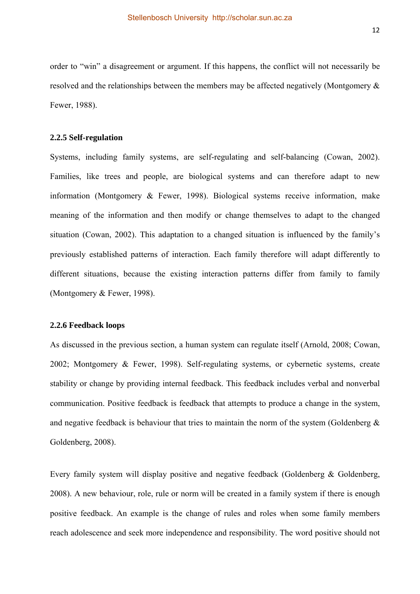order to "win" a disagreement or argument. If this happens, the conflict will not necessarily be resolved and the relationships between the members may be affected negatively (Montgomery & Fewer, 1988).

#### **2.2.5 Self-regulation**

Systems, including family systems, are self-regulating and self-balancing (Cowan, 2002). Families, like trees and people, are biological systems and can therefore adapt to new information (Montgomery & Fewer, 1998). Biological systems receive information, make meaning of the information and then modify or change themselves to adapt to the changed situation (Cowan, 2002). This adaptation to a changed situation is influenced by the family's previously established patterns of interaction. Each family therefore will adapt differently to different situations, because the existing interaction patterns differ from family to family (Montgomery & Fewer, 1998).

#### **2.2.6 Feedback loops**

As discussed in the previous section, a human system can regulate itself (Arnold, 2008; Cowan, 2002; Montgomery & Fewer, 1998). Self-regulating systems, or cybernetic systems, create stability or change by providing internal feedback. This feedback includes verbal and nonverbal communication. Positive feedback is feedback that attempts to produce a change in the system, and negative feedback is behaviour that tries to maintain the norm of the system (Goldenberg  $\&$ Goldenberg, 2008).

Every family system will display positive and negative feedback (Goldenberg  $\&$  Goldenberg, 2008). A new behaviour, role, rule or norm will be created in a family system if there is enough positive feedback. An example is the change of rules and roles when some family members reach adolescence and seek more independence and responsibility. The word positive should not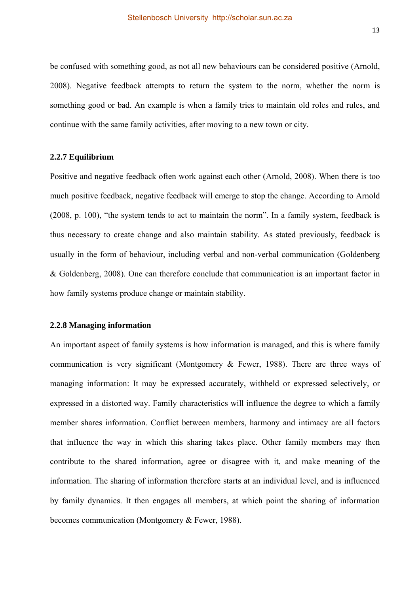be confused with something good, as not all new behaviours can be considered positive (Arnold, 2008). Negative feedback attempts to return the system to the norm, whether the norm is something good or bad. An example is when a family tries to maintain old roles and rules, and continue with the same family activities, after moving to a new town or city.

#### **2.2.7 Equilibrium**

Positive and negative feedback often work against each other (Arnold, 2008). When there is too much positive feedback, negative feedback will emerge to stop the change. According to Arnold (2008, p. 100), "the system tends to act to maintain the norm". In a family system, feedback is thus necessary to create change and also maintain stability. As stated previously, feedback is usually in the form of behaviour, including verbal and non-verbal communication (Goldenberg & Goldenberg, 2008). One can therefore conclude that communication is an important factor in how family systems produce change or maintain stability.

# **2.2.8 Managing information**

An important aspect of family systems is how information is managed, and this is where family communication is very significant (Montgomery & Fewer, 1988). There are three ways of managing information: It may be expressed accurately, withheld or expressed selectively, or expressed in a distorted way. Family characteristics will influence the degree to which a family member shares information. Conflict between members, harmony and intimacy are all factors that influence the way in which this sharing takes place. Other family members may then contribute to the shared information, agree or disagree with it, and make meaning of the information. The sharing of information therefore starts at an individual level, and is influenced by family dynamics. It then engages all members, at which point the sharing of information becomes communication (Montgomery & Fewer, 1988).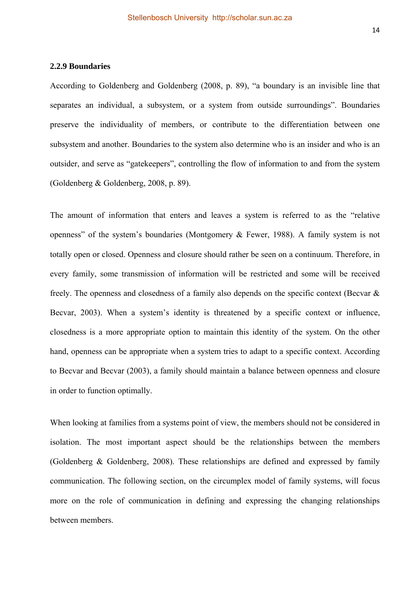#### **2.2.9 Boundaries**

According to Goldenberg and Goldenberg (2008, p. 89), "a boundary is an invisible line that separates an individual, a subsystem, or a system from outside surroundings". Boundaries preserve the individuality of members, or contribute to the differentiation between one subsystem and another. Boundaries to the system also determine who is an insider and who is an outsider, and serve as "gatekeepers", controlling the flow of information to and from the system (Goldenberg & Goldenberg, 2008, p. 89).

The amount of information that enters and leaves a system is referred to as the "relative openness" of the system's boundaries (Montgomery & Fewer, 1988). A family system is not totally open or closed. Openness and closure should rather be seen on a continuum. Therefore, in every family, some transmission of information will be restricted and some will be received freely. The openness and closedness of a family also depends on the specific context (Becvar & Becvar, 2003). When a system's identity is threatened by a specific context or influence, closedness is a more appropriate option to maintain this identity of the system. On the other hand, openness can be appropriate when a system tries to adapt to a specific context. According to Becvar and Becvar (2003), a family should maintain a balance between openness and closure in order to function optimally.

When looking at families from a systems point of view, the members should not be considered in isolation. The most important aspect should be the relationships between the members (Goldenberg & Goldenberg, 2008). These relationships are defined and expressed by family communication. The following section, on the circumplex model of family systems, will focus more on the role of communication in defining and expressing the changing relationships between members.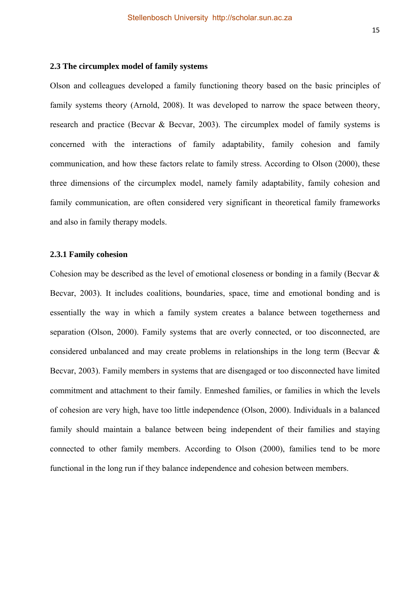#### **2.3 The circumplex model of family systems**

Olson and colleagues developed a family functioning theory based on the basic principles of family systems theory (Arnold, 2008). It was developed to narrow the space between theory, research and practice (Becvar & Becvar, 2003). The circumplex model of family systems is concerned with the interactions of family adaptability, family cohesion and family communication, and how these factors relate to family stress. According to Olson (2000), these three dimensions of the circumplex model, namely family adaptability, family cohesion and family communication, are often considered very significant in theoretical family frameworks and also in family therapy models.

#### **2.3.1 Family cohesion**

Cohesion may be described as the level of emotional closeness or bonding in a family (Becvar & Becvar, 2003). It includes coalitions, boundaries, space, time and emotional bonding and is essentially the way in which a family system creates a balance between togetherness and separation (Olson, 2000). Family systems that are overly connected, or too disconnected, are considered unbalanced and may create problems in relationships in the long term (Becvar & Becvar, 2003). Family members in systems that are disengaged or too disconnected have limited commitment and attachment to their family. Enmeshed families, or families in which the levels of cohesion are very high, have too little independence (Olson, 2000). Individuals in a balanced family should maintain a balance between being independent of their families and staying connected to other family members. According to Olson (2000), families tend to be more functional in the long run if they balance independence and cohesion between members.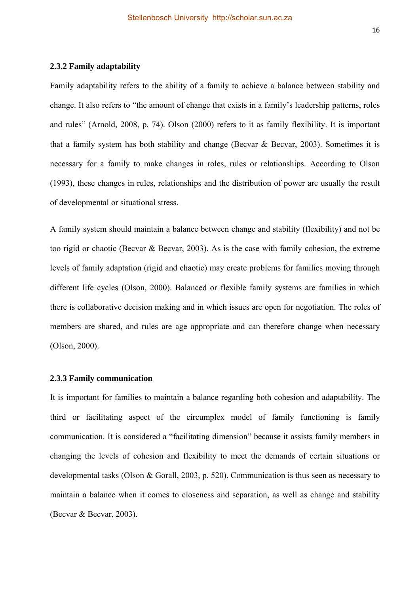#### **2.3.2 Family adaptability**

Family adaptability refers to the ability of a family to achieve a balance between stability and change. It also refers to "the amount of change that exists in a family's leadership patterns, roles and rules" (Arnold, 2008, p. 74). Olson (2000) refers to it as family flexibility. It is important that a family system has both stability and change (Becvar  $\&$  Becvar, 2003). Sometimes it is necessary for a family to make changes in roles, rules or relationships. According to Olson (1993), these changes in rules, relationships and the distribution of power are usually the result of developmental or situational stress.

A family system should maintain a balance between change and stability (flexibility) and not be too rigid or chaotic (Becvar & Becvar, 2003). As is the case with family cohesion, the extreme levels of family adaptation (rigid and chaotic) may create problems for families moving through different life cycles (Olson, 2000). Balanced or flexible family systems are families in which there is collaborative decision making and in which issues are open for negotiation. The roles of members are shared, and rules are age appropriate and can therefore change when necessary (Olson, 2000).

#### **2.3.3 Family communication**

It is important for families to maintain a balance regarding both cohesion and adaptability. The third or facilitating aspect of the circumplex model of family functioning is family communication. It is considered a "facilitating dimension" because it assists family members in changing the levels of cohesion and flexibility to meet the demands of certain situations or developmental tasks (Olson & Gorall, 2003, p. 520). Communication is thus seen as necessary to maintain a balance when it comes to closeness and separation, as well as change and stability (Becvar & Becvar, 2003).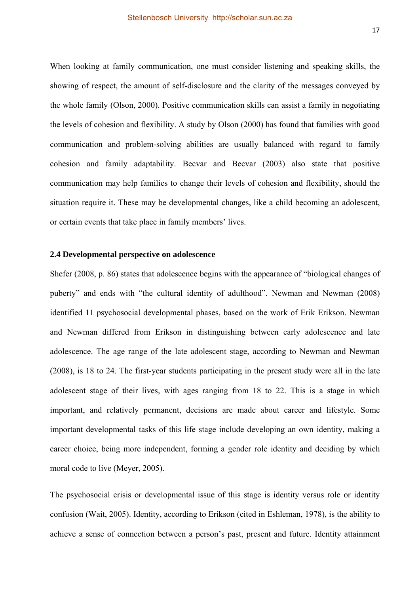When looking at family communication, one must consider listening and speaking skills, the showing of respect, the amount of self-disclosure and the clarity of the messages conveyed by the whole family (Olson, 2000). Positive communication skills can assist a family in negotiating the levels of cohesion and flexibility. A study by Olson (2000) has found that families with good communication and problem-solving abilities are usually balanced with regard to family cohesion and family adaptability. Becvar and Becvar (2003) also state that positive communication may help families to change their levels of cohesion and flexibility, should the situation require it. These may be developmental changes, like a child becoming an adolescent, or certain events that take place in family members' lives.

#### **2.4 Developmental perspective on adolescence**

Shefer (2008, p. 86) states that adolescence begins with the appearance of "biological changes of puberty" and ends with "the cultural identity of adulthood". Newman and Newman (2008) identified 11 psychosocial developmental phases, based on the work of Erik Erikson. Newman and Newman differed from Erikson in distinguishing between early adolescence and late adolescence. The age range of the late adolescent stage, according to Newman and Newman (2008), is 18 to 24. The first-year students participating in the present study were all in the late adolescent stage of their lives, with ages ranging from 18 to 22. This is a stage in which important, and relatively permanent, decisions are made about career and lifestyle. Some important developmental tasks of this life stage include developing an own identity, making a career choice, being more independent, forming a gender role identity and deciding by which moral code to live (Meyer, 2005).

The psychosocial crisis or developmental issue of this stage is identity versus role or identity confusion (Wait, 2005). Identity, according to Erikson (cited in Eshleman, 1978), is the ability to achieve a sense of connection between a person's past, present and future. Identity attainment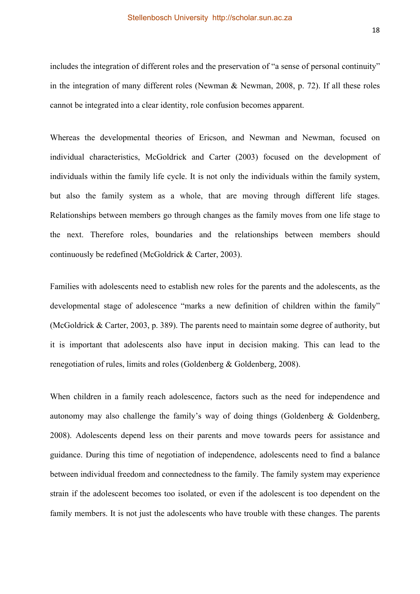includes the integration of different roles and the preservation of "a sense of personal continuity" in the integration of many different roles (Newman & Newman, 2008, p. 72). If all these roles cannot be integrated into a clear identity, role confusion becomes apparent.

Whereas the developmental theories of Ericson, and Newman and Newman, focused on individual characteristics, McGoldrick and Carter (2003) focused on the development of individuals within the family life cycle. It is not only the individuals within the family system, but also the family system as a whole, that are moving through different life stages. Relationships between members go through changes as the family moves from one life stage to the next. Therefore roles, boundaries and the relationships between members should continuously be redefined (McGoldrick & Carter, 2003).

Families with adolescents need to establish new roles for the parents and the adolescents, as the developmental stage of adolescence "marks a new definition of children within the family" (McGoldrick & Carter, 2003, p. 389). The parents need to maintain some degree of authority, but it is important that adolescents also have input in decision making. This can lead to the renegotiation of rules, limits and roles (Goldenberg & Goldenberg, 2008).

When children in a family reach adolescence, factors such as the need for independence and autonomy may also challenge the family's way of doing things (Goldenberg  $\&$  Goldenberg, 2008). Adolescents depend less on their parents and move towards peers for assistance and guidance. During this time of negotiation of independence, adolescents need to find a balance between individual freedom and connectedness to the family. The family system may experience strain if the adolescent becomes too isolated, or even if the adolescent is too dependent on the family members. It is not just the adolescents who have trouble with these changes. The parents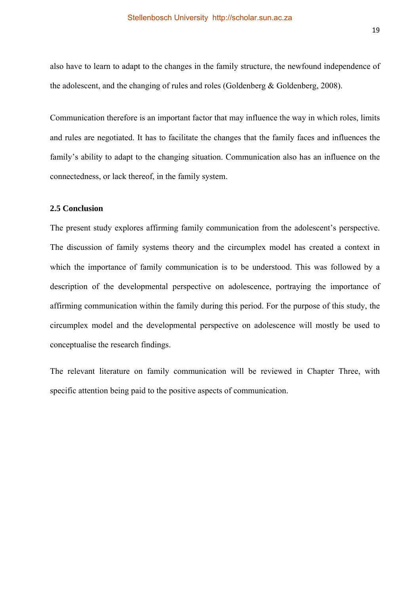also have to learn to adapt to the changes in the family structure, the newfound independence of the adolescent, and the changing of rules and roles (Goldenberg & Goldenberg, 2008).

Communication therefore is an important factor that may influence the way in which roles, limits and rules are negotiated. It has to facilitate the changes that the family faces and influences the family's ability to adapt to the changing situation. Communication also has an influence on the connectedness, or lack thereof, in the family system.

# **2.5 Conclusion**

The present study explores affirming family communication from the adolescent's perspective. The discussion of family systems theory and the circumplex model has created a context in which the importance of family communication is to be understood. This was followed by a description of the developmental perspective on adolescence, portraying the importance of affirming communication within the family during this period. For the purpose of this study, the circumplex model and the developmental perspective on adolescence will mostly be used to conceptualise the research findings.

The relevant literature on family communication will be reviewed in Chapter Three, with specific attention being paid to the positive aspects of communication.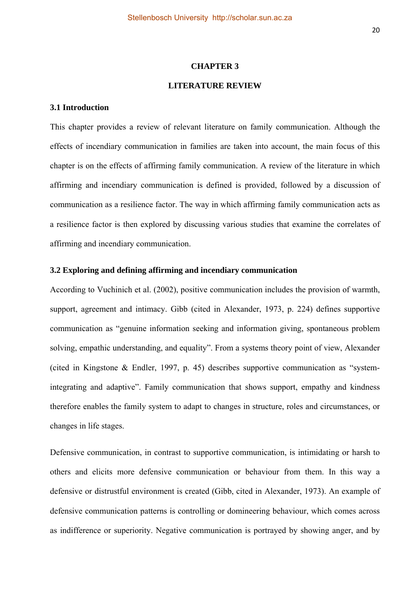#### **CHAPTER 3**

# **LITERATURE REVIEW**

#### **3.1 Introduction**

This chapter provides a review of relevant literature on family communication. Although the effects of incendiary communication in families are taken into account, the main focus of this chapter is on the effects of affirming family communication. A review of the literature in which affirming and incendiary communication is defined is provided, followed by a discussion of communication as a resilience factor. The way in which affirming family communication acts as a resilience factor is then explored by discussing various studies that examine the correlates of affirming and incendiary communication.

#### **3.2 Exploring and defining affirming and incendiary communication**

According to Vuchinich et al. (2002), positive communication includes the provision of warmth, support, agreement and intimacy. Gibb (cited in Alexander, 1973, p. 224) defines supportive communication as "genuine information seeking and information giving, spontaneous problem solving, empathic understanding, and equality". From a systems theory point of view, Alexander (cited in Kingstone & Endler, 1997, p. 45) describes supportive communication as "systemintegrating and adaptive". Family communication that shows support, empathy and kindness therefore enables the family system to adapt to changes in structure, roles and circumstances, or changes in life stages.

Defensive communication, in contrast to supportive communication, is intimidating or harsh to others and elicits more defensive communication or behaviour from them. In this way a defensive or distrustful environment is created (Gibb, cited in Alexander, 1973). An example of defensive communication patterns is controlling or domineering behaviour, which comes across as indifference or superiority. Negative communication is portrayed by showing anger, and by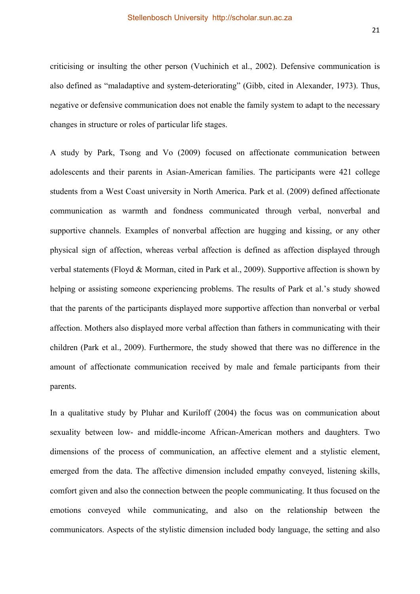criticising or insulting the other person (Vuchinich et al., 2002). Defensive communication is also defined as "maladaptive and system-deteriorating" (Gibb, cited in Alexander, 1973). Thus, negative or defensive communication does not enable the family system to adapt to the necessary changes in structure or roles of particular life stages.

A study by Park, Tsong and Vo (2009) focused on affectionate communication between adolescents and their parents in Asian-American families. The participants were 421 college students from a West Coast university in North America. Park et al. (2009) defined affectionate communication as warmth and fondness communicated through verbal, nonverbal and supportive channels. Examples of nonverbal affection are hugging and kissing, or any other physical sign of affection, whereas verbal affection is defined as affection displayed through verbal statements (Floyd & Morman, cited in Park et al., 2009). Supportive affection is shown by helping or assisting someone experiencing problems. The results of Park et al.'s study showed that the parents of the participants displayed more supportive affection than nonverbal or verbal affection. Mothers also displayed more verbal affection than fathers in communicating with their children (Park et al., 2009). Furthermore, the study showed that there was no difference in the amount of affectionate communication received by male and female participants from their parents.

In a qualitative study by Pluhar and Kuriloff (2004) the focus was on communication about sexuality between low- and middle-income African-American mothers and daughters. Two dimensions of the process of communication, an affective element and a stylistic element, emerged from the data. The affective dimension included empathy conveyed, listening skills, comfort given and also the connection between the people communicating. It thus focused on the emotions conveyed while communicating, and also on the relationship between the communicators. Aspects of the stylistic dimension included body language, the setting and also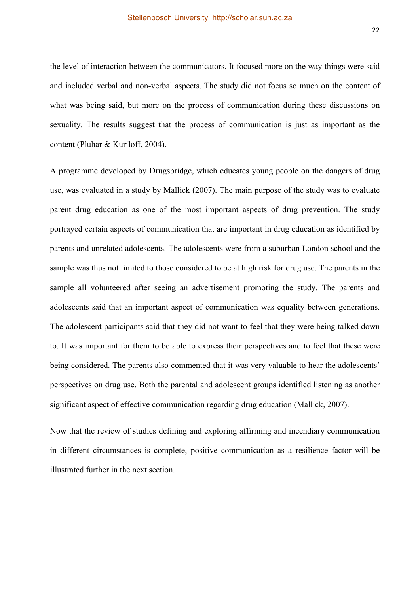the level of interaction between the communicators. It focused more on the way things were said and included verbal and non-verbal aspects. The study did not focus so much on the content of what was being said, but more on the process of communication during these discussions on sexuality. The results suggest that the process of communication is just as important as the content (Pluhar & Kuriloff, 2004).

A programme developed by Drugsbridge, which educates young people on the dangers of drug use, was evaluated in a study by Mallick (2007). The main purpose of the study was to evaluate parent drug education as one of the most important aspects of drug prevention. The study portrayed certain aspects of communication that are important in drug education as identified by parents and unrelated adolescents. The adolescents were from a suburban London school and the sample was thus not limited to those considered to be at high risk for drug use. The parents in the sample all volunteered after seeing an advertisement promoting the study. The parents and adolescents said that an important aspect of communication was equality between generations. The adolescent participants said that they did not want to feel that they were being talked down to. It was important for them to be able to express their perspectives and to feel that these were being considered. The parents also commented that it was very valuable to hear the adolescents' perspectives on drug use. Both the parental and adolescent groups identified listening as another significant aspect of effective communication regarding drug education (Mallick, 2007).

Now that the review of studies defining and exploring affirming and incendiary communication in different circumstances is complete, positive communication as a resilience factor will be illustrated further in the next section.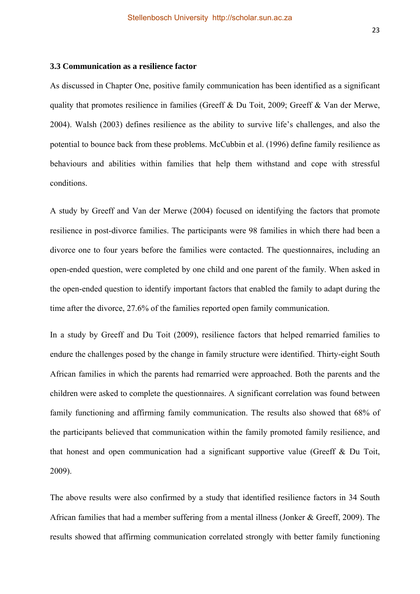## **3.3 Communication as a resilience factor**

As discussed in Chapter One, positive family communication has been identified as a significant quality that promotes resilience in families (Greeff & Du Toit, 2009; Greeff & Van der Merwe, 2004). Walsh (2003) defines resilience as the ability to survive life's challenges, and also the potential to bounce back from these problems. McCubbin et al. (1996) define family resilience as behaviours and abilities within families that help them withstand and cope with stressful conditions.

A study by Greeff and Van der Merwe (2004) focused on identifying the factors that promote resilience in post-divorce families. The participants were 98 families in which there had been a divorce one to four years before the families were contacted. The questionnaires, including an open-ended question, were completed by one child and one parent of the family. When asked in the open-ended question to identify important factors that enabled the family to adapt during the time after the divorce, 27.6% of the families reported open family communication.

In a study by Greeff and Du Toit (2009), resilience factors that helped remarried families to endure the challenges posed by the change in family structure were identified. Thirty-eight South African families in which the parents had remarried were approached. Both the parents and the children were asked to complete the questionnaires. A significant correlation was found between family functioning and affirming family communication. The results also showed that 68% of the participants believed that communication within the family promoted family resilience, and that honest and open communication had a significant supportive value (Greeff & Du Toit, 2009).

The above results were also confirmed by a study that identified resilience factors in 34 South African families that had a member suffering from a mental illness (Jonker & Greeff, 2009). The results showed that affirming communication correlated strongly with better family functioning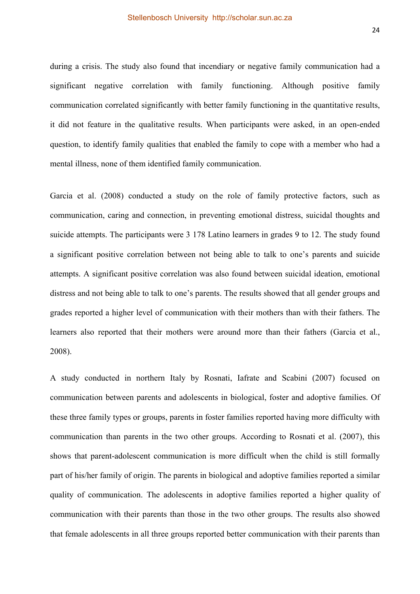during a crisis. The study also found that incendiary or negative family communication had a significant negative correlation with family functioning. Although positive family communication correlated significantly with better family functioning in the quantitative results, it did not feature in the qualitative results. When participants were asked, in an open-ended question, to identify family qualities that enabled the family to cope with a member who had a mental illness, none of them identified family communication.

Garcia et al. (2008) conducted a study on the role of family protective factors, such as communication, caring and connection, in preventing emotional distress, suicidal thoughts and suicide attempts. The participants were 3 178 Latino learners in grades 9 to 12. The study found a significant positive correlation between not being able to talk to one's parents and suicide attempts. A significant positive correlation was also found between suicidal ideation, emotional distress and not being able to talk to one's parents. The results showed that all gender groups and grades reported a higher level of communication with their mothers than with their fathers. The learners also reported that their mothers were around more than their fathers (Garcia et al., 2008).

A study conducted in northern Italy by Rosnati, Iafrate and Scabini (2007) focused on communication between parents and adolescents in biological, foster and adoptive families. Of these three family types or groups, parents in foster families reported having more difficulty with communication than parents in the two other groups. According to Rosnati et al. (2007), this shows that parent-adolescent communication is more difficult when the child is still formally part of his/her family of origin. The parents in biological and adoptive families reported a similar quality of communication. The adolescents in adoptive families reported a higher quality of communication with their parents than those in the two other groups. The results also showed that female adolescents in all three groups reported better communication with their parents than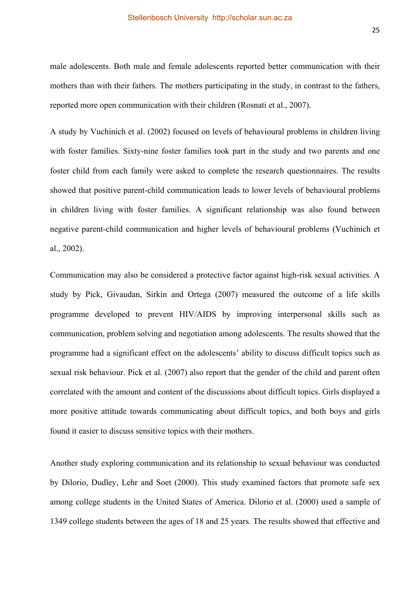male adolescents. Both male and female adolescents reported better communication with their mothers than with their fathers. The mothers participating in the study, in contrast to the fathers, reported more open communication with their children (Rosnati et al., 2007).

A study by Vuchinich et al. (2002) focused on levels of behavioural problems in children living with foster families. Sixty-nine foster families took part in the study and two parents and one foster child from each family were asked to complete the research questionnaires. The results showed that positive parent-child communication leads to lower levels of behavioural problems in children living with foster families. A significant relationship was also found between negative parent-child communication and higher levels of behavioural problems (Vuchinich et al., 2002).

Communication may also be considered a protective factor against high-risk sexual activities. A study by Pick, Givaudan, Sirkin and Ortega (2007) measured the outcome of a life skills programme developed to prevent HIV/AIDS by improving interpersonal skills such as communication, problem solving and negotiation among adolescents. The results showed that the programme had a significant effect on the adolescents' ability to discuss difficult topics such as sexual risk behaviour. Pick et al. (2007) also report that the gender of the child and parent often correlated with the amount and content of the discussions about difficult topics. Girls displayed a more positive attitude towards communicating about difficult topics, and both boys and girls found it easier to discuss sensitive topics with their mothers.

Another study exploring communication and its relationship to sexual behaviour was conducted by Dilorio, Dudley, Lehr and Soet (2000). This study examined factors that promote safe sex among college students in the United States of America. Dilorio et al. (2000) used a sample of 1349 college students between the ages of 18 and 25 years. The results showed that effective and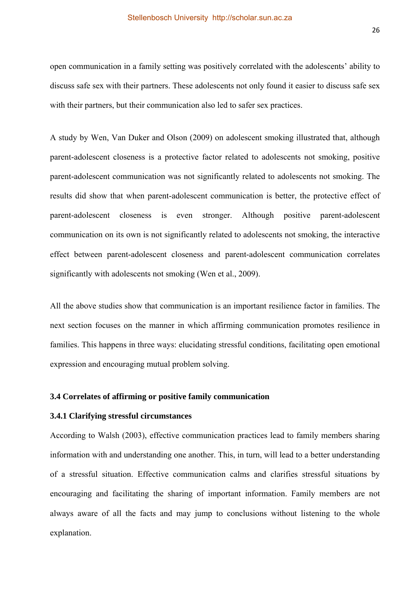open communication in a family setting was positively correlated with the adolescents' ability to discuss safe sex with their partners. These adolescents not only found it easier to discuss safe sex with their partners, but their communication also led to safer sex practices.

A study by Wen, Van Duker and Olson (2009) on adolescent smoking illustrated that, although parent-adolescent closeness is a protective factor related to adolescents not smoking, positive parent-adolescent communication was not significantly related to adolescents not smoking. The results did show that when parent-adolescent communication is better, the protective effect of parent-adolescent closeness is even stronger. Although positive parent-adolescent communication on its own is not significantly related to adolescents not smoking, the interactive effect between parent-adolescent closeness and parent-adolescent communication correlates significantly with adolescents not smoking (Wen et al., 2009).

All the above studies show that communication is an important resilience factor in families. The next section focuses on the manner in which affirming communication promotes resilience in families. This happens in three ways: elucidating stressful conditions, facilitating open emotional expression and encouraging mutual problem solving.

### **3.4 Correlates of affirming or positive family communication**

## **3.4.1 Clarifying stressful circumstances**

According to Walsh (2003), effective communication practices lead to family members sharing information with and understanding one another. This, in turn, will lead to a better understanding of a stressful situation. Effective communication calms and clarifies stressful situations by encouraging and facilitating the sharing of important information. Family members are not always aware of all the facts and may jump to conclusions without listening to the whole explanation.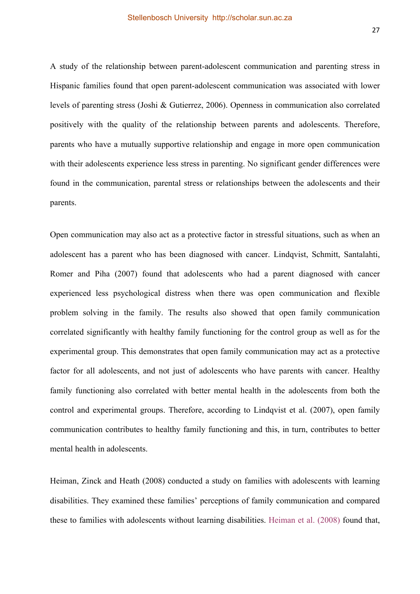A study of the relationship between parent-adolescent communication and parenting stress in Hispanic families found that open parent-adolescent communication was associated with lower levels of parenting stress (Joshi & Gutierrez, 2006). Openness in communication also correlated positively with the quality of the relationship between parents and adolescents. Therefore, parents who have a mutually supportive relationship and engage in more open communication with their adolescents experience less stress in parenting. No significant gender differences were found in the communication, parental stress or relationships between the adolescents and their parents.

Open communication may also act as a protective factor in stressful situations, such as when an adolescent has a parent who has been diagnosed with cancer. Lindqvist, Schmitt, Santalahti, Romer and Piha (2007) found that adolescents who had a parent diagnosed with cancer experienced less psychological distress when there was open communication and flexible problem solving in the family. The results also showed that open family communication correlated significantly with healthy family functioning for the control group as well as for the experimental group. This demonstrates that open family communication may act as a protective factor for all adolescents, and not just of adolescents who have parents with cancer. Healthy family functioning also correlated with better mental health in the adolescents from both the control and experimental groups. Therefore, according to Lindqvist et al. (2007), open family communication contributes to healthy family functioning and this, in turn, contributes to better mental health in adolescents.

Heiman, Zinck and Heath (2008) conducted a study on families with adolescents with learning disabilities. They examined these families' perceptions of family communication and compared these to families with adolescents without learning disabilities. Heiman et al. (2008) found that,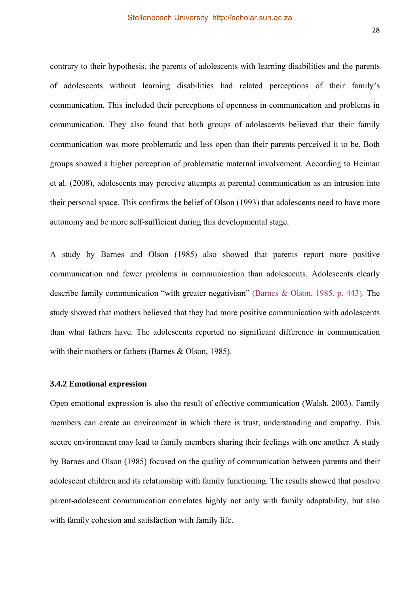contrary to their hypothesis, the parents of adolescents with learning disabilities and the parents of adolescents without learning disabilities had related perceptions of their family's communication. This included their perceptions of openness in communication and problems in communication. They also found that both groups of adolescents believed that their family communication was more problematic and less open than their parents perceived it to be. Both groups showed a higher perception of problematic maternal involvement. According to Heiman et al. (2008), adolescents may perceive attempts at parental communication as an intrusion into their personal space. This confirms the belief of Olson (1993) that adolescents need to have more autonomy and be more self-sufficient during this developmental stage.

A study by Barnes and Olson (1985) also showed that parents report more positive communication and fewer problems in communication than adolescents. Adolescents clearly describe family communication "with greater negativism" (Barnes & Olson, 1985, p. 443). The study showed that mothers believed that they had more positive communication with adolescents than what fathers have. The adolescents reported no significant difference in communication with their mothers or fathers (Barnes & Olson, 1985).

#### **3.4.2 Emotional expression**

Open emotional expression is also the result of effective communication (Walsh, 2003). Family members can create an environment in which there is trust, understanding and empathy. This secure environment may lead to family members sharing their feelings with one another. A study by Barnes and Olson (1985) focused on the quality of communication between parents and their adolescent children and its relationship with family functioning. The results showed that positive parent-adolescent communication correlates highly not only with family adaptability, but also with family cohesion and satisfaction with family life.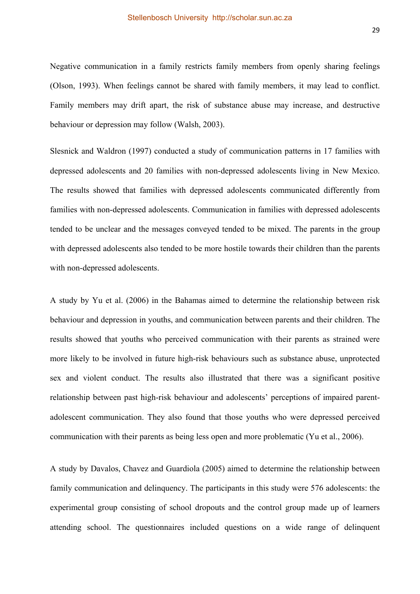Negative communication in a family restricts family members from openly sharing feelings (Olson, 1993). When feelings cannot be shared with family members, it may lead to conflict. Family members may drift apart, the risk of substance abuse may increase, and destructive behaviour or depression may follow (Walsh, 2003).

Slesnick and Waldron (1997) conducted a study of communication patterns in 17 families with depressed adolescents and 20 families with non-depressed adolescents living in New Mexico. The results showed that families with depressed adolescents communicated differently from families with non-depressed adolescents. Communication in families with depressed adolescents tended to be unclear and the messages conveyed tended to be mixed. The parents in the group with depressed adolescents also tended to be more hostile towards their children than the parents with non-depressed adolescents.

A study by Yu et al. (2006) in the Bahamas aimed to determine the relationship between risk behaviour and depression in youths, and communication between parents and their children. The results showed that youths who perceived communication with their parents as strained were more likely to be involved in future high-risk behaviours such as substance abuse, unprotected sex and violent conduct. The results also illustrated that there was a significant positive relationship between past high-risk behaviour and adolescents' perceptions of impaired parentadolescent communication. They also found that those youths who were depressed perceived communication with their parents as being less open and more problematic (Yu et al., 2006).

A study by Davalos, Chavez and Guardiola (2005) aimed to determine the relationship between family communication and delinquency. The participants in this study were 576 adolescents: the experimental group consisting of school dropouts and the control group made up of learners attending school. The questionnaires included questions on a wide range of delinquent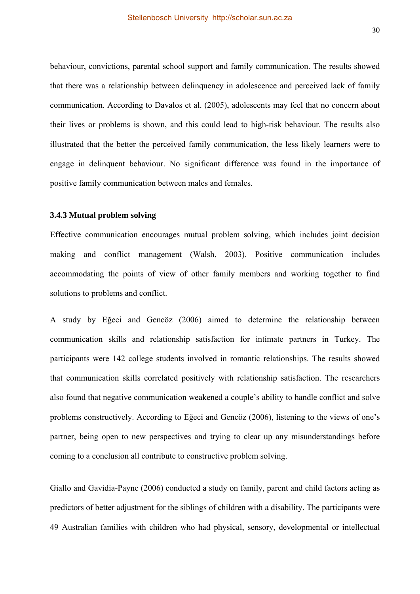behaviour, convictions, parental school support and family communication. The results showed that there was a relationship between delinquency in adolescence and perceived lack of family communication. According to Davalos et al. (2005), adolescents may feel that no concern about their lives or problems is shown, and this could lead to high-risk behaviour. The results also illustrated that the better the perceived family communication, the less likely learners were to engage in delinquent behaviour. No significant difference was found in the importance of positive family communication between males and females.

### **3.4.3 Mutual problem solving**

Effective communication encourages mutual problem solving, which includes joint decision making and conflict management (Walsh, 2003). Positive communication includes accommodating the points of view of other family members and working together to find solutions to problems and conflict.

A study by Eğeci and Gencöz (2006) aimed to determine the relationship between communication skills and relationship satisfaction for intimate partners in Turkey. The participants were 142 college students involved in romantic relationships. The results showed that communication skills correlated positively with relationship satisfaction. The researchers also found that negative communication weakened a couple's ability to handle conflict and solve problems constructively. According to Eğeci and Gencöz (2006), listening to the views of one's partner, being open to new perspectives and trying to clear up any misunderstandings before coming to a conclusion all contribute to constructive problem solving.

Giallo and Gavidia-Payne (2006) conducted a study on family, parent and child factors acting as predictors of better adjustment for the siblings of children with a disability. The participants were 49 Australian families with children who had physical, sensory, developmental or intellectual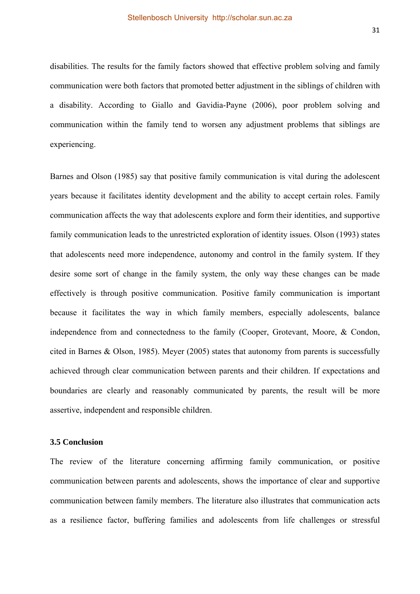disabilities. The results for the family factors showed that effective problem solving and family communication were both factors that promoted better adjustment in the siblings of children with a disability. According to Giallo and Gavidia-Payne (2006), poor problem solving and communication within the family tend to worsen any adjustment problems that siblings are experiencing.

Barnes and Olson (1985) say that positive family communication is vital during the adolescent years because it facilitates identity development and the ability to accept certain roles. Family communication affects the way that adolescents explore and form their identities, and supportive family communication leads to the unrestricted exploration of identity issues. Olson (1993) states that adolescents need more independence, autonomy and control in the family system. If they desire some sort of change in the family system, the only way these changes can be made effectively is through positive communication. Positive family communication is important because it facilitates the way in which family members, especially adolescents, balance independence from and connectedness to the family (Cooper, Grotevant, Moore, & Condon, cited in Barnes & Olson, 1985). Meyer (2005) states that autonomy from parents is successfully achieved through clear communication between parents and their children. If expectations and boundaries are clearly and reasonably communicated by parents, the result will be more assertive, independent and responsible children.

### **3.5 Conclusion**

The review of the literature concerning affirming family communication, or positive communication between parents and adolescents, shows the importance of clear and supportive communication between family members. The literature also illustrates that communication acts as a resilience factor, buffering families and adolescents from life challenges or stressful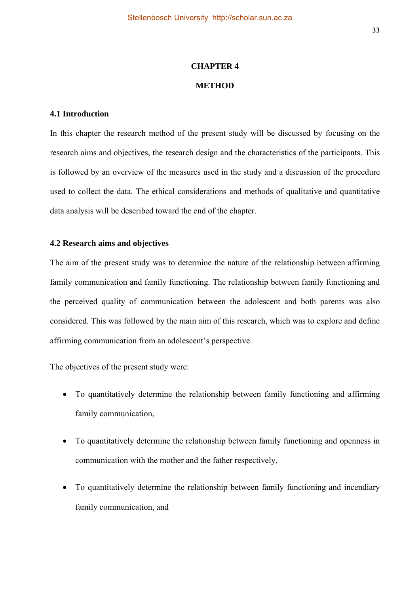## **CHAPTER 4 METHOD**

## **4.1 Introduction**

In this chapter the research method of the present study will be discussed by focusing on the research aims and objectives, the research design and the characteristics of the participants. This is followed by an overview of the measures used in the study and a discussion of the procedure used to collect the data. The ethical considerations and methods of qualitative and quantitative data analysis will be described toward the end of the chapter.

## **4.2 Research aims and objectives**

The aim of the present study was to determine the nature of the relationship between affirming family communication and family functioning. The relationship between family functioning and the perceived quality of communication between the adolescent and both parents was also considered. This was followed by the main aim of this research, which was to explore and define affirming communication from an adolescent's perspective.

The objectives of the present study were:

- To quantitatively determine the relationship between family functioning and affirming family communication,
- To quantitatively determine the relationship between family functioning and openness in communication with the mother and the father respectively,
- To quantitatively determine the relationship between family functioning and incendiary family communication, and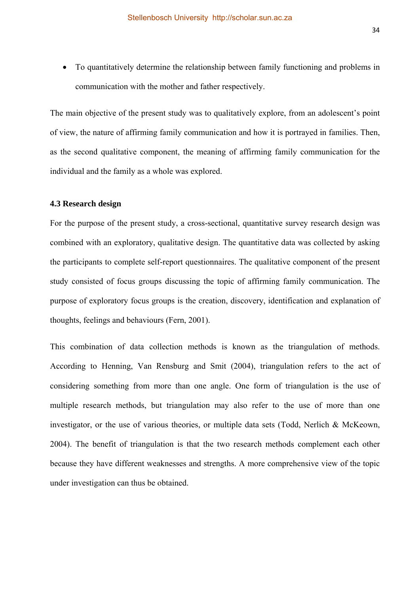To quantitatively determine the relationship between family functioning and problems in communication with the mother and father respectively.

The main objective of the present study was to qualitatively explore, from an adolescent's point of view, the nature of affirming family communication and how it is portrayed in families. Then, as the second qualitative component, the meaning of affirming family communication for the individual and the family as a whole was explored.

#### **4.3 Research design**

For the purpose of the present study, a cross-sectional, quantitative survey research design was combined with an exploratory, qualitative design. The quantitative data was collected by asking the participants to complete self-report questionnaires. The qualitative component of the present study consisted of focus groups discussing the topic of affirming family communication. The purpose of exploratory focus groups is the creation, discovery, identification and explanation of thoughts, feelings and behaviours (Fern, 2001).

This combination of data collection methods is known as the triangulation of methods. According to Henning, Van Rensburg and Smit (2004), triangulation refers to the act of considering something from more than one angle. One form of triangulation is the use of multiple research methods, but triangulation may also refer to the use of more than one investigator, or the use of various theories, or multiple data sets (Todd, Nerlich & McKeown, 2004). The benefit of triangulation is that the two research methods complement each other because they have different weaknesses and strengths. A more comprehensive view of the topic under investigation can thus be obtained.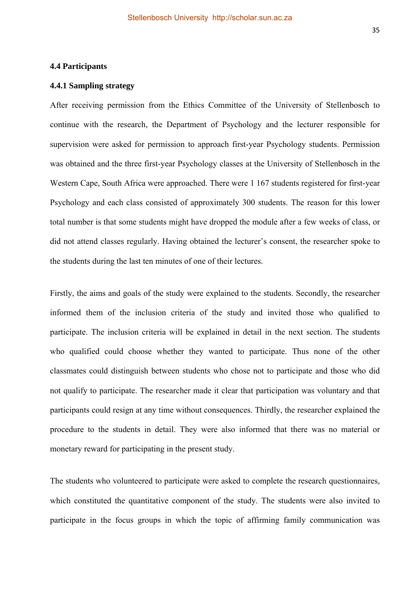## **4.4 Participants**

#### **4.4.1 Sampling strategy**

After receiving permission from the Ethics Committee of the University of Stellenbosch to continue with the research, the Department of Psychology and the lecturer responsible for supervision were asked for permission to approach first-year Psychology students. Permission was obtained and the three first-year Psychology classes at the University of Stellenbosch in the Western Cape, South Africa were approached. There were 1 167 students registered for first-year Psychology and each class consisted of approximately 300 students. The reason for this lower total number is that some students might have dropped the module after a few weeks of class, or did not attend classes regularly. Having obtained the lecturer's consent, the researcher spoke to the students during the last ten minutes of one of their lectures.

Firstly, the aims and goals of the study were explained to the students. Secondly, the researcher informed them of the inclusion criteria of the study and invited those who qualified to participate. The inclusion criteria will be explained in detail in the next section. The students who qualified could choose whether they wanted to participate. Thus none of the other classmates could distinguish between students who chose not to participate and those who did not qualify to participate. The researcher made it clear that participation was voluntary and that participants could resign at any time without consequences. Thirdly, the researcher explained the procedure to the students in detail. They were also informed that there was no material or monetary reward for participating in the present study.

The students who volunteered to participate were asked to complete the research questionnaires, which constituted the quantitative component of the study. The students were also invited to participate in the focus groups in which the topic of affirming family communication was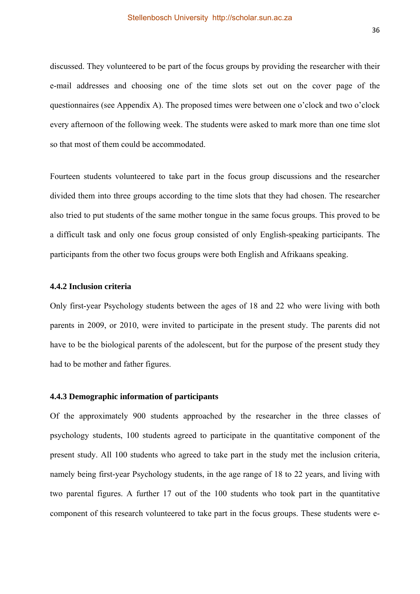discussed. They volunteered to be part of the focus groups by providing the researcher with their e-mail addresses and choosing one of the time slots set out on the cover page of the questionnaires (see Appendix A). The proposed times were between one o'clock and two o'clock every afternoon of the following week. The students were asked to mark more than one time slot so that most of them could be accommodated.

Fourteen students volunteered to take part in the focus group discussions and the researcher divided them into three groups according to the time slots that they had chosen. The researcher also tried to put students of the same mother tongue in the same focus groups. This proved to be a difficult task and only one focus group consisted of only English-speaking participants. The participants from the other two focus groups were both English and Afrikaans speaking.

#### **4.4.2 Inclusion criteria**

Only first-year Psychology students between the ages of 18 and 22 who were living with both parents in 2009, or 2010, were invited to participate in the present study. The parents did not have to be the biological parents of the adolescent, but for the purpose of the present study they had to be mother and father figures.

### **4.4.3 Demographic information of participants**

Of the approximately 900 students approached by the researcher in the three classes of psychology students, 100 students agreed to participate in the quantitative component of the present study. All 100 students who agreed to take part in the study met the inclusion criteria, namely being first-year Psychology students, in the age range of 18 to 22 years, and living with two parental figures. A further 17 out of the 100 students who took part in the quantitative component of this research volunteered to take part in the focus groups. These students were e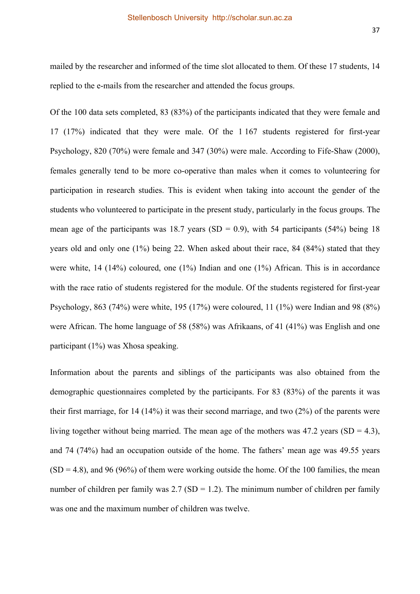mailed by the researcher and informed of the time slot allocated to them. Of these 17 students, 14 replied to the e-mails from the researcher and attended the focus groups.

Of the 100 data sets completed, 83 (83%) of the participants indicated that they were female and 17 (17%) indicated that they were male. Of the 1 167 students registered for first-year Psychology, 820 (70%) were female and 347 (30%) were male. According to Fife-Shaw (2000), females generally tend to be more co-operative than males when it comes to volunteering for participation in research studies. This is evident when taking into account the gender of the students who volunteered to participate in the present study, particularly in the focus groups. The mean age of the participants was 18.7 years (SD = 0.9), with 54 participants (54%) being 18 years old and only one (1%) being 22. When asked about their race, 84 (84%) stated that they were white, 14 (14%) coloured, one (1%) Indian and one (1%) African. This is in accordance with the race ratio of students registered for the module. Of the students registered for first-year Psychology, 863 (74%) were white, 195 (17%) were coloured, 11 (1%) were Indian and 98 (8%) were African. The home language of 58 (58%) was Afrikaans, of 41 (41%) was English and one participant (1%) was Xhosa speaking.

Information about the parents and siblings of the participants was also obtained from the demographic questionnaires completed by the participants. For 83 (83%) of the parents it was their first marriage, for 14 (14%) it was their second marriage, and two (2%) of the parents were living together without being married. The mean age of the mothers was  $47.2$  years  $(SD = 4.3)$ , and 74 (74%) had an occupation outside of the home. The fathers' mean age was 49.55 years  $(SD = 4.8)$ , and 96 (96%) of them were working outside the home. Of the 100 families, the mean number of children per family was  $2.7$  (SD = 1.2). The minimum number of children per family was one and the maximum number of children was twelve.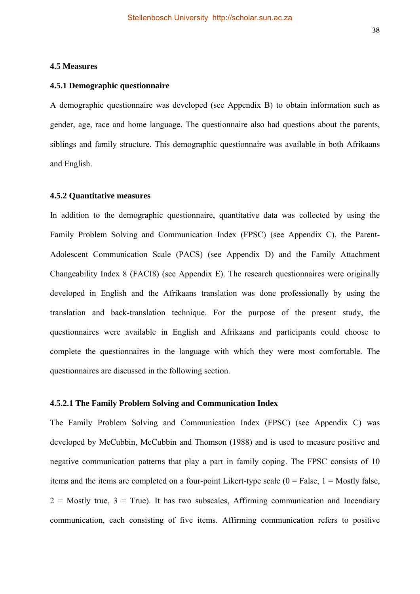## **4.5 Measures**

#### **4.5.1 Demographic questionnaire**

A demographic questionnaire was developed (see Appendix B) to obtain information such as gender, age, race and home language. The questionnaire also had questions about the parents, siblings and family structure. This demographic questionnaire was available in both Afrikaans and English.

## **4.5.2 Quantitative measures**

In addition to the demographic questionnaire, quantitative data was collected by using the Family Problem Solving and Communication Index (FPSC) (see Appendix C), the Parent-Adolescent Communication Scale (PACS) (see Appendix D) and the Family Attachment Changeability Index 8 (FACI8) (see Appendix E). The research questionnaires were originally developed in English and the Afrikaans translation was done professionally by using the translation and back-translation technique. For the purpose of the present study, the questionnaires were available in English and Afrikaans and participants could choose to complete the questionnaires in the language with which they were most comfortable. The questionnaires are discussed in the following section.

## **4.5.2.1 The Family Problem Solving and Communication Index**

The Family Problem Solving and Communication Index (FPSC) (see Appendix C) was developed by McCubbin, McCubbin and Thomson (1988) and is used to measure positive and negative communication patterns that play a part in family coping. The FPSC consists of 10 items and the items are completed on a four-point Likert-type scale  $(0 = False, 1 = Mostly false,$  $2 =$  Mostly true,  $3 =$  True). It has two subscales, Affirming communication and Incendiary communication, each consisting of five items. Affirming communication refers to positive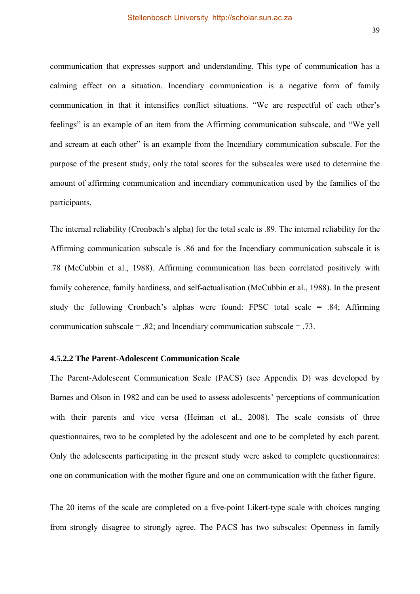communication that expresses support and understanding. This type of communication has a calming effect on a situation. Incendiary communication is a negative form of family communication in that it intensifies conflict situations. "We are respectful of each other's feelings" is an example of an item from the Affirming communication subscale, and "We yell and scream at each other" is an example from the Incendiary communication subscale. For the purpose of the present study, only the total scores for the subscales were used to determine the amount of affirming communication and incendiary communication used by the families of the participants.

The internal reliability (Cronbach's alpha) for the total scale is .89. The internal reliability for the Affirming communication subscale is .86 and for the Incendiary communication subscale it is .78 (McCubbin et al., 1988). Affirming communication has been correlated positively with family coherence, family hardiness, and self-actualisation (McCubbin et al., 1988). In the present study the following Cronbach's alphas were found: FPSC total scale = .84; Affirming communication subscale  $= 0.82$ ; and Incendiary communication subscale  $= 0.73$ .

## **4.5.2.2 The Parent-Adolescent Communication Scale**

The Parent-Adolescent Communication Scale (PACS) (see Appendix D) was developed by Barnes and Olson in 1982 and can be used to assess adolescents' perceptions of communication with their parents and vice versa (Heiman et al., 2008). The scale consists of three questionnaires, two to be completed by the adolescent and one to be completed by each parent. Only the adolescents participating in the present study were asked to complete questionnaires: one on communication with the mother figure and one on communication with the father figure.

The 20 items of the scale are completed on a five-point Likert-type scale with choices ranging from strongly disagree to strongly agree. The PACS has two subscales: Openness in family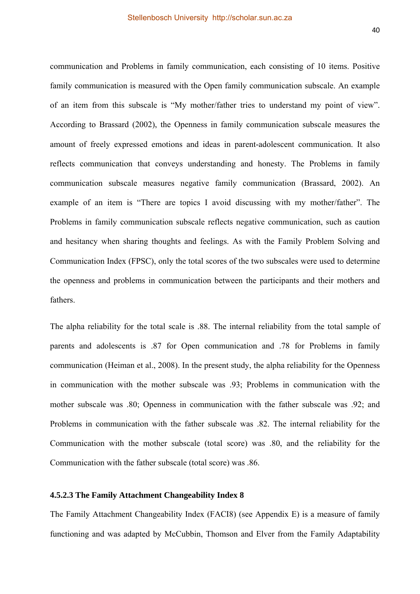communication and Problems in family communication, each consisting of 10 items. Positive family communication is measured with the Open family communication subscale. An example of an item from this subscale is "My mother/father tries to understand my point of view". According to Brassard (2002), the Openness in family communication subscale measures the amount of freely expressed emotions and ideas in parent-adolescent communication. It also reflects communication that conveys understanding and honesty. The Problems in family communication subscale measures negative family communication (Brassard, 2002). An example of an item is "There are topics I avoid discussing with my mother/father". The Problems in family communication subscale reflects negative communication, such as caution and hesitancy when sharing thoughts and feelings. As with the Family Problem Solving and Communication Index (FPSC), only the total scores of the two subscales were used to determine the openness and problems in communication between the participants and their mothers and fathers.

The alpha reliability for the total scale is .88. The internal reliability from the total sample of parents and adolescents is .87 for Open communication and .78 for Problems in family communication (Heiman et al., 2008). In the present study, the alpha reliability for the Openness in communication with the mother subscale was .93; Problems in communication with the mother subscale was .80; Openness in communication with the father subscale was .92; and Problems in communication with the father subscale was .82. The internal reliability for the Communication with the mother subscale (total score) was .80, and the reliability for the Communication with the father subscale (total score) was .86.

## **4.5.2.3 The Family Attachment Changeability Index 8**

The Family Attachment Changeability Index (FACI8) (see Appendix E) is a measure of family functioning and was adapted by McCubbin, Thomson and Elver from the Family Adaptability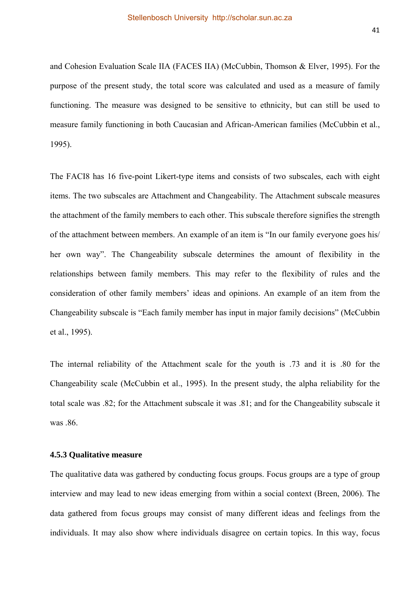and Cohesion Evaluation Scale IIA (FACES IIA) (McCubbin, Thomson & Elver, 1995). For the purpose of the present study, the total score was calculated and used as a measure of family functioning. The measure was designed to be sensitive to ethnicity, but can still be used to measure family functioning in both Caucasian and African-American families (McCubbin et al., 1995).

The FACI8 has 16 five-point Likert-type items and consists of two subscales, each with eight items. The two subscales are Attachment and Changeability. The Attachment subscale measures the attachment of the family members to each other. This subscale therefore signifies the strength of the attachment between members. An example of an item is "In our family everyone goes his/ her own way". The Changeability subscale determines the amount of flexibility in the relationships between family members. This may refer to the flexibility of rules and the consideration of other family members' ideas and opinions. An example of an item from the Changeability subscale is "Each family member has input in major family decisions" (McCubbin et al., 1995).

The internal reliability of the Attachment scale for the youth is .73 and it is .80 for the Changeability scale (McCubbin et al., 1995). In the present study, the alpha reliability for the total scale was .82; for the Attachment subscale it was .81; and for the Changeability subscale it was 86

## **4.5.3 Qualitative measure**

The qualitative data was gathered by conducting focus groups. Focus groups are a type of group interview and may lead to new ideas emerging from within a social context (Breen, 2006). The data gathered from focus groups may consist of many different ideas and feelings from the individuals. It may also show where individuals disagree on certain topics. In this way, focus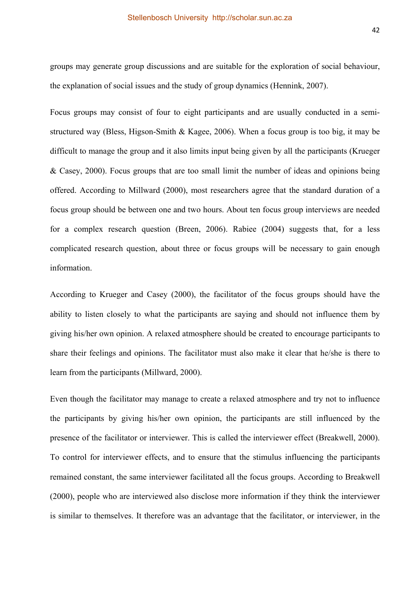groups may generate group discussions and are suitable for the exploration of social behaviour, the explanation of social issues and the study of group dynamics (Hennink, 2007).

Focus groups may consist of four to eight participants and are usually conducted in a semistructured way (Bless, Higson-Smith & Kagee, 2006). When a focus group is too big, it may be difficult to manage the group and it also limits input being given by all the participants (Krueger & Casey, 2000). Focus groups that are too small limit the number of ideas and opinions being offered. According to Millward (2000), most researchers agree that the standard duration of a focus group should be between one and two hours. About ten focus group interviews are needed for a complex research question (Breen, 2006). Rabiee (2004) suggests that, for a less complicated research question, about three or focus groups will be necessary to gain enough information.

According to Krueger and Casey (2000), the facilitator of the focus groups should have the ability to listen closely to what the participants are saying and should not influence them by giving his/her own opinion. A relaxed atmosphere should be created to encourage participants to share their feelings and opinions. The facilitator must also make it clear that he/she is there to learn from the participants (Millward, 2000).

Even though the facilitator may manage to create a relaxed atmosphere and try not to influence the participants by giving his/her own opinion, the participants are still influenced by the presence of the facilitator or interviewer. This is called the interviewer effect (Breakwell, 2000). To control for interviewer effects, and to ensure that the stimulus influencing the participants remained constant, the same interviewer facilitated all the focus groups. According to Breakwell (2000), people who are interviewed also disclose more information if they think the interviewer is similar to themselves. It therefore was an advantage that the facilitator, or interviewer, in the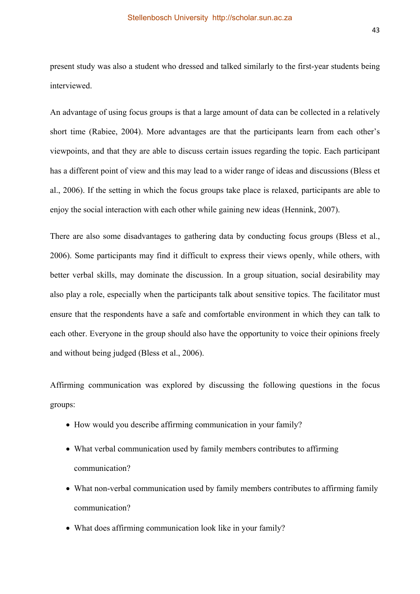present study was also a student who dressed and talked similarly to the first-year students being interviewed.

An advantage of using focus groups is that a large amount of data can be collected in a relatively short time (Rabiee, 2004). More advantages are that the participants learn from each other's viewpoints, and that they are able to discuss certain issues regarding the topic. Each participant has a different point of view and this may lead to a wider range of ideas and discussions (Bless et al., 2006). If the setting in which the focus groups take place is relaxed, participants are able to enjoy the social interaction with each other while gaining new ideas (Hennink, 2007).

There are also some disadvantages to gathering data by conducting focus groups (Bless et al., 2006). Some participants may find it difficult to express their views openly, while others, with better verbal skills, may dominate the discussion. In a group situation, social desirability may also play a role, especially when the participants talk about sensitive topics. The facilitator must ensure that the respondents have a safe and comfortable environment in which they can talk to each other. Everyone in the group should also have the opportunity to voice their opinions freely and without being judged (Bless et al., 2006).

Affirming communication was explored by discussing the following questions in the focus groups:

- How would you describe affirming communication in your family?
- What verbal communication used by family members contributes to affirming communication?
- What non-verbal communication used by family members contributes to affirming family communication?
- What does affirming communication look like in your family?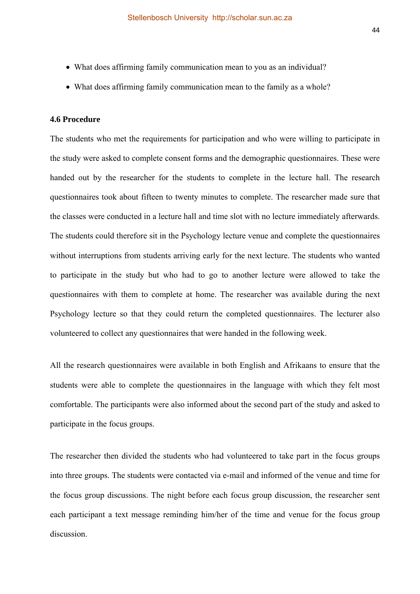- What does affirming family communication mean to you as an individual?
- What does affirming family communication mean to the family as a whole?

## **4.6 Procedure**

The students who met the requirements for participation and who were willing to participate in the study were asked to complete consent forms and the demographic questionnaires. These were handed out by the researcher for the students to complete in the lecture hall. The research questionnaires took about fifteen to twenty minutes to complete. The researcher made sure that the classes were conducted in a lecture hall and time slot with no lecture immediately afterwards. The students could therefore sit in the Psychology lecture venue and complete the questionnaires without interruptions from students arriving early for the next lecture. The students who wanted to participate in the study but who had to go to another lecture were allowed to take the questionnaires with them to complete at home. The researcher was available during the next Psychology lecture so that they could return the completed questionnaires. The lecturer also volunteered to collect any questionnaires that were handed in the following week.

All the research questionnaires were available in both English and Afrikaans to ensure that the students were able to complete the questionnaires in the language with which they felt most comfortable. The participants were also informed about the second part of the study and asked to participate in the focus groups.

The researcher then divided the students who had volunteered to take part in the focus groups into three groups. The students were contacted via e-mail and informed of the venue and time for the focus group discussions. The night before each focus group discussion, the researcher sent each participant a text message reminding him/her of the time and venue for the focus group discussion.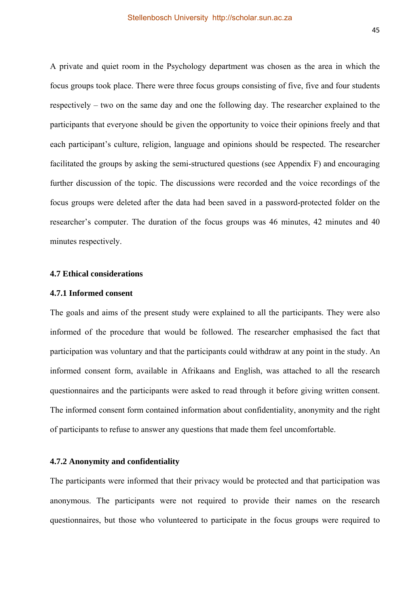A private and quiet room in the Psychology department was chosen as the area in which the focus groups took place. There were three focus groups consisting of five, five and four students respectively – two on the same day and one the following day. The researcher explained to the participants that everyone should be given the opportunity to voice their opinions freely and that each participant's culture, religion, language and opinions should be respected. The researcher facilitated the groups by asking the semi-structured questions (see Appendix F) and encouraging further discussion of the topic. The discussions were recorded and the voice recordings of the focus groups were deleted after the data had been saved in a password-protected folder on the researcher's computer. The duration of the focus groups was 46 minutes, 42 minutes and 40 minutes respectively.

## **4.7 Ethical considerations**

#### **4.7.1 Informed consent**

The goals and aims of the present study were explained to all the participants. They were also informed of the procedure that would be followed. The researcher emphasised the fact that participation was voluntary and that the participants could withdraw at any point in the study. An informed consent form, available in Afrikaans and English, was attached to all the research questionnaires and the participants were asked to read through it before giving written consent. The informed consent form contained information about confidentiality, anonymity and the right of participants to refuse to answer any questions that made them feel uncomfortable.

#### **4.7.2 Anonymity and confidentiality**

The participants were informed that their privacy would be protected and that participation was anonymous. The participants were not required to provide their names on the research questionnaires, but those who volunteered to participate in the focus groups were required to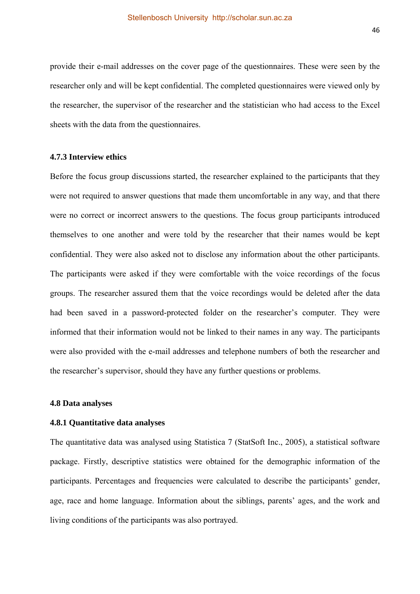provide their e-mail addresses on the cover page of the questionnaires. These were seen by the researcher only and will be kept confidential. The completed questionnaires were viewed only by the researcher, the supervisor of the researcher and the statistician who had access to the Excel sheets with the data from the questionnaires.

#### **4.7.3 Interview ethics**

Before the focus group discussions started, the researcher explained to the participants that they were not required to answer questions that made them uncomfortable in any way, and that there were no correct or incorrect answers to the questions. The focus group participants introduced themselves to one another and were told by the researcher that their names would be kept confidential. They were also asked not to disclose any information about the other participants. The participants were asked if they were comfortable with the voice recordings of the focus groups. The researcher assured them that the voice recordings would be deleted after the data had been saved in a password-protected folder on the researcher's computer. They were informed that their information would not be linked to their names in any way. The participants were also provided with the e-mail addresses and telephone numbers of both the researcher and the researcher's supervisor, should they have any further questions or problems.

#### **4.8 Data analyses**

#### **4.8.1 Quantitative data analyses**

The quantitative data was analysed using Statistica 7 (StatSoft Inc., 2005), a statistical software package. Firstly, descriptive statistics were obtained for the demographic information of the participants. Percentages and frequencies were calculated to describe the participants' gender, age, race and home language. Information about the siblings, parents' ages, and the work and living conditions of the participants was also portrayed.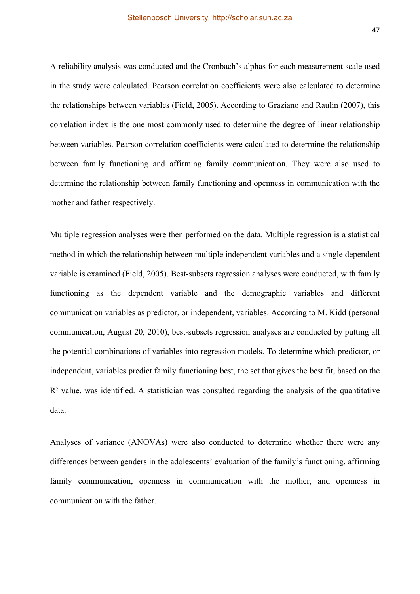A reliability analysis was conducted and the Cronbach's alphas for each measurement scale used in the study were calculated. Pearson correlation coefficients were also calculated to determine the relationships between variables (Field, 2005). According to Graziano and Raulin (2007), this correlation index is the one most commonly used to determine the degree of linear relationship between variables. Pearson correlation coefficients were calculated to determine the relationship between family functioning and affirming family communication. They were also used to determine the relationship between family functioning and openness in communication with the mother and father respectively.

Multiple regression analyses were then performed on the data. Multiple regression is a statistical method in which the relationship between multiple independent variables and a single dependent variable is examined (Field, 2005). Best-subsets regression analyses were conducted, with family functioning as the dependent variable and the demographic variables and different communication variables as predictor, or independent, variables. According to M. Kidd (personal communication, August 20, 2010), best-subsets regression analyses are conducted by putting all the potential combinations of variables into regression models. To determine which predictor, or independent, variables predict family functioning best, the set that gives the best fit, based on the  $R<sup>2</sup>$  value, was identified. A statistician was consulted regarding the analysis of the quantitative data.

Analyses of variance (ANOVAs) were also conducted to determine whether there were any differences between genders in the adolescents' evaluation of the family's functioning, affirming family communication, openness in communication with the mother, and openness in communication with the father.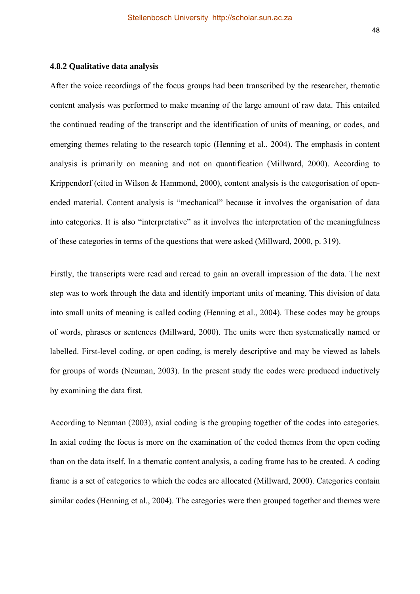After the voice recordings of the focus groups had been transcribed by the researcher, thematic content analysis was performed to make meaning of the large amount of raw data. This entailed the continued reading of the transcript and the identification of units of meaning, or codes, and emerging themes relating to the research topic (Henning et al., 2004). The emphasis in content analysis is primarily on meaning and not on quantification (Millward, 2000). According to Krippendorf (cited in Wilson & Hammond, 2000), content analysis is the categorisation of openended material. Content analysis is "mechanical" because it involves the organisation of data into categories. It is also "interpretative" as it involves the interpretation of the meaningfulness of these categories in terms of the questions that were asked (Millward, 2000, p. 319).

Firstly, the transcripts were read and reread to gain an overall impression of the data. The next step was to work through the data and identify important units of meaning. This division of data into small units of meaning is called coding (Henning et al., 2004). These codes may be groups of words, phrases or sentences (Millward, 2000). The units were then systematically named or labelled. First-level coding, or open coding, is merely descriptive and may be viewed as labels for groups of words (Neuman, 2003). In the present study the codes were produced inductively by examining the data first.

According to Neuman (2003), axial coding is the grouping together of the codes into categories. In axial coding the focus is more on the examination of the coded themes from the open coding than on the data itself. In a thematic content analysis, a coding frame has to be created. A coding frame is a set of categories to which the codes are allocated (Millward, 2000). Categories contain similar codes (Henning et al., 2004). The categories were then grouped together and themes were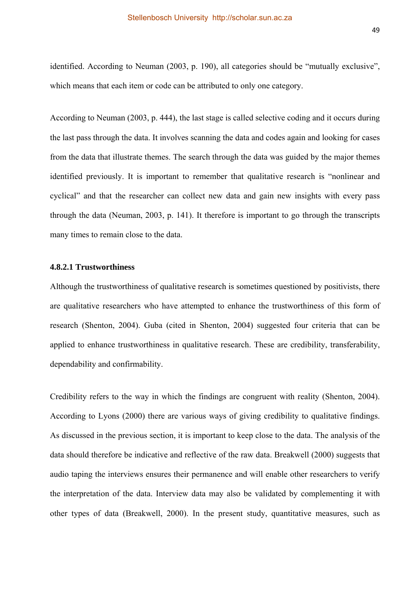identified. According to Neuman (2003, p. 190), all categories should be "mutually exclusive", which means that each item or code can be attributed to only one category.

According to Neuman (2003, p. 444), the last stage is called selective coding and it occurs during the last pass through the data. It involves scanning the data and codes again and looking for cases from the data that illustrate themes. The search through the data was guided by the major themes identified previously. It is important to remember that qualitative research is "nonlinear and cyclical" and that the researcher can collect new data and gain new insights with every pass through the data (Neuman, 2003, p. 141). It therefore is important to go through the transcripts many times to remain close to the data.

### **4.8.2.1 Trustworthiness**

Although the trustworthiness of qualitative research is sometimes questioned by positivists, there are qualitative researchers who have attempted to enhance the trustworthiness of this form of research (Shenton, 2004). Guba (cited in Shenton, 2004) suggested four criteria that can be applied to enhance trustworthiness in qualitative research. These are credibility, transferability, dependability and confirmability.

Credibility refers to the way in which the findings are congruent with reality (Shenton, 2004). According to Lyons (2000) there are various ways of giving credibility to qualitative findings. As discussed in the previous section, it is important to keep close to the data. The analysis of the data should therefore be indicative and reflective of the raw data. Breakwell (2000) suggests that audio taping the interviews ensures their permanence and will enable other researchers to verify the interpretation of the data. Interview data may also be validated by complementing it with other types of data (Breakwell, 2000). In the present study, quantitative measures, such as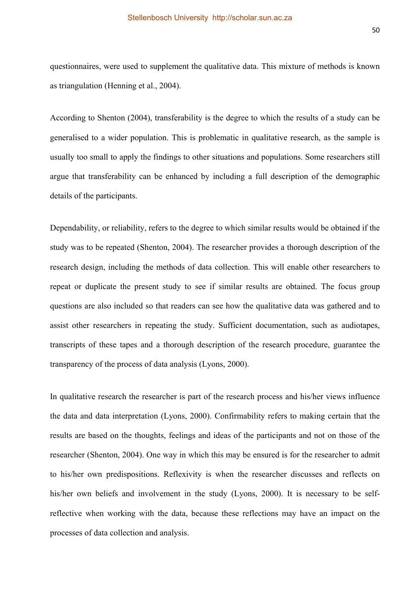questionnaires, were used to supplement the qualitative data. This mixture of methods is known as triangulation (Henning et al., 2004).

According to Shenton (2004), transferability is the degree to which the results of a study can be generalised to a wider population. This is problematic in qualitative research, as the sample is usually too small to apply the findings to other situations and populations. Some researchers still argue that transferability can be enhanced by including a full description of the demographic details of the participants.

Dependability, or reliability, refers to the degree to which similar results would be obtained if the study was to be repeated (Shenton, 2004). The researcher provides a thorough description of the research design, including the methods of data collection. This will enable other researchers to repeat or duplicate the present study to see if similar results are obtained. The focus group questions are also included so that readers can see how the qualitative data was gathered and to assist other researchers in repeating the study. Sufficient documentation, such as audiotapes, transcripts of these tapes and a thorough description of the research procedure, guarantee the transparency of the process of data analysis (Lyons, 2000).

In qualitative research the researcher is part of the research process and his/her views influence the data and data interpretation (Lyons, 2000). Confirmability refers to making certain that the results are based on the thoughts, feelings and ideas of the participants and not on those of the researcher (Shenton, 2004). One way in which this may be ensured is for the researcher to admit to his/her own predispositions. Reflexivity is when the researcher discusses and reflects on his/her own beliefs and involvement in the study (Lyons, 2000). It is necessary to be selfreflective when working with the data, because these reflections may have an impact on the processes of data collection and analysis.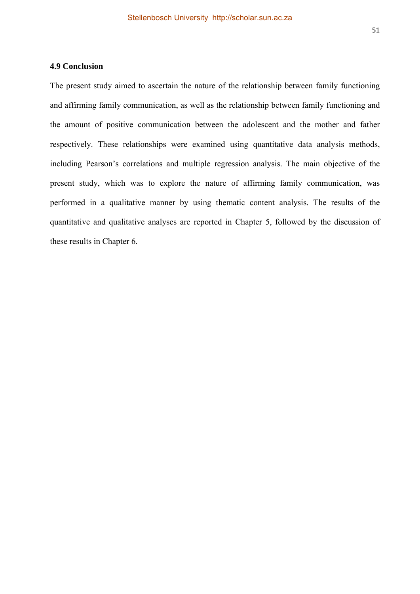The present study aimed to ascertain the nature of the relationship between family functioning and affirming family communication, as well as the relationship between family functioning and the amount of positive communication between the adolescent and the mother and father respectively. These relationships were examined using quantitative data analysis methods, including Pearson's correlations and multiple regression analysis. The main objective of the present study, which was to explore the nature of affirming family communication, was performed in a qualitative manner by using thematic content analysis. The results of the quantitative and qualitative analyses are reported in Chapter 5, followed by the discussion of these results in Chapter 6.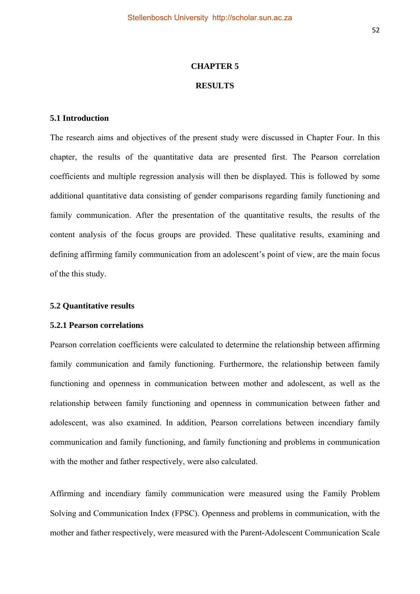## **CHAPTER 5 RESULTS**

#### **5.1 Introduction**

The research aims and objectives of the present study were discussed in Chapter Four. In this chapter, the results of the quantitative data are presented first. The Pearson correlation coefficients and multiple regression analysis will then be displayed. This is followed by some additional quantitative data consisting of gender comparisons regarding family functioning and family communication. After the presentation of the quantitative results, the results of the content analysis of the focus groups are provided. These qualitative results, examining and defining affirming family communication from an adolescent's point of view, are the main focus of the this study.

## **5.2 Quantitative results**

#### **5.2.1 Pearson correlations**

Pearson correlation coefficients were calculated to determine the relationship between affirming family communication and family functioning. Furthermore, the relationship between family functioning and openness in communication between mother and adolescent, as well as the relationship between family functioning and openness in communication between father and adolescent, was also examined. In addition, Pearson correlations between incendiary family communication and family functioning, and family functioning and problems in communication with the mother and father respectively, were also calculated.

Affirming and incendiary family communication were measured using the Family Problem Solving and Communication Index (FPSC). Openness and problems in communication, with the mother and father respectively, were measured with the Parent-Adolescent Communication Scale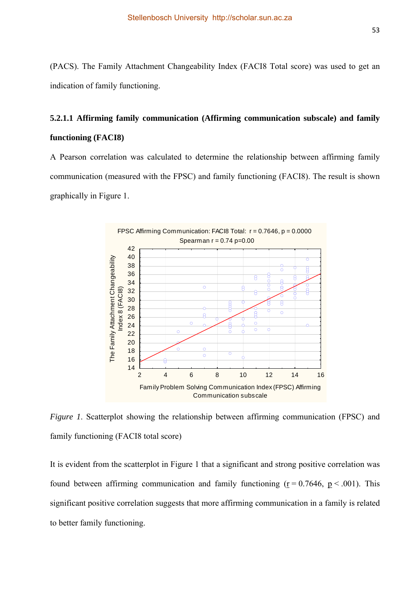(PACS). The Family Attachment Changeability Index (FACI8 Total score) was used to get an indication of family functioning.

## **5.2.1.1 Affirming family communication (Affirming communication subscale) and family functioning (FACI8)**

A Pearson correlation was calculated to determine the relationship between affirming family communication (measured with the FPSC) and family functioning (FACI8). The result is shown graphically in Figure 1.



*Figure 1*. Scatterplot showing the relationship between affirming communication (FPSC) and family functioning (FACI8 total score)

It is evident from the scatterplot in Figure 1 that a significant and strong positive correlation was found between affirming communication and family functioning ( $r = 0.7646$ ,  $p < .001$ ). This significant positive correlation suggests that more affirming communication in a family is related to better family functioning.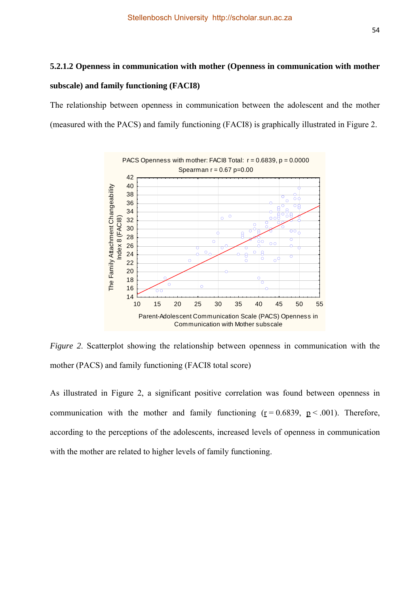## **5.2.1.2 Openness in communication with mother (Openness in communication with mother subscale) and family functioning (FACI8)**

The relationship between openness in communication between the adolescent and the mother (measured with the PACS) and family functioning (FACI8) is graphically illustrated in Figure 2.



*Figure 2*. Scatterplot showing the relationship between openness in communication with the mother (PACS) and family functioning (FACI8 total score)

As illustrated in Figure 2, a significant positive correlation was found between openness in communication with the mother and family functioning  $(r = 0.6839, p < .001)$ . Therefore, according to the perceptions of the adolescents, increased levels of openness in communication with the mother are related to higher levels of family functioning.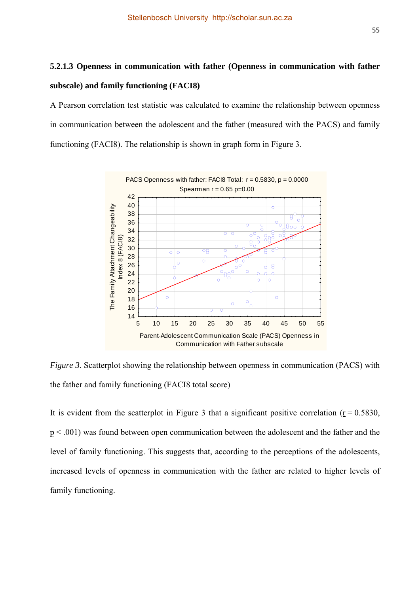## **5.2.1.3 Openness in communication with father (Openness in communication with father subscale) and family functioning (FACI8)**

A Pearson correlation test statistic was calculated to examine the relationship between openness in communication between the adolescent and the father (measured with the PACS) and family functioning (FACI8). The relationship is shown in graph form in Figure 3.



*Figure 3.* Scatterplot showing the relationship between openness in communication (PACS) with the father and family functioning (FACI8 total score)

It is evident from the scatterplot in Figure 3 that a significant positive correlation ( $r = 0.5830$ , p < .001) was found between open communication between the adolescent and the father and the level of family functioning. This suggests that, according to the perceptions of the adolescents, increased levels of openness in communication with the father are related to higher levels of family functioning.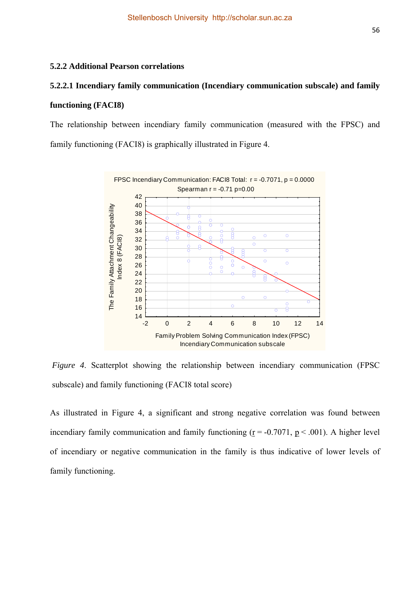## **5.2.2 Additional Pearson correlations**

# **5.2.2.1 Incendiary family communication (Incendiary communication subscale) and family**

## **functioning (FACI8)**

The relationship between incendiary family communication (measured with the FPSC) and family functioning (FACI8) is graphically illustrated in Figure 4.



*Figure 4*. Scatterplot showing the relationship between incendiary communication (FPSC subscale) and family functioning (FACI8 total score)

As illustrated in Figure 4, a significant and strong negative correlation was found between incendiary family communication and family functioning  $(r = -0.7071, p < .001)$ . A higher level of incendiary or negative communication in the family is thus indicative of lower levels of family functioning.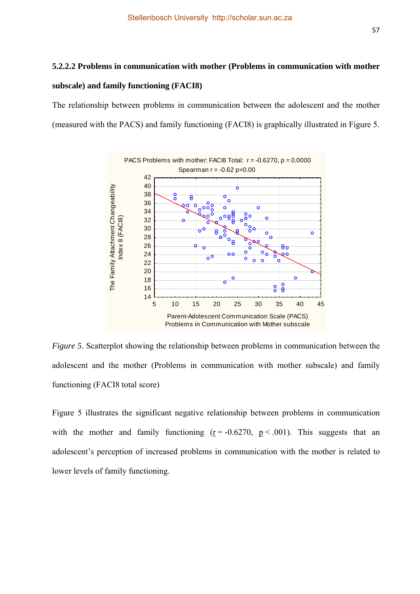## **5.2.2.2 Problems in communication with mother (Problems in communication with mother subscale) and family functioning (FACI8)**

The relationship between problems in communication between the adolescent and the mother (measured with the PACS) and family functioning (FACI8) is graphically illustrated in Figure 5.



*Figure 5*. Scatterplot showing the relationship between problems in communication between the adolescent and the mother (Problems in communication with mother subscale) and family functioning (FACI8 total score)

Figure 5 illustrates the significant negative relationship between problems in communication with the mother and family functioning  $(r = -0.6270, p < .001)$ . This suggests that an adolescent's perception of increased problems in communication with the mother is related to lower levels of family functioning.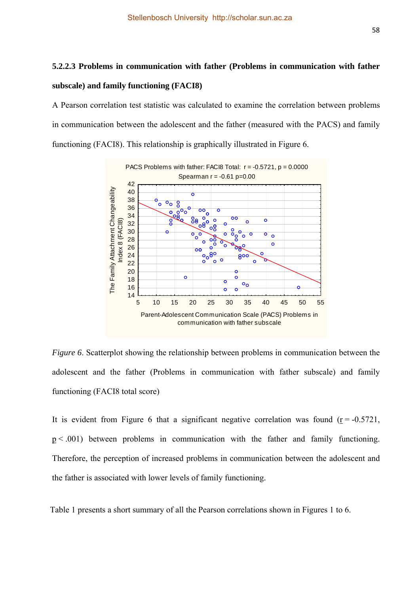# **5.2.2.3 Problems in communication with father (Problems in communication with father subscale) and family functioning (FACI8)**

A Pearson correlation test statistic was calculated to examine the correlation between problems in communication between the adolescent and the father (measured with the PACS) and family functioning (FACI8). This relationship is graphically illustrated in Figure 6.



*Figure 6*. Scatterplot showing the relationship between problems in communication between the adolescent and the father (Problems in communication with father subscale) and family functioning (FACI8 total score)

It is evident from Figure 6 that a significant negative correlation was found  $(r = -0.5721)$ ,  $p < .001$ ) between problems in communication with the father and family functioning. Therefore, the perception of increased problems in communication between the adolescent and the father is associated with lower levels of family functioning.

Table 1 presents a short summary of all the Pearson correlations shown in Figures 1 to 6.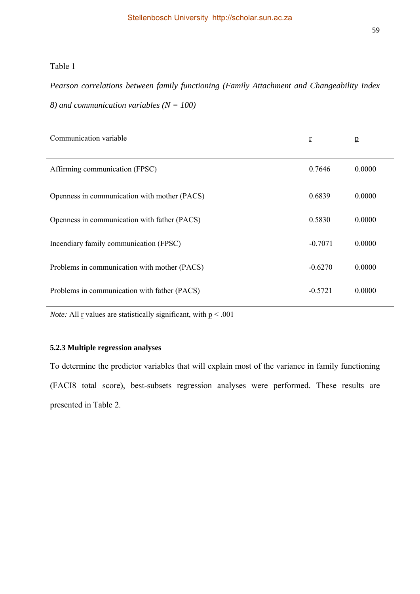### Table 1

*Pearson correlations between family functioning (Family Attachment and Changeability Index 8) and communication variables (N = 100)*

| Communication variable                       | $\mathbf{r}$ | p      |
|----------------------------------------------|--------------|--------|
| Affirming communication (FPSC)               | 0.7646       | 0.0000 |
| Openness in communication with mother (PACS) | 0.6839       | 0.0000 |
| Openness in communication with father (PACS) | 0.5830       | 0.0000 |
| Incendiary family communication (FPSC)       | $-0.7071$    | 0.0000 |
| Problems in communication with mother (PACS) | $-0.6270$    | 0.0000 |
| Problems in communication with father (PACS) | $-0.5721$    | 0.0000 |

*Note:* All  $\underline{r}$  values are statistically significant, with  $\underline{p} < .001$ 

### **5.2.3 Multiple regression analyses**

To determine the predictor variables that will explain most of the variance in family functioning (FACI8 total score), best-subsets regression analyses were performed. These results are presented in Table 2.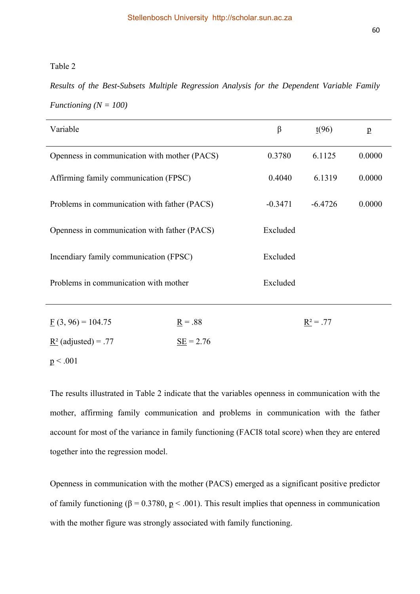### Table 2

*Results of the Best-Subsets Multiple Regression Analysis for the Dependent Variable Family Functioning (N = 100)* 

| Variable                                     | $\beta$               | $_{\frac{t(96)}{2}}$ | $\underline{p}$ |        |
|----------------------------------------------|-----------------------|----------------------|-----------------|--------|
| Openness in communication with mother (PACS) |                       | 0.3780               | 6.1125          | 0.0000 |
| Affirming family communication (FPSC)        | 0.4040                | 6.1319               | 0.0000          |        |
| Problems in communication with father (PACS) | $-0.3471$             | $-6.4726$            | 0.0000          |        |
| Openness in communication with father (PACS) |                       | Excluded             |                 |        |
| Incendiary family communication (FPSC)       |                       | Excluded             |                 |        |
| Problems in communication with mother        |                       | Excluded             |                 |        |
| $\underline{F}(3, 96) = 104.75$              | $\underline{R} = .88$ |                      | $R^2 = .77$     |        |
| $\underline{R}^2$ (adjusted) = .77           | $SE = 2.76$           |                      |                 |        |
| p < .001                                     |                       |                      |                 |        |

The results illustrated in Table 2 indicate that the variables openness in communication with the mother, affirming family communication and problems in communication with the father account for most of the variance in family functioning (FACI8 total score) when they are entered together into the regression model.

Openness in communication with the mother (PACS) emerged as a significant positive predictor of family functioning ( $\beta = 0.3780$ ,  $p < .001$ ). This result implies that openness in communication with the mother figure was strongly associated with family functioning.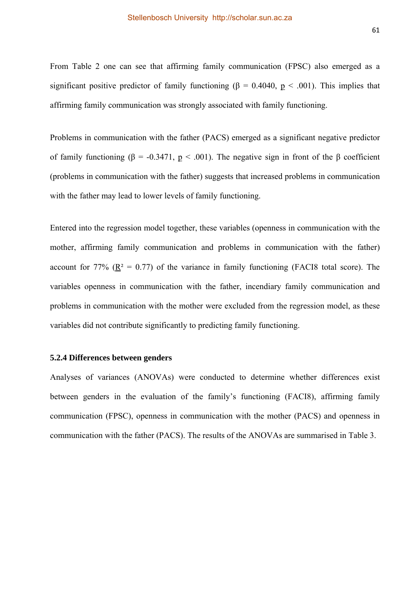From Table 2 one can see that affirming family communication (FPSC) also emerged as a significant positive predictor of family functioning ( $\beta = 0.4040$ ,  $p < .001$ ). This implies that affirming family communication was strongly associated with family functioning.

Problems in communication with the father (PACS) emerged as a significant negative predictor of family functioning (β = -0.3471,  $p$  < .001). The negative sign in front of the β coefficient (problems in communication with the father) suggests that increased problems in communication with the father may lead to lower levels of family functioning.

Entered into the regression model together, these variables (openness in communication with the mother, affirming family communication and problems in communication with the father) account for 77% ( $R^2 = 0.77$ ) of the variance in family functioning (FACI8 total score). The variables openness in communication with the father, incendiary family communication and problems in communication with the mother were excluded from the regression model, as these variables did not contribute significantly to predicting family functioning.

#### **5.2.4 Differences between genders**

Analyses of variances (ANOVAs) were conducted to determine whether differences exist between genders in the evaluation of the family's functioning (FACI8), affirming family communication (FPSC), openness in communication with the mother (PACS) and openness in communication with the father (PACS). The results of the ANOVAs are summarised in Table 3.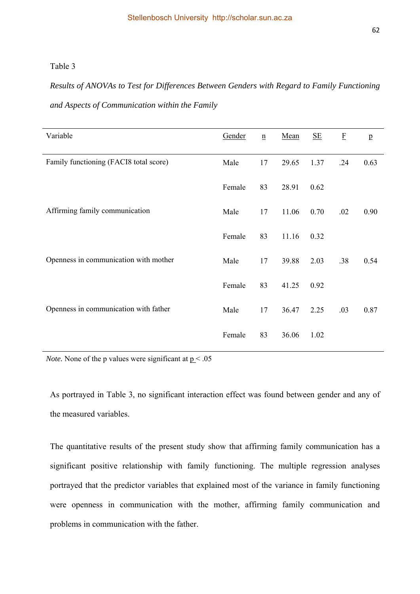## Table 3

# *Results of ANOVAs to Test for Differences Between Genders with Regard to Family Functioning and Aspects of Communication within the Family*

| Variable                               | Gender | $\underline{n}$ | Mean  | <u>SE</u> | $\mathbf F$ | $\, {\bf p}$ |
|----------------------------------------|--------|-----------------|-------|-----------|-------------|--------------|
| Family functioning (FACI8 total score) | Male   | 17              | 29.65 | 1.37      | .24         | 0.63         |
|                                        | Female | 83              | 28.91 | 0.62      |             |              |
| Affirming family communication         | Male   | 17              | 11.06 | 0.70      | .02         | 0.90         |
|                                        | Female | 83              | 11.16 | 0.32      |             |              |
| Openness in communication with mother  | Male   | 17              | 39.88 | 2.03      | .38         | 0.54         |
|                                        | Female | 83              | 41.25 | 0.92      |             |              |
| Openness in communication with father  | Male   | 17              | 36.47 | 2.25      | .03         | 0.87         |
|                                        | Female | 83              | 36.06 | 1.02      |             |              |

*Note.* None of the p values were significant at  $p < .05$ 

As portrayed in Table 3, no significant interaction effect was found between gender and any of the measured variables.

The quantitative results of the present study show that affirming family communication has a significant positive relationship with family functioning. The multiple regression analyses portrayed that the predictor variables that explained most of the variance in family functioning were openness in communication with the mother, affirming family communication and problems in communication with the father.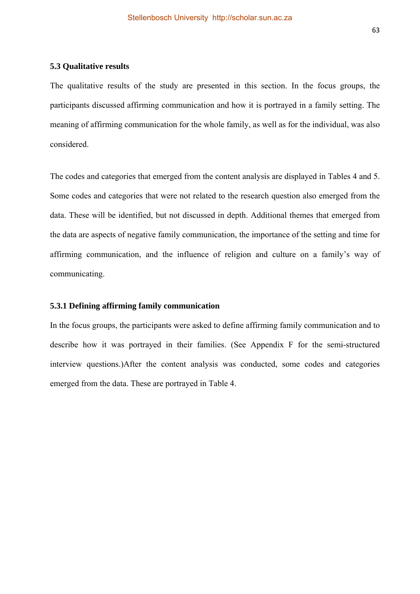The qualitative results of the study are presented in this section. In the focus groups, the participants discussed affirming communication and how it is portrayed in a family setting. The meaning of affirming communication for the whole family, as well as for the individual, was also considered.

The codes and categories that emerged from the content analysis are displayed in Tables 4 and 5. Some codes and categories that were not related to the research question also emerged from the data. These will be identified, but not discussed in depth. Additional themes that emerged from the data are aspects of negative family communication, the importance of the setting and time for affirming communication, and the influence of religion and culture on a family's way of communicating.

## **5.3.1 Defining affirming family communication**

In the focus groups, the participants were asked to define affirming family communication and to describe how it was portrayed in their families. (See Appendix F for the semi-structured interview questions.)After the content analysis was conducted, some codes and categories emerged from the data. These are portrayed in Table 4.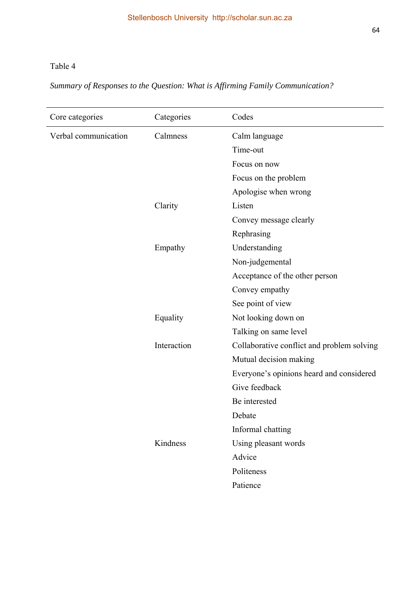# Table 4

*Summary of Responses to the Question: What is Affirming Family Communication?* 

| Core categories      | Categories  | Codes                                      |
|----------------------|-------------|--------------------------------------------|
| Verbal communication | Calmness    | Calm language                              |
|                      |             | Time-out                                   |
|                      |             | Focus on now                               |
|                      |             | Focus on the problem                       |
|                      |             | Apologise when wrong                       |
|                      | Clarity     | Listen                                     |
|                      |             | Convey message clearly                     |
|                      |             | Rephrasing                                 |
|                      | Empathy     | Understanding                              |
|                      |             | Non-judgemental                            |
|                      |             | Acceptance of the other person             |
|                      |             | Convey empathy                             |
|                      |             | See point of view                          |
|                      | Equality    | Not looking down on                        |
|                      |             | Talking on same level                      |
|                      | Interaction | Collaborative conflict and problem solving |
|                      |             | Mutual decision making                     |
|                      |             | Everyone's opinions heard and considered   |
|                      |             | Give feedback                              |
|                      |             | Be interested                              |
|                      |             | Debate                                     |
|                      |             | Informal chatting                          |
|                      | Kindness    | Using pleasant words                       |
|                      |             | Advice                                     |
|                      |             | Politeness                                 |
|                      |             | Patience                                   |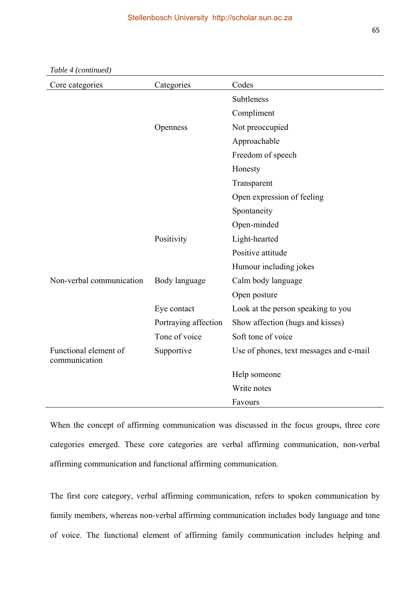| Core categories                        | Categories           | Codes                                   |
|----------------------------------------|----------------------|-----------------------------------------|
|                                        |                      | Subtleness                              |
|                                        |                      | Compliment                              |
|                                        | Openness             | Not preoccupied                         |
|                                        |                      | Approachable                            |
|                                        |                      | Freedom of speech                       |
|                                        |                      | Honesty                                 |
|                                        |                      | Transparent                             |
|                                        |                      | Open expression of feeling              |
|                                        |                      | Spontaneity                             |
|                                        |                      | Open-minded                             |
|                                        | Positivity           | Light-hearted                           |
|                                        |                      | Positive attitude                       |
|                                        |                      | Humour including jokes                  |
| Non-verbal communication               | Body language        | Calm body language                      |
|                                        |                      | Open posture                            |
|                                        | Eye contact          | Look at the person speaking to you      |
|                                        | Portraying affection | Show affection (hugs and kisses)        |
|                                        | Tone of voice        | Soft tone of voice                      |
| Functional element of<br>communication | Supportive           | Use of phones, text messages and e-mail |
|                                        |                      | Help someone                            |
|                                        |                      | Write notes                             |
|                                        |                      | Favours                                 |

*Table 4 (continued)* 

When the concept of affirming communication was discussed in the focus groups, three core categories emerged. These core categories are verbal affirming communication, non-verbal affirming communication and functional affirming communication.

The first core category, verbal affirming communication, refers to spoken communication by family members, whereas non-verbal affirming communication includes body language and tone of voice. The functional element of affirming family communication includes helping and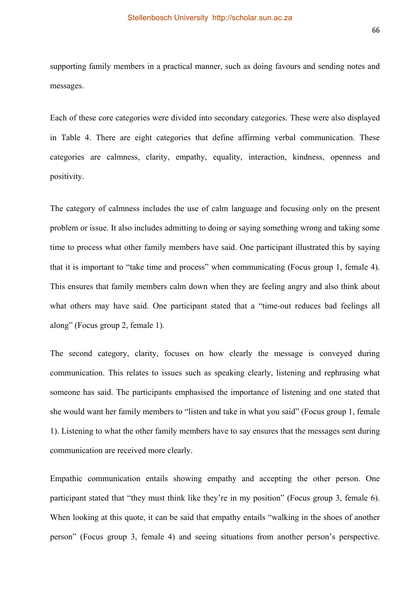supporting family members in a practical manner, such as doing favours and sending notes and messages.

Each of these core categories were divided into secondary categories. These were also displayed in Table 4. There are eight categories that define affirming verbal communication. These categories are calmness, clarity, empathy, equality, interaction, kindness, openness and positivity.

The category of calmness includes the use of calm language and focusing only on the present problem or issue. It also includes admitting to doing or saying something wrong and taking some time to process what other family members have said. One participant illustrated this by saying that it is important to "take time and process" when communicating (Focus group 1, female 4). This ensures that family members calm down when they are feeling angry and also think about what others may have said. One participant stated that a "time-out reduces bad feelings all along" (Focus group 2, female 1).

The second category, clarity, focuses on how clearly the message is conveyed during communication. This relates to issues such as speaking clearly, listening and rephrasing what someone has said. The participants emphasised the importance of listening and one stated that she would want her family members to "listen and take in what you said" (Focus group 1, female 1). Listening to what the other family members have to say ensures that the messages sent during communication are received more clearly.

Empathic communication entails showing empathy and accepting the other person. One participant stated that "they must think like they're in my position" (Focus group 3, female 6). When looking at this quote, it can be said that empathy entails "walking in the shoes of another person" (Focus group 3, female 4) and seeing situations from another person's perspective.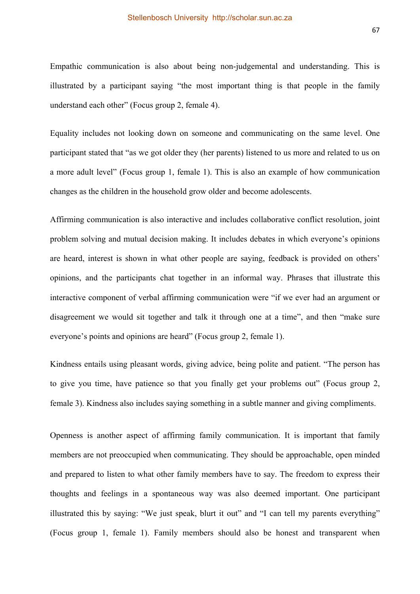Empathic communication is also about being non-judgemental and understanding. This is illustrated by a participant saying "the most important thing is that people in the family understand each other" (Focus group 2, female 4).

Equality includes not looking down on someone and communicating on the same level. One participant stated that "as we got older they (her parents) listened to us more and related to us on a more adult level" (Focus group 1, female 1). This is also an example of how communication changes as the children in the household grow older and become adolescents.

Affirming communication is also interactive and includes collaborative conflict resolution, joint problem solving and mutual decision making. It includes debates in which everyone's opinions are heard, interest is shown in what other people are saying, feedback is provided on others' opinions, and the participants chat together in an informal way. Phrases that illustrate this interactive component of verbal affirming communication were "if we ever had an argument or disagreement we would sit together and talk it through one at a time", and then "make sure everyone's points and opinions are heard" (Focus group 2, female 1).

Kindness entails using pleasant words, giving advice, being polite and patient. "The person has to give you time, have patience so that you finally get your problems out" (Focus group 2, female 3). Kindness also includes saying something in a subtle manner and giving compliments.

Openness is another aspect of affirming family communication. It is important that family members are not preoccupied when communicating. They should be approachable, open minded and prepared to listen to what other family members have to say. The freedom to express their thoughts and feelings in a spontaneous way was also deemed important. One participant illustrated this by saying: "We just speak, blurt it out" and "I can tell my parents everything" (Focus group 1, female 1). Family members should also be honest and transparent when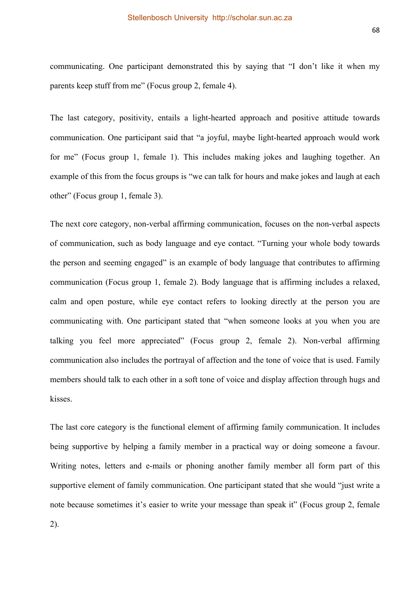communicating. One participant demonstrated this by saying that "I don't like it when my parents keep stuff from me" (Focus group 2, female 4).

The last category, positivity, entails a light-hearted approach and positive attitude towards communication. One participant said that "a joyful, maybe light-hearted approach would work for me" (Focus group 1, female 1). This includes making jokes and laughing together. An example of this from the focus groups is "we can talk for hours and make jokes and laugh at each other" (Focus group 1, female 3).

The next core category, non-verbal affirming communication, focuses on the non-verbal aspects of communication, such as body language and eye contact. "Turning your whole body towards the person and seeming engaged" is an example of body language that contributes to affirming communication (Focus group 1, female 2). Body language that is affirming includes a relaxed, calm and open posture, while eye contact refers to looking directly at the person you are communicating with. One participant stated that "when someone looks at you when you are talking you feel more appreciated" (Focus group 2, female 2). Non-verbal affirming communication also includes the portrayal of affection and the tone of voice that is used. Family members should talk to each other in a soft tone of voice and display affection through hugs and kisses.

The last core category is the functional element of affirming family communication. It includes being supportive by helping a family member in a practical way or doing someone a favour. Writing notes, letters and e-mails or phoning another family member all form part of this supportive element of family communication. One participant stated that she would "just write a note because sometimes it's easier to write your message than speak it" (Focus group 2, female 2).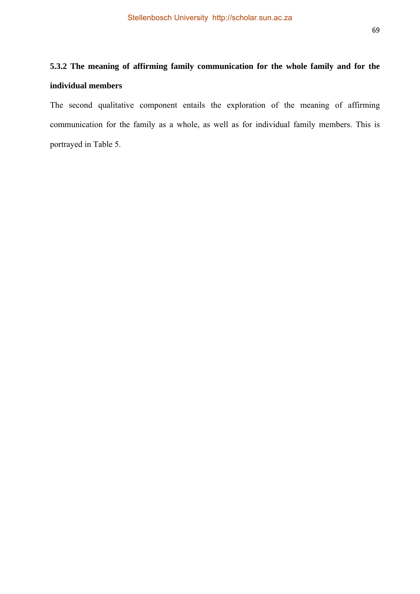# **5.3.2 The meaning of affirming family communication for the whole family and for the individual members**

The second qualitative component entails the exploration of the meaning of affirming communication for the family as a whole, as well as for individual family members. This is portrayed in Table 5.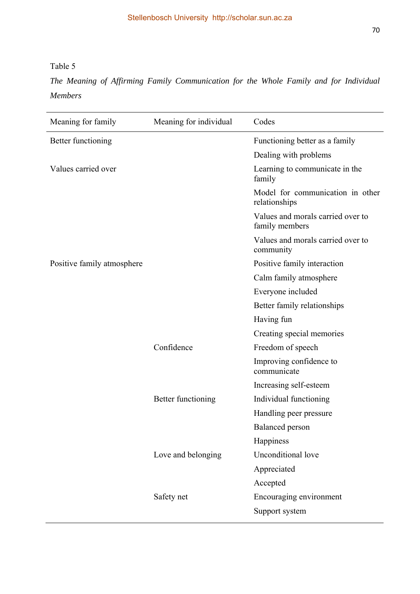Table 5

*The Meaning of Affirming Family Communication for the Whole Family and for Individual Members* 

| Meaning for family         | Meaning for individual | Codes                                               |
|----------------------------|------------------------|-----------------------------------------------------|
| Better functioning         |                        | Functioning better as a family                      |
|                            |                        | Dealing with problems                               |
| Values carried over        |                        | Learning to communicate in the<br>family            |
|                            |                        | Model for communication in other<br>relationships   |
|                            |                        | Values and morals carried over to<br>family members |
|                            |                        | Values and morals carried over to<br>community      |
| Positive family atmosphere |                        | Positive family interaction                         |
|                            |                        | Calm family atmosphere                              |
|                            |                        | Everyone included                                   |
|                            |                        | Better family relationships                         |
|                            |                        | Having fun                                          |
|                            |                        | Creating special memories                           |
|                            | Confidence             | Freedom of speech                                   |
|                            |                        | Improving confidence to<br>communicate              |
|                            |                        | Increasing self-esteem                              |
|                            | Better functioning     | Individual functioning                              |
|                            |                        | Handling peer pressure                              |
|                            |                        | <b>Balanced</b> person                              |
|                            |                        | Happiness                                           |
|                            | Love and belonging     | Unconditional love                                  |
|                            |                        | Appreciated                                         |
|                            |                        | Accepted                                            |
|                            | Safety net             | Encouraging environment                             |
|                            |                        | Support system                                      |
|                            |                        |                                                     |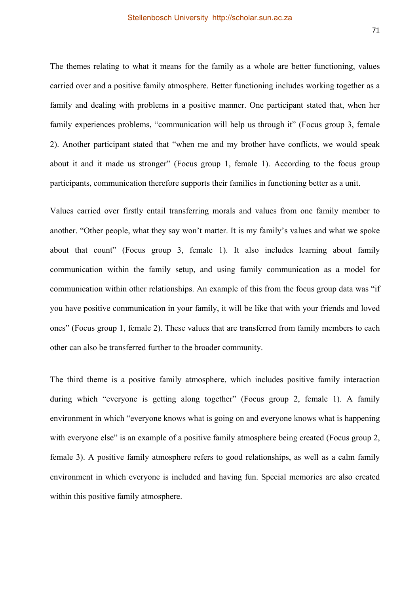The themes relating to what it means for the family as a whole are better functioning, values carried over and a positive family atmosphere. Better functioning includes working together as a family and dealing with problems in a positive manner. One participant stated that, when her family experiences problems, "communication will help us through it" (Focus group 3, female 2). Another participant stated that "when me and my brother have conflicts, we would speak about it and it made us stronger" (Focus group 1, female 1). According to the focus group participants, communication therefore supports their families in functioning better as a unit.

Values carried over firstly entail transferring morals and values from one family member to another. "Other people, what they say won't matter. It is my family's values and what we spoke about that count" (Focus group 3, female 1). It also includes learning about family communication within the family setup, and using family communication as a model for communication within other relationships. An example of this from the focus group data was "if you have positive communication in your family, it will be like that with your friends and loved ones" (Focus group 1, female 2). These values that are transferred from family members to each other can also be transferred further to the broader community.

The third theme is a positive family atmosphere, which includes positive family interaction during which "everyone is getting along together" (Focus group 2, female 1). A family environment in which "everyone knows what is going on and everyone knows what is happening with everyone else" is an example of a positive family atmosphere being created (Focus group 2, female 3). A positive family atmosphere refers to good relationships, as well as a calm family environment in which everyone is included and having fun. Special memories are also created within this positive family atmosphere.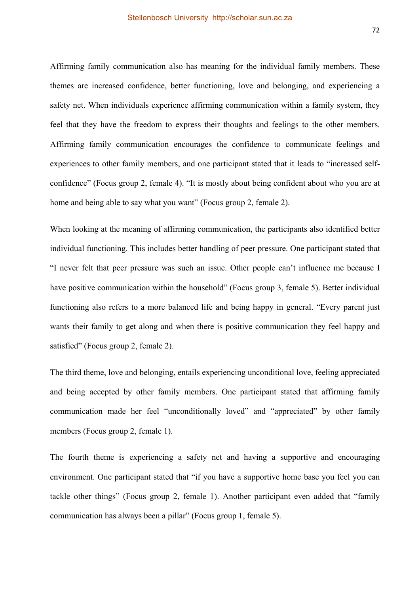Affirming family communication also has meaning for the individual family members. These themes are increased confidence, better functioning, love and belonging, and experiencing a safety net. When individuals experience affirming communication within a family system, they feel that they have the freedom to express their thoughts and feelings to the other members. Affirming family communication encourages the confidence to communicate feelings and experiences to other family members, and one participant stated that it leads to "increased selfconfidence" (Focus group 2, female 4). "It is mostly about being confident about who you are at home and being able to say what you want" (Focus group 2, female 2).

When looking at the meaning of affirming communication, the participants also identified better individual functioning. This includes better handling of peer pressure. One participant stated that "I never felt that peer pressure was such an issue. Other people can't influence me because I have positive communication within the household" (Focus group 3, female 5). Better individual functioning also refers to a more balanced life and being happy in general. "Every parent just wants their family to get along and when there is positive communication they feel happy and satisfied" (Focus group 2, female 2).

The third theme, love and belonging, entails experiencing unconditional love, feeling appreciated and being accepted by other family members. One participant stated that affirming family communication made her feel "unconditionally loved" and "appreciated" by other family members (Focus group 2, female 1).

The fourth theme is experiencing a safety net and having a supportive and encouraging environment. One participant stated that "if you have a supportive home base you feel you can tackle other things" (Focus group 2, female 1). Another participant even added that "family communication has always been a pillar" (Focus group 1, female 5).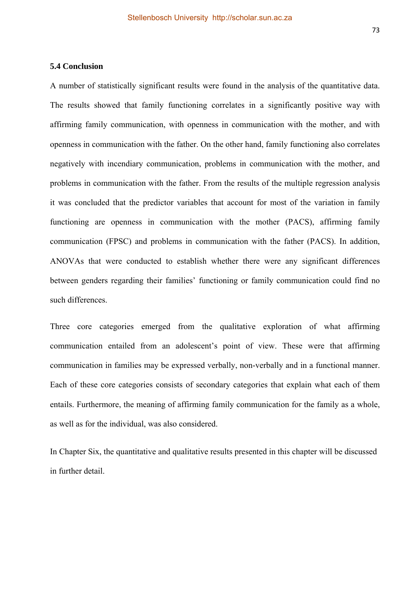A number of statistically significant results were found in the analysis of the quantitative data. The results showed that family functioning correlates in a significantly positive way with affirming family communication, with openness in communication with the mother, and with openness in communication with the father. On the other hand, family functioning also correlates negatively with incendiary communication, problems in communication with the mother, and problems in communication with the father. From the results of the multiple regression analysis it was concluded that the predictor variables that account for most of the variation in family functioning are openness in communication with the mother (PACS), affirming family communication (FPSC) and problems in communication with the father (PACS). In addition, ANOVAs that were conducted to establish whether there were any significant differences between genders regarding their families' functioning or family communication could find no such differences.

Three core categories emerged from the qualitative exploration of what affirming communication entailed from an adolescent's point of view. These were that affirming communication in families may be expressed verbally, non-verbally and in a functional manner. Each of these core categories consists of secondary categories that explain what each of them entails. Furthermore, the meaning of affirming family communication for the family as a whole, as well as for the individual, was also considered.

In Chapter Six, the quantitative and qualitative results presented in this chapter will be discussed in further detail.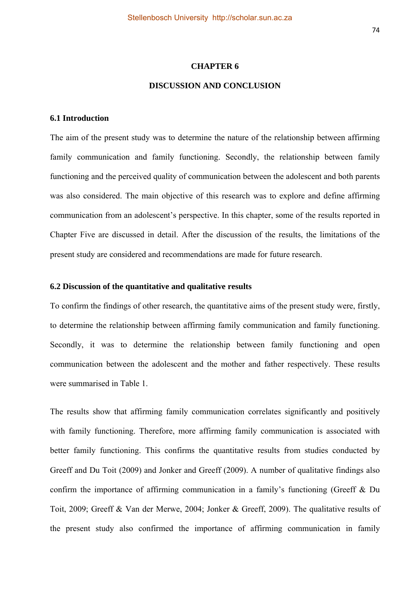#### **CHAPTER 6**

## **DISCUSSION AND CONCLUSION**

#### **6.1 Introduction**

The aim of the present study was to determine the nature of the relationship between affirming family communication and family functioning. Secondly, the relationship between family functioning and the perceived quality of communication between the adolescent and both parents was also considered. The main objective of this research was to explore and define affirming communication from an adolescent's perspective. In this chapter, some of the results reported in Chapter Five are discussed in detail. After the discussion of the results, the limitations of the present study are considered and recommendations are made for future research.

#### **6.2 Discussion of the quantitative and qualitative results**

To confirm the findings of other research, the quantitative aims of the present study were, firstly, to determine the relationship between affirming family communication and family functioning. Secondly, it was to determine the relationship between family functioning and open communication between the adolescent and the mother and father respectively. These results were summarised in Table 1.

The results show that affirming family communication correlates significantly and positively with family functioning. Therefore, more affirming family communication is associated with better family functioning. This confirms the quantitative results from studies conducted by Greeff and Du Toit (2009) and Jonker and Greeff (2009). A number of qualitative findings also confirm the importance of affirming communication in a family's functioning (Greeff & Du Toit, 2009; Greeff & Van der Merwe, 2004; Jonker & Greeff, 2009). The qualitative results of the present study also confirmed the importance of affirming communication in family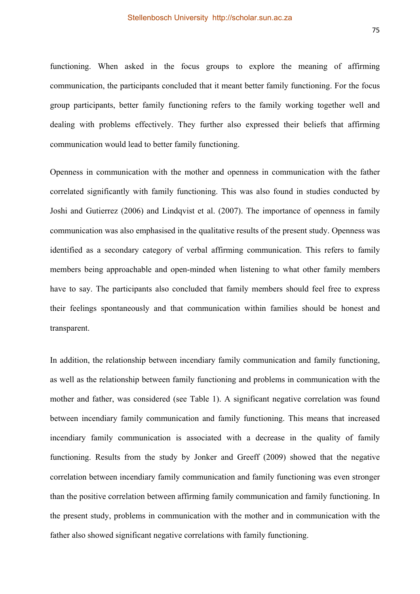functioning. When asked in the focus groups to explore the meaning of affirming communication, the participants concluded that it meant better family functioning. For the focus group participants, better family functioning refers to the family working together well and dealing with problems effectively. They further also expressed their beliefs that affirming communication would lead to better family functioning.

Openness in communication with the mother and openness in communication with the father correlated significantly with family functioning. This was also found in studies conducted by Joshi and Gutierrez (2006) and Lindqvist et al. (2007). The importance of openness in family communication was also emphasised in the qualitative results of the present study. Openness was identified as a secondary category of verbal affirming communication. This refers to family members being approachable and open-minded when listening to what other family members have to say. The participants also concluded that family members should feel free to express their feelings spontaneously and that communication within families should be honest and transparent.

In addition, the relationship between incendiary family communication and family functioning, as well as the relationship between family functioning and problems in communication with the mother and father, was considered (see Table 1). A significant negative correlation was found between incendiary family communication and family functioning. This means that increased incendiary family communication is associated with a decrease in the quality of family functioning. Results from the study by Jonker and Greeff (2009) showed that the negative correlation between incendiary family communication and family functioning was even stronger than the positive correlation between affirming family communication and family functioning. In the present study, problems in communication with the mother and in communication with the father also showed significant negative correlations with family functioning.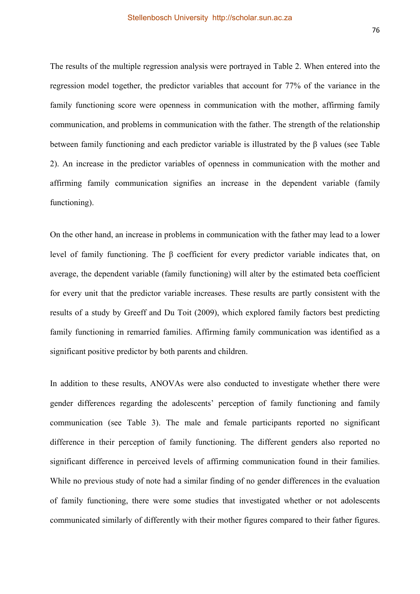The results of the multiple regression analysis were portrayed in Table 2. When entered into the regression model together, the predictor variables that account for 77% of the variance in the family functioning score were openness in communication with the mother, affirming family communication, and problems in communication with the father. The strength of the relationship between family functioning and each predictor variable is illustrated by the β values (see Table 2). An increase in the predictor variables of openness in communication with the mother and affirming family communication signifies an increase in the dependent variable (family functioning).

On the other hand, an increase in problems in communication with the father may lead to a lower level of family functioning. The β coefficient for every predictor variable indicates that, on average, the dependent variable (family functioning) will alter by the estimated beta coefficient for every unit that the predictor variable increases. These results are partly consistent with the results of a study by Greeff and Du Toit (2009), which explored family factors best predicting family functioning in remarried families. Affirming family communication was identified as a significant positive predictor by both parents and children.

In addition to these results, ANOVAs were also conducted to investigate whether there were gender differences regarding the adolescents' perception of family functioning and family communication (see Table 3). The male and female participants reported no significant difference in their perception of family functioning. The different genders also reported no significant difference in perceived levels of affirming communication found in their families. While no previous study of note had a similar finding of no gender differences in the evaluation of family functioning, there were some studies that investigated whether or not adolescents communicated similarly of differently with their mother figures compared to their father figures.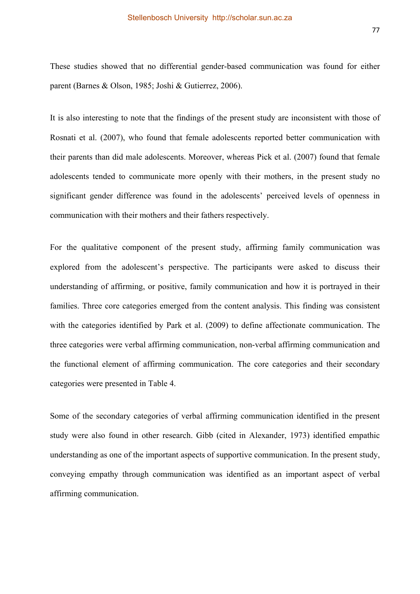These studies showed that no differential gender-based communication was found for either parent (Barnes & Olson, 1985; Joshi & Gutierrez, 2006).

It is also interesting to note that the findings of the present study are inconsistent with those of Rosnati et al. (2007), who found that female adolescents reported better communication with their parents than did male adolescents. Moreover, whereas Pick et al. (2007) found that female adolescents tended to communicate more openly with their mothers, in the present study no significant gender difference was found in the adolescents' perceived levels of openness in communication with their mothers and their fathers respectively.

For the qualitative component of the present study, affirming family communication was explored from the adolescent's perspective. The participants were asked to discuss their understanding of affirming, or positive, family communication and how it is portrayed in their families. Three core categories emerged from the content analysis. This finding was consistent with the categories identified by Park et al. (2009) to define affectionate communication. The three categories were verbal affirming communication, non-verbal affirming communication and the functional element of affirming communication. The core categories and their secondary categories were presented in Table 4.

Some of the secondary categories of verbal affirming communication identified in the present study were also found in other research. Gibb (cited in Alexander, 1973) identified empathic understanding as one of the important aspects of supportive communication. In the present study, conveying empathy through communication was identified as an important aspect of verbal affirming communication.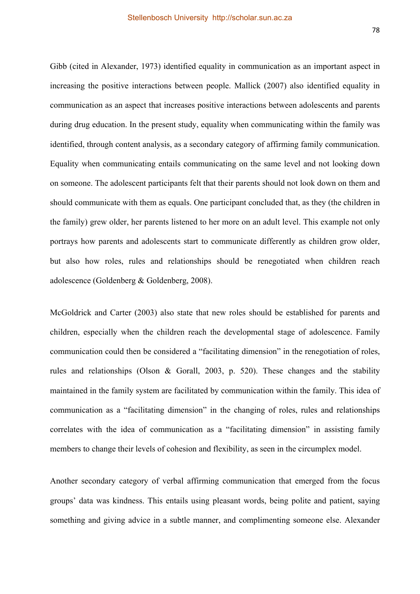Gibb (cited in Alexander, 1973) identified equality in communication as an important aspect in increasing the positive interactions between people. Mallick (2007) also identified equality in communication as an aspect that increases positive interactions between adolescents and parents during drug education. In the present study, equality when communicating within the family was identified, through content analysis, as a secondary category of affirming family communication. Equality when communicating entails communicating on the same level and not looking down on someone. The adolescent participants felt that their parents should not look down on them and should communicate with them as equals. One participant concluded that, as they (the children in the family) grew older, her parents listened to her more on an adult level. This example not only portrays how parents and adolescents start to communicate differently as children grow older, but also how roles, rules and relationships should be renegotiated when children reach adolescence (Goldenberg & Goldenberg, 2008).

McGoldrick and Carter (2003) also state that new roles should be established for parents and children, especially when the children reach the developmental stage of adolescence. Family communication could then be considered a "facilitating dimension" in the renegotiation of roles, rules and relationships (Olson & Gorall, 2003, p. 520). These changes and the stability maintained in the family system are facilitated by communication within the family. This idea of communication as a "facilitating dimension" in the changing of roles, rules and relationships correlates with the idea of communication as a "facilitating dimension" in assisting family members to change their levels of cohesion and flexibility, as seen in the circumplex model.

Another secondary category of verbal affirming communication that emerged from the focus groups' data was kindness. This entails using pleasant words, being polite and patient, saying something and giving advice in a subtle manner, and complimenting someone else. Alexander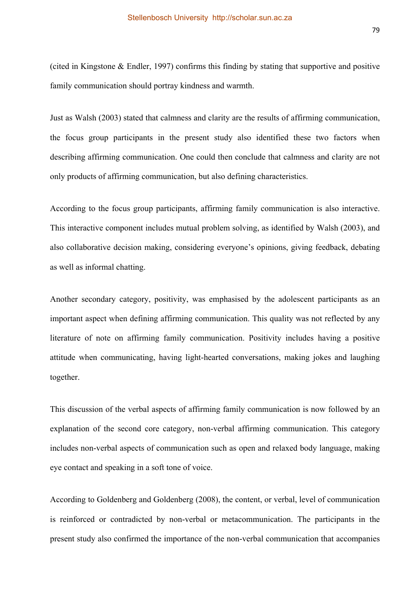(cited in Kingstone & Endler, 1997) confirms this finding by stating that supportive and positive family communication should portray kindness and warmth.

Just as Walsh (2003) stated that calmness and clarity are the results of affirming communication, the focus group participants in the present study also identified these two factors when describing affirming communication. One could then conclude that calmness and clarity are not only products of affirming communication, but also defining characteristics.

According to the focus group participants, affirming family communication is also interactive. This interactive component includes mutual problem solving, as identified by Walsh (2003), and also collaborative decision making, considering everyone's opinions, giving feedback, debating as well as informal chatting.

Another secondary category, positivity, was emphasised by the adolescent participants as an important aspect when defining affirming communication. This quality was not reflected by any literature of note on affirming family communication. Positivity includes having a positive attitude when communicating, having light-hearted conversations, making jokes and laughing together.

This discussion of the verbal aspects of affirming family communication is now followed by an explanation of the second core category, non-verbal affirming communication. This category includes non-verbal aspects of communication such as open and relaxed body language, making eye contact and speaking in a soft tone of voice.

According to Goldenberg and Goldenberg (2008), the content, or verbal, level of communication is reinforced or contradicted by non-verbal or metacommunication. The participants in the present study also confirmed the importance of the non-verbal communication that accompanies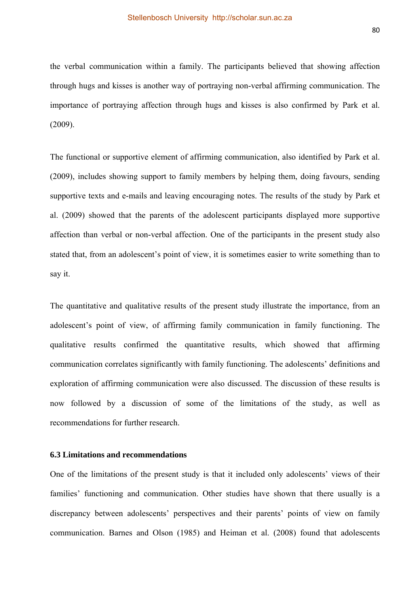the verbal communication within a family. The participants believed that showing affection through hugs and kisses is another way of portraying non-verbal affirming communication. The importance of portraying affection through hugs and kisses is also confirmed by Park et al. (2009).

The functional or supportive element of affirming communication, also identified by Park et al. (2009), includes showing support to family members by helping them, doing favours, sending supportive texts and e-mails and leaving encouraging notes. The results of the study by Park et al. (2009) showed that the parents of the adolescent participants displayed more supportive affection than verbal or non-verbal affection. One of the participants in the present study also stated that, from an adolescent's point of view, it is sometimes easier to write something than to say it.

The quantitative and qualitative results of the present study illustrate the importance, from an adolescent's point of view, of affirming family communication in family functioning. The qualitative results confirmed the quantitative results, which showed that affirming communication correlates significantly with family functioning. The adolescents' definitions and exploration of affirming communication were also discussed. The discussion of these results is now followed by a discussion of some of the limitations of the study, as well as recommendations for further research.

#### **6.3 Limitations and recommendations**

One of the limitations of the present study is that it included only adolescents' views of their families' functioning and communication. Other studies have shown that there usually is a discrepancy between adolescents' perspectives and their parents' points of view on family communication. Barnes and Olson (1985) and Heiman et al. (2008) found that adolescents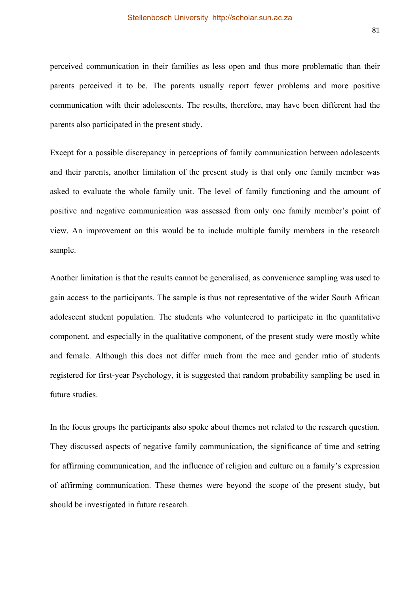perceived communication in their families as less open and thus more problematic than their parents perceived it to be. The parents usually report fewer problems and more positive communication with their adolescents. The results, therefore, may have been different had the parents also participated in the present study.

Except for a possible discrepancy in perceptions of family communication between adolescents and their parents, another limitation of the present study is that only one family member was asked to evaluate the whole family unit. The level of family functioning and the amount of positive and negative communication was assessed from only one family member's point of view. An improvement on this would be to include multiple family members in the research sample.

Another limitation is that the results cannot be generalised, as convenience sampling was used to gain access to the participants. The sample is thus not representative of the wider South African adolescent student population. The students who volunteered to participate in the quantitative component, and especially in the qualitative component, of the present study were mostly white and female. Although this does not differ much from the race and gender ratio of students registered for first-year Psychology, it is suggested that random probability sampling be used in future studies.

In the focus groups the participants also spoke about themes not related to the research question. They discussed aspects of negative family communication, the significance of time and setting for affirming communication, and the influence of religion and culture on a family's expression of affirming communication. These themes were beyond the scope of the present study, but should be investigated in future research.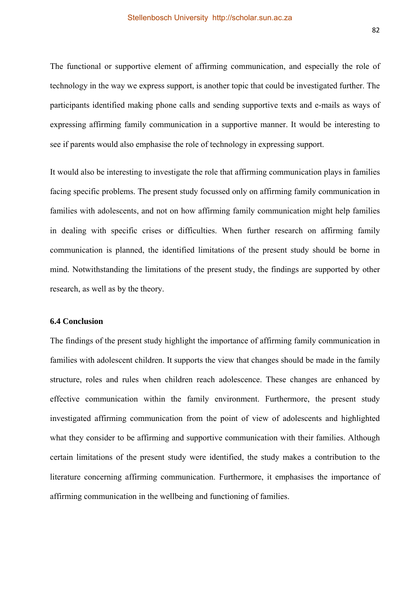The functional or supportive element of affirming communication, and especially the role of technology in the way we express support, is another topic that could be investigated further. The participants identified making phone calls and sending supportive texts and e-mails as ways of expressing affirming family communication in a supportive manner. It would be interesting to see if parents would also emphasise the role of technology in expressing support.

It would also be interesting to investigate the role that affirming communication plays in families facing specific problems. The present study focussed only on affirming family communication in families with adolescents, and not on how affirming family communication might help families in dealing with specific crises or difficulties. When further research on affirming family communication is planned, the identified limitations of the present study should be borne in mind. Notwithstanding the limitations of the present study, the findings are supported by other research, as well as by the theory.

### **6.4 Conclusion**

The findings of the present study highlight the importance of affirming family communication in families with adolescent children. It supports the view that changes should be made in the family structure, roles and rules when children reach adolescence. These changes are enhanced by effective communication within the family environment. Furthermore, the present study investigated affirming communication from the point of view of adolescents and highlighted what they consider to be affirming and supportive communication with their families. Although certain limitations of the present study were identified, the study makes a contribution to the literature concerning affirming communication. Furthermore, it emphasises the importance of affirming communication in the wellbeing and functioning of families.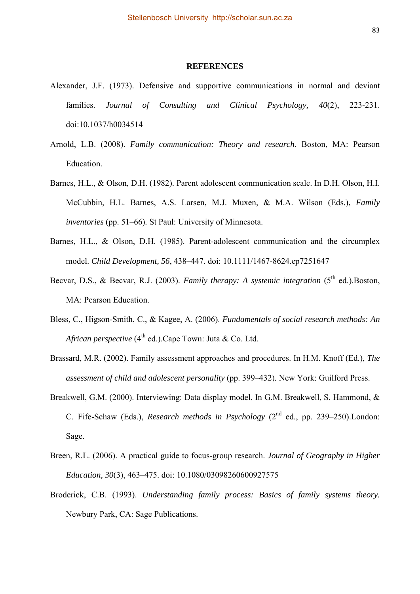#### **REFERENCES**

- Alexander, J.F. (1973). Defensive and supportive communications in normal and deviant families. *Journal of Consulting and Clinical Psychology, 40*(2), 223-231. doi:10.1037/h0034514
- Arnold, L.B. (2008). *Family communication: Theory and research.* Boston, MA: Pearson Education.
- Barnes, H.L., & Olson, D.H. (1982). Parent adolescent communication scale. In D.H. Olson, H.I. McCubbin, H.L. Barnes, A.S. Larsen, M.J. Muxen, & M.A. Wilson (Eds.), *Family inventories* (pp. 51–66)*.* St Paul: University of Minnesota.
- Barnes, H.L., & Olson, D.H. (1985). Parent-adolescent communication and the circumplex model. *Child Development, 56*, 438–447. doi: 10.1111/1467-8624.ep7251647
- Becvar, D.S., & Becvar, R.J. (2003). *Family therapy: A systemic integration* (5<sup>th</sup> ed.). Boston, MA: Pearson Education.
- Bless, C., Higson-Smith, C., & Kagee, A. (2006). *Fundamentals of social research methods: An African perspective* (4<sup>th</sup> ed.).Cape Town: Juta & Co. Ltd.
- Brassard, M.R. (2002). Family assessment approaches and procedures. In H.M. Knoff (Ed.), *The assessment of child and adolescent personality* (pp. 399–432)*.* New York: Guilford Press.
- Breakwell, G.M. (2000). Interviewing: Data display model. In G.M. Breakwell, S. Hammond, & C. Fife-Schaw (Eds.), *Research methods in Psychology* (2<sup>nd</sup> ed., pp. 239–250).London: Sage.
- Breen, R.L. (2006). A practical guide to focus-group research. *Journal of Geography in Higher Education, 30*(3), 463–475. doi: 10.1080/03098260600927575
- Broderick, C.B. (1993). *Understanding family process: Basics of family systems theory.*  Newbury Park, CA: Sage Publications.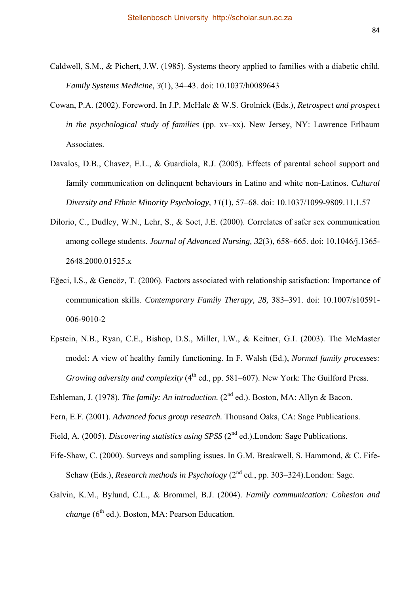- Caldwell, S.M., & Pichert, J.W. (1985). Systems theory applied to families with a diabetic child. *Family Systems Medicine, 3*(1), 34–43. doi: 10.1037/h0089643
- Cowan, P.A. (2002). Foreword. In J.P. McHale & W.S. Grolnick (Eds.), *Retrospect and prospect in the psychological study of families* (pp. xv–xx). New Jersey, NY: Lawrence Erlbaum Associates.
- Davalos, D.B., Chavez, E.L., & Guardiola, R.J. (2005). Effects of parental school support and family communication on delinquent behaviours in Latino and white non-Latinos. *Cultural Diversity and Ethnic Minority Psychology, 11*(1), 57–68. doi: 10.1037/1099-9809.11.1.57
- Dilorio, C., Dudley, W.N., Lehr, S., & Soet, J.E. (2000). Correlates of safer sex communication among college students. *Journal of Advanced Nursing, 32*(3), 658–665. doi: 10.1046/j.1365- 2648.2000.01525.x
- Eğeci, I.S., & Gencöz, T. (2006). Factors associated with relationship satisfaction: Importance of communication skills. *Contemporary Family Therapy, 28,* 383–391. doi: 10.1007/s10591- 006-9010-2
- Epstein, N.B., Ryan, C.E., Bishop, D.S., Miller, I.W., & Keitner, G.I. (2003). The McMaster model: A view of healthy family functioning. In F. Walsh (Ed.), *Normal family processes: Growing adversity and complexity* (4<sup>th</sup> ed., pp. 581–607). New York: The Guilford Press.

Eshleman, J. (1978). *The family: An introduction.* (2<sup>nd</sup> ed.). Boston, MA: Allyn & Bacon.

Fern, E.F. (2001). *Advanced focus group research.* Thousand Oaks, CA: Sage Publications.

Field, A. (2005). *Discovering statistics using SPSS* (2<sup>nd</sup> ed.). London: Sage Publications.

- Fife-Shaw, C. (2000). Surveys and sampling issues. In G.M. Breakwell, S. Hammond, & C. Fife-Schaw (Eds.), *Research methods in Psychology* (2<sup>nd</sup> ed., pp. 303–324). London: Sage.
- Galvin, K.M., Bylund, C.L., & Brommel, B.J. (2004). *Family communication: Cohesion and change* (6<sup>th</sup> ed.). Boston, MA: Pearson Education.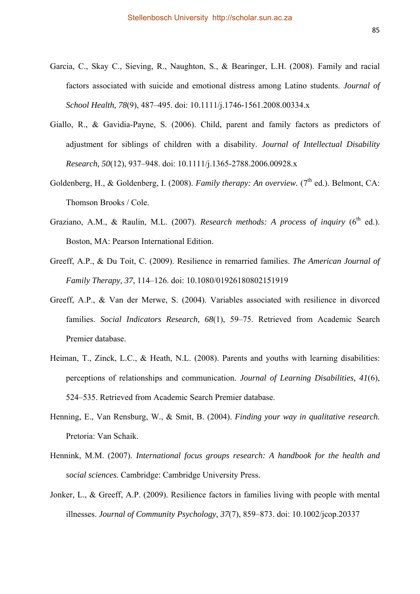- Garcia, C., Skay C., Sieving, R., Naughton, S., & Bearinger, L.H. (2008). Family and racial factors associated with suicide and emotional distress among Latino students. *Journal of School Health, 78*(9), 487–495. doi: 10.1111/j.1746-1561.2008.00334.x
- Giallo, R., & Gavidia-Payne, S. (2006). Child, parent and family factors as predictors of adjustment for siblings of children with a disability. *Journal of Intellectual Disability Research, 50*(12), 937–948. doi: 10.1111/j.1365-2788.2006.00928.x
- Goldenberg, H., & Goldenberg, I. (2008). *Family therapy: An overview.* (7<sup>th</sup> ed.). Belmont, CA: Thomson Brooks / Cole.
- Graziano, A.M., & Raulin, M.L. (2007). *Research methods: A process of inquirv* (6<sup>th</sup> ed.). Boston, MA: Pearson International Edition.
- Greeff, A.P., & Du Toit, C. (2009). Resilience in remarried families. *The American Journal of Family Therapy, 37*, 114–126. doi: 10.1080/01926180802151919
- Greeff, A.P., & Van der Merwe, S. (2004). Variables associated with resilience in divorced families. *Social Indicators Research, 68*(1), 59–75. Retrieved from Academic Search Premier database.
- Heiman, T., Zinck, L.C., & Heath, N.L. (2008). Parents and youths with learning disabilities: perceptions of relationships and communication. *Journal of Learning Disabilities, 41*(6), 524–535. Retrieved from Academic Search Premier database.
- Henning, E., Van Rensburg, W., & Smit, B. (2004). *Finding your way in qualitative research.*  Pretoria: Van Schaik.
- Hennink, M.M. (2007). *International focus groups research: A handbook for the health and social sciences.* Cambridge: Cambridge University Press.
- Jonker, L., & Greeff, A.P. (2009). Resilience factors in families living with people with mental illnesses. *Journal of Community Psychology, 37*(7), 859–873. doi: 10.1002/jcop.20337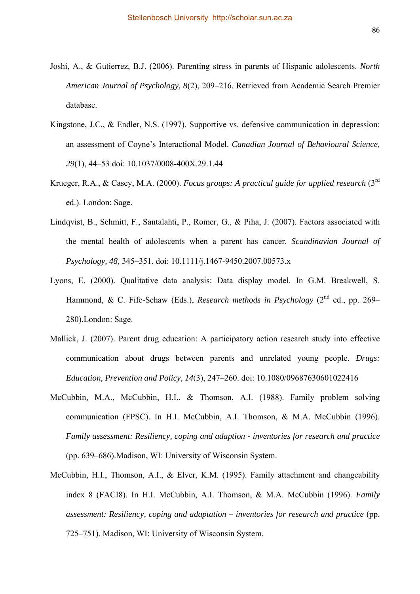- Joshi, A., & Gutierrez, B.J. (2006). Parenting stress in parents of Hispanic adolescents. *North American Journal of Psychology, 8*(2), 209–216. Retrieved from Academic Search Premier database.
- Kingstone, J.C., & Endler, N.S. (1997). Supportive vs. defensive communication in depression: an assessment of Coyne's Interactional Model. *Canadian Journal of Behavioural Science, 29*(1), 44–53 doi: 10.1037/0008-400X.29.1.44
- Krueger, R.A., & Casey, M.A. (2000). *Focus groups: A practical guide for applied research* (3rd ed.). London: Sage.
- Lindqvist, B., Schmitt, F., Santalahti, P., Romer, G., & Piha, J. (2007). Factors associated with the mental health of adolescents when a parent has cancer. *Scandinavian Journal of Psychology, 48,* 345–351. doi: 10.1111/j.1467-9450.2007.00573.x
- Lyons, E. (2000). Qualitative data analysis: Data display model. In G.M. Breakwell, S. Hammond, & C. Fife-Schaw (Eds.), *Research methods in Psychology* (2<sup>nd</sup> ed., pp. 269– 280).London: Sage.
- Mallick, J. (2007). Parent drug education: A participatory action research study into effective communication about drugs between parents and unrelated young people. *Drugs: Education, Prevention and Policy, 14*(3), 247–260. doi: 10.1080/09687630601022416
- McCubbin, M.A., McCubbin, H.I., & Thomson, A.I. (1988). Family problem solving communication (FPSC). In H.I. McCubbin, A.I. Thomson, & M.A. McCubbin (1996). *Family assessment: Resiliency, coping and adaption - inventories for research and practice*  (pp. 639–686).Madison, WI: University of Wisconsin System.
- McCubbin, H.I., Thomson, A.I., & Elver, K.M. (1995). Family attachment and changeability index 8 (FACI8). In H.I. McCubbin, A.I. Thomson, & M.A. McCubbin (1996). *Family assessment: Resiliency, coping and adaptation – inventories for research and practice* (pp. 725–751)*.* Madison, WI: University of Wisconsin System.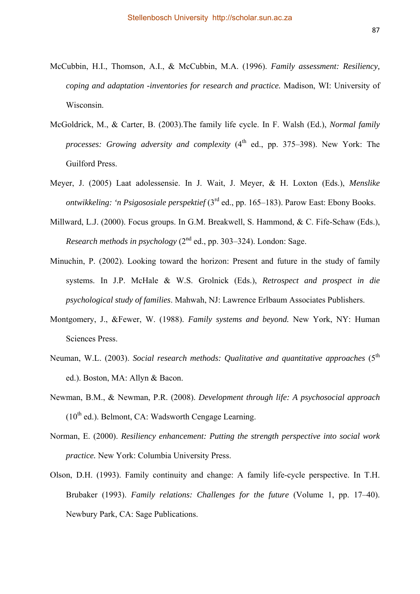- McCubbin, H.I., Thomson, A.I., & McCubbin, M.A. (1996). *Family assessment: Resiliency, coping and adaptation -inventories for research and practice.* Madison, WI: University of Wisconsin.
- McGoldrick, M., & Carter, B. (2003).The family life cycle. In F. Walsh (Ed.), *Normal family processes: Growing adversity and complexity* (4<sup>th</sup> ed., pp. 375–398). New York: The Guilford Press.
- Meyer, J. (2005) Laat adolessensie. In J. Wait, J. Meyer, & H. Loxton (Eds.), *Menslike ontwikkeling: 'n Psigososiale perspektief* (3<sup>rd</sup> ed., pp. 165–183). Parow East: Ebony Books.
- Millward, L.J. (2000). Focus groups. In G.M. Breakwell, S. Hammond, & C. Fife-Schaw (Eds.), *Research methods in psychology*  $(2^{nd}$  ed., pp. 303–324). London: Sage.
- Minuchin, P. (2002). Looking toward the horizon: Present and future in the study of family systems. In J.P. McHale & W.S. Grolnick (Eds.), *Retrospect and prospect in die psychological study of families*. Mahwah, NJ: Lawrence Erlbaum Associates Publishers.
- Montgomery, J., &Fewer, W. (1988). *Family systems and beyond.* New York, NY: Human Sciences Press.
- Neuman, W.L. (2003). *Social research methods: Qualitative and quantitative approaches* (5<sup>th</sup> ed.). Boston, MA: Allyn & Bacon.
- Newman, B.M., & Newman, P.R. (2008). *Development through life: A psychosocial approach*   $(10^{th}$  ed.). Belmont, CA: Wadsworth Cengage Learning.
- Norman, E. (2000). *Resiliency enhancement: Putting the strength perspective into social work practice.* New York: Columbia University Press.
- Olson, D.H. (1993). Family continuity and change: A family life-cycle perspective. In T.H. Brubaker (1993). *Family relations: Challenges for the future* (Volume 1, pp. 17–40). Newbury Park, CA: Sage Publications.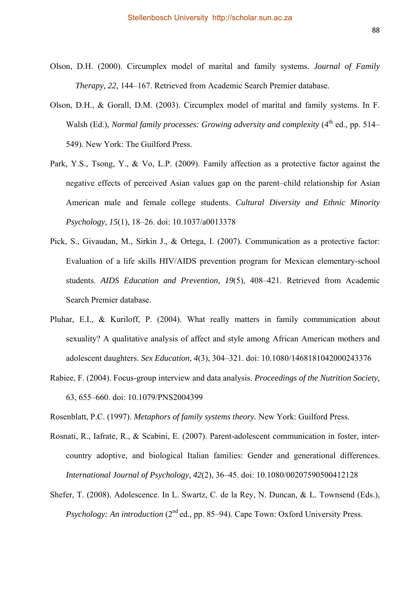- Olson, D.H. (2000). Circumplex model of marital and family systems. *Journal of Family Therapy, 22,* 144–167. Retrieved from Academic Search Premier database.
- Olson, D.H., & Gorall, D.M. (2003). Circumplex model of marital and family systems. In F. Walsh (Ed.), *Normal family processes: Growing adversity and complexity* (4<sup>th</sup> ed., pp. 514– 549). New York: The Guilford Press.
- Park, Y.S., Tsong, Y., & Vo, L.P. (2009). Family affection as a protective factor against the negative effects of perceived Asian values gap on the parent–child relationship for Asian American male and female college students. *Cultural Diversity and Ethnic Minority Psychology, 15*(1), 18–26. doi: 10.1037/a0013378
- Pick, S., Givaudan, M., Sirkin J., & Ortega, I. (2007). Communication as a protective factor: Evaluation of a life skills HIV/AIDS prevention program for Mexican elementary-school students. *AIDS Education and Prevention, 19*(5), 408–421. Retrieved from Academic Search Premier database.
- Pluhar, E.I., & Kuriloff, P. (2004). What really matters in family communication about sexuality? A qualitative analysis of affect and style among African American mothers and adolescent daughters. *Sex Education, 4*(3), 304–321. doi: 10.1080/1468181042000243376
- Rabiee, F. (2004). Focus-group interview and data analysis. *Proceedings of the Nutrition Society,*  63, 655–660. doi: 10.1079/PNS2004399

Rosenblatt, P.C. (1997). *Metaphors of family systems theory.* New York: Guilford Press.

- Rosnati, R., Iafrate, R., & Scabini, E. (2007). Parent-adolescent communication in foster, intercountry adoptive, and biological Italian families: Gender and generational differences. *International Journal of Psychology, 42*(2), 36–45. doi: 10.1080/00207590500412128
- Shefer, T. (2008). Adolescence. In L. Swartz, C. de la Rey, N. Duncan, & L. Townsend (Eds.), *Psychology: An introduction* (2<sup>nd</sup> ed., pp. 85–94). Cape Town: Oxford University Press.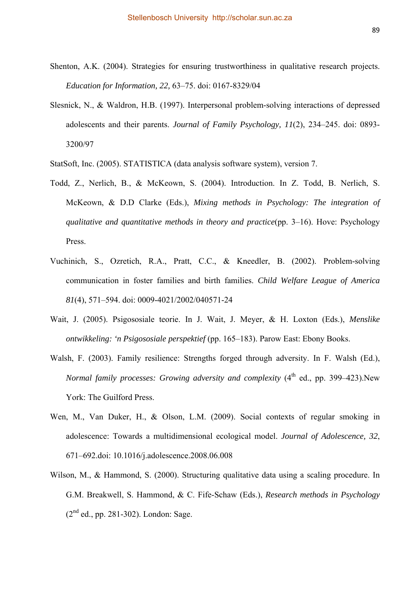- Shenton, A.K. (2004). Strategies for ensuring trustworthiness in qualitative research projects. *Education for Information, 22,* 63–75. doi: 0167-8329/04
- Slesnick, N., & Waldron, H.B. (1997). Interpersonal problem-solving interactions of depressed adolescents and their parents. *Journal of Family Psychology, 11*(2), 234–245. doi: 0893- 3200/97
- StatSoft, Inc. (2005). STATISTICA (data analysis software system), version 7.
- Todd, Z., Nerlich, B., & McKeown, S. (2004). Introduction. In Z. Todd, B. Nerlich, S. McKeown, & D.D Clarke (Eds.), *Mixing methods in Psychology: The integration of qualitative and quantitative methods in theory and practice*(pp. 3–16). Hove: Psychology Press.
- Vuchinich, S., Ozretich, R.A., Pratt, C.C., & Kneedler, B. (2002). Problem-solving communication in foster families and birth families. *Child Welfare League of America 81*(4), 571–594. doi: 0009-4021/2002/040571-24
- Wait, J. (2005). Psigososiale teorie. In J. Wait, J. Meyer, & H. Loxton (Eds.), *Menslike ontwikkeling: 'n Psigososiale perspektief* (pp. 165–183). Parow East: Ebony Books.
- Walsh, F. (2003). Family resilience: Strengths forged through adversity. In F. Walsh (Ed.), *Normal family processes: Growing adversity and complexity* (4<sup>th</sup> ed., pp. 399–423).New York: The Guilford Press.
- Wen, M., Van Duker, H., & Olson, L.M. (2009). Social contexts of regular smoking in adolescence: Towards a multidimensional ecological model. *Journal of Adolescence, 32*, 671–692.doi: 10.1016/j.adolescence.2008.06.008
- Wilson, M., & Hammond, S. (2000). Structuring qualitative data using a scaling procedure. In G.M. Breakwell, S. Hammond, & C. Fife-Schaw (Eds.), *Research methods in Psychology*   $(2^{nd}$  ed., pp. 281-302). London: Sage.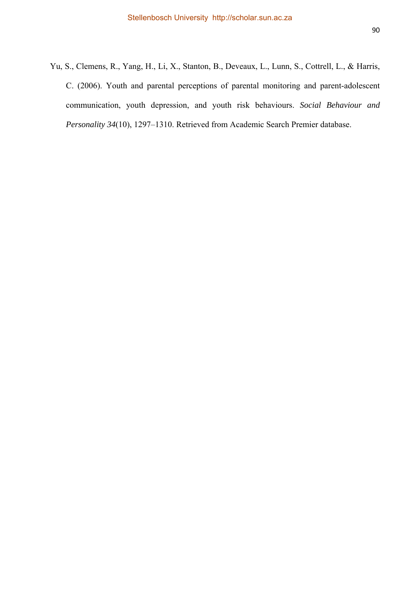Yu, S., Clemens, R., Yang, H., Li, X., Stanton, B., Deveaux, L., Lunn, S., Cottrell, L., & Harris, C. (2006). Youth and parental perceptions of parental monitoring and parent-adolescent communication, youth depression, and youth risk behaviours. *Social Behaviour and Personality 34*(10), 1297–1310. Retrieved from Academic Search Premier database.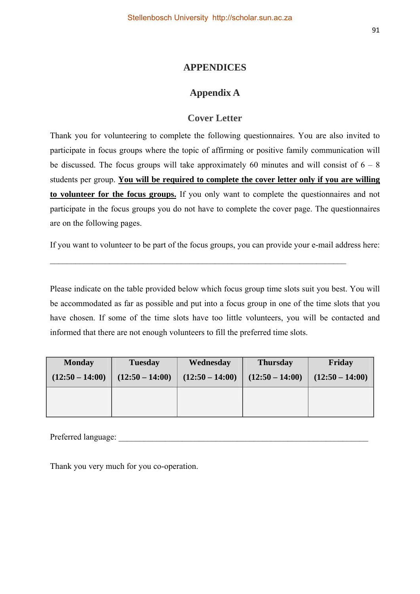# **APPENDICES**

# **Appendix A**

# **Cover Letter**

Thank you for volunteering to complete the following questionnaires. You are also invited to participate in focus groups where the topic of affirming or positive family communication will be discussed. The focus groups will take approximately 60 minutes and will consist of  $6 - 8$ students per group. **You will be required to complete the cover letter only if you are willing to volunteer for the focus groups.** If you only want to complete the questionnaires and not participate in the focus groups you do not have to complete the cover page. The questionnaires are on the following pages.

If you want to volunteer to be part of the focus groups, you can provide your e-mail address here:

 $\_$  , and the contribution of the contribution of  $\mathcal{L}_\mathcal{A}$  , and the contribution of  $\mathcal{L}_\mathcal{A}$ 

Please indicate on the table provided below which focus group time slots suit you best. You will be accommodated as far as possible and put into a focus group in one of the time slots that you have chosen. If some of the time slots have too little volunteers, you will be contacted and informed that there are not enough volunteers to fill the preferred time slots.

| <b>Monday</b>     | <b>Tuesday</b>    | Wednesday         | <b>Thursday</b>   | Friday            |
|-------------------|-------------------|-------------------|-------------------|-------------------|
| $(12:50 - 14:00)$ | $(12:50 - 14:00)$ | $(12:50 - 14:00)$ | $(12:50 - 14:00)$ | $(12:50 - 14:00)$ |
|                   |                   |                   |                   |                   |
|                   |                   |                   |                   |                   |

Preferred language:

Thank you very much for you co-operation.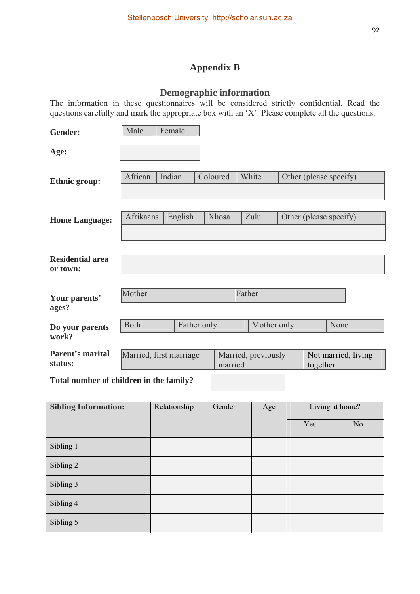# **Appendix B**

# **Demographic information**

The information in these questionnaires will be considered strictly confidential. Read the questions carefully and mark the appropriate box with an 'X'. Please complete all the questions.

| <b>Gender:</b>                          | Male                    | Female  |             |          |                     |          |                        |
|-----------------------------------------|-------------------------|---------|-------------|----------|---------------------|----------|------------------------|
| Age:                                    |                         |         |             |          |                     |          |                        |
| <b>Ethnic group:</b>                    | African                 | Indian  |             | Coloured | White               |          | Other (please specify) |
| <b>Home Language:</b>                   | Afrikaans               | English |             | Xhosa    | Zulu                |          | Other (please specify) |
| <b>Residential area</b><br>or town:     |                         |         |             |          |                     |          |                        |
| Your parents'<br>ages?                  | Mother                  |         |             |          | Father              |          |                        |
| Do your parents<br>work?                | <b>Both</b>             |         | Father only |          | Mother only         |          | None                   |
| <b>Parent's marital</b><br>status:      | Married, first marriage |         |             | married  | Married, previously | together | Not married, living    |
| Total number of children in the family? |                         |         |             |          |                     |          |                        |

| <b>Sibling Information:</b> | Relationship | Gender | Age | Living at home? |    |
|-----------------------------|--------------|--------|-----|-----------------|----|
|                             |              |        |     | Yes             | No |
| Sibling 1                   |              |        |     |                 |    |
| Sibling 2                   |              |        |     |                 |    |
| Sibling 3                   |              |        |     |                 |    |
| Sibling 4                   |              |        |     |                 |    |
| Sibling 5                   |              |        |     |                 |    |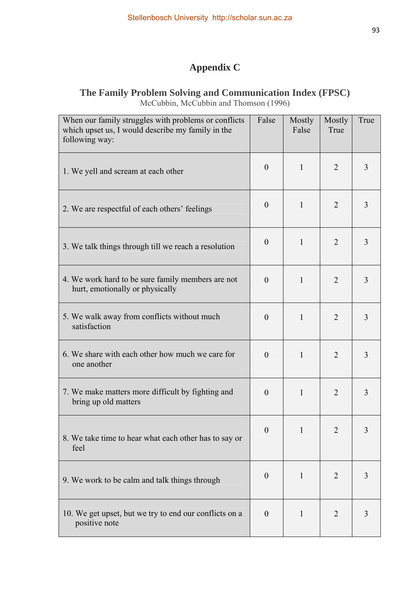# **Appendix C**

# **The Family Problem Solving and Communication Index (FPSC)**  McCubbin, McCubbin and Thomson (1996)

| When our family struggles with problems or conflicts<br>which upset us, I would describe my family in the<br>following way: | False            | Mostly<br>False | Mostly<br>True | True |
|-----------------------------------------------------------------------------------------------------------------------------|------------------|-----------------|----------------|------|
| 1. We yell and scream at each other                                                                                         | $\theta$         | 1               | $\overline{2}$ | 3    |
| 2. We are respectful of each others' feelings                                                                               | $\boldsymbol{0}$ | 1               | 2              | 3    |
| 3. We talk things through till we reach a resolution                                                                        | $\boldsymbol{0}$ | 1               | $\overline{2}$ | 3    |
| 4. We work hard to be sure family members are not<br>hurt, emotionally or physically                                        | $\theta$         | 1               | $\overline{2}$ | 3    |
| 5. We walk away from conflicts without much<br>satisfaction                                                                 | $\boldsymbol{0}$ | $\mathbf{1}$    | $\overline{2}$ | 3    |
| 6. We share with each other how much we care for<br>one another                                                             | $\theta$         | 1               | $\overline{2}$ | 3    |
| 7. We make matters more difficult by fighting and<br>bring up old matters                                                   | $\overline{0}$   | $\mathbf{1}$    | $\overline{2}$ | 3    |
| 8. We take time to hear what each other has to say or<br>feel                                                               | $\mathbf{0}$     | $\mathbf{1}$    | 2              | 3    |
| 9. We work to be calm and talk things through                                                                               | $\theta$         | 1               | $\overline{2}$ | 3    |
| 10. We get upset, but we try to end our conflicts on a<br>positive note                                                     | $\theta$         | 1               | $\overline{2}$ | 3    |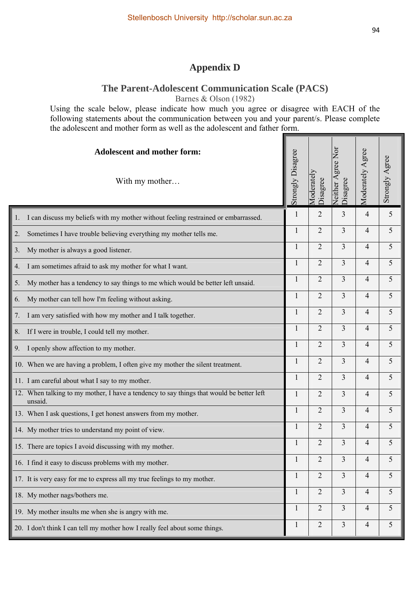# **Appendix D**

### **The Parent-Adolescent Communication Scale (PACS)**

Barnes & Olson (1982)

Using the scale below, please indicate how much you agree or disagree with EACH of the following statements about the communication between you and your parent/s. Please complete the adolescent and mother form as well as the adolescent and father form.

| <b>Adolescent and mother form:</b><br>With my mother                                                | Strongly Disagree | Moderatel<br>Disagree | Neither Agree Nor<br>Disagree | Moderately Agree | Strongly Agree |
|-----------------------------------------------------------------------------------------------------|-------------------|-----------------------|-------------------------------|------------------|----------------|
| I can discuss my beliefs with my mother without feeling restrained or embarrassed.<br>1.            | 1                 | $\overline{2}$        | 3                             | 4                | 5              |
| Sometimes I have trouble believing everything my mother tells me.<br>2.                             | $\mathbf{1}$      | $\overline{2}$        | $\overline{3}$                | $\overline{4}$   | 5              |
| 3. My mother is always a good listener.                                                             | 1                 | $\overline{2}$        | $\overline{3}$                | 4                | 5              |
| 4. I am sometimes afraid to ask my mother for what I want.                                          | 1                 | $\overline{2}$        | $\overline{3}$                | 4                | 5              |
| My mother has a tendency to say things to me which would be better left unsaid.<br>5.               | 1                 | $\overline{2}$        | $\overline{3}$                | $\overline{4}$   | 5              |
| 6. My mother can tell how I'm feeling without asking.                                               | 1                 | $\overline{2}$        | 3                             | $\overline{4}$   | 5              |
| 7. I am very satisfied with how my mother and I talk together.                                      | 1                 | $\overline{2}$        | $\overline{3}$                | $\overline{4}$   | 5              |
| 8. If I were in trouble, I could tell my mother.                                                    | 1                 | $\overline{2}$        | 3                             | $\overline{4}$   | 5              |
| 9. I openly show affection to my mother.                                                            | $\mathbf{1}$      | $\overline{2}$        | 3                             | $\overline{4}$   | 5              |
| 10. When we are having a problem, I often give my mother the silent treatment.                      | 1                 | $\overline{2}$        | 3                             | $\overline{4}$   | 5              |
| 11. I am careful about what I say to my mother.                                                     | 1                 | $\overline{2}$        | 3                             | 4                | 5              |
| 12. When talking to my mother, I have a tendency to say things that would be better left<br>unsaid. | 1                 | $\overline{2}$        | $\overline{3}$                | 4                | 5              |
| 13. When I ask questions, I get honest answers from my mother.                                      | 1                 | $\overline{2}$        | 3                             | $\overline{4}$   | 5              |
| 14. My mother tries to understand my point of view.                                                 | $\mathbf{1}$      | $\overline{2}$        | 3                             | $\overline{4}$   | 5              |
| 15. There are topics I avoid discussing with my mother.                                             | $\mathbf{1}$      | $\overline{2}$        | 3                             | 4                | 5              |
| 16. I find it easy to discuss problems with my mother.                                              | 1                 | $\overline{2}$        | $\overline{\mathbf{3}}$       | 4                | 5              |
| 17. It is very easy for me to express all my true feelings to my mother.                            | 1                 | 2                     | 3                             | $\overline{4}$   | 5              |
| 18. My mother nags/bothers me.                                                                      | $\mathbf{1}$      | $\overline{2}$        | 3                             | $\overline{4}$   | 5              |
| 19. My mother insults me when she is angry with me.                                                 | 1                 | $\overline{2}$        | 3                             | 4                | 5              |
| 20. I don't think I can tell my mother how I really feel about some things.                         | 1                 | $\mathbf{2}$          | 3                             | $\overline{4}$   | 5              |

٦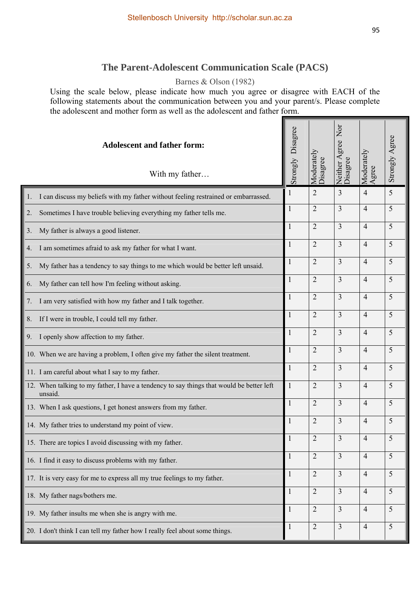# **The Parent-Adolescent Communication Scale (PACS)**

## Barnes & Olson (1982)

Using the scale below, please indicate how much you agree or disagree with EACH of the following statements about the communication between you and your parent/s. Please complete the adolescent and mother form as well as the adolescent and father form.

| <b>Adolescent and father form:</b><br>With my father                                                | Strongly Disagree | Moderately<br>Disagree | Nor<br>Neither Agree 1<br>Disagree | Moderately<br>Agree | Strongly Agree |
|-----------------------------------------------------------------------------------------------------|-------------------|------------------------|------------------------------------|---------------------|----------------|
| I can discuss my beliefs with my father without feeling restrained or embarrassed.<br>1.            | 1                 | $\overline{2}$         | 3                                  | 4                   | 5              |
| Sometimes I have trouble believing everything my father tells me.<br>2.                             | 1                 | $\overline{2}$         | 3                                  | 4                   | 5              |
| My father is always a good listener.<br>3.                                                          | 1                 | $\overline{2}$         | 3                                  | 4                   | 5              |
| I am sometimes afraid to ask my father for what I want.<br>4.                                       | 1                 | $\overline{2}$         | 3                                  | 4                   | 5              |
| My father has a tendency to say things to me which would be better left unsaid.<br>5.               |                   | $\overline{2}$         | 3                                  | $\overline{4}$      | 5              |
| My father can tell how I'm feeling without asking.<br>6.                                            |                   | $\overline{2}$         | 3                                  | 4                   | 5              |
| I am very satisfied with how my father and I talk together.<br>7.                                   | 1                 | $\overline{2}$         | 3                                  | 4                   | 5              |
| If I were in trouble, I could tell my father.<br>8.                                                 | 1                 | $\overline{2}$         | 3                                  | $\overline{4}$      | 5              |
| I openly show affection to my father.<br>9.                                                         | $\mathbf{1}$      | $\overline{2}$         | 3                                  | 4                   | 5              |
| 10. When we are having a problem, I often give my father the silent treatment.                      | 1                 | $\overline{2}$         | 3                                  | $\overline{4}$      | 5              |
| 11. I am careful about what I say to my father.                                                     |                   | $\overline{2}$         | 3                                  | $\overline{4}$      | 5              |
| 12. When talking to my father, I have a tendency to say things that would be better left<br>unsaid. | 1                 | $\overline{2}$         | 3                                  | 4                   | 5              |
| 13. When I ask questions, I get honest answers from my father.                                      | $\mathbf{1}$      | $\overline{2}$         | 3                                  | 4                   | 5              |
| 14. My father tries to understand my point of view.                                                 | $\mathbf{1}$      | $\overline{2}$         | 3                                  | 4                   | 5              |
| 15. There are topics I avoid discussing with my father.                                             |                   | $\overline{c}$         | $\mathfrak{Z}$                     | 4                   | 5              |
| 16. I find it easy to discuss problems with my father.                                              |                   | $\overline{2}$         | $\overline{3}$                     | $\overline{4}$      | 5              |
| 17. It is very easy for me to express all my true feelings to my father.                            |                   | $\overline{2}$         | $\overline{3}$                     | $\overline{4}$      | 5              |
| 18. My father nags/bothers me.                                                                      |                   | $\overline{2}$         | 3                                  | $\overline{4}$      | 5              |
| 19. My father insults me when she is angry with me.                                                 | $\mathbf{1}$      | $\overline{2}$         | $\overline{3}$                     | $\overline{4}$      | 5              |
| 20. I don't think I can tell my father how I really feel about some things.                         | $\mathbf{1}$      | $\overline{2}$         | $\overline{3}$                     | $\overline{4}$      | 5              |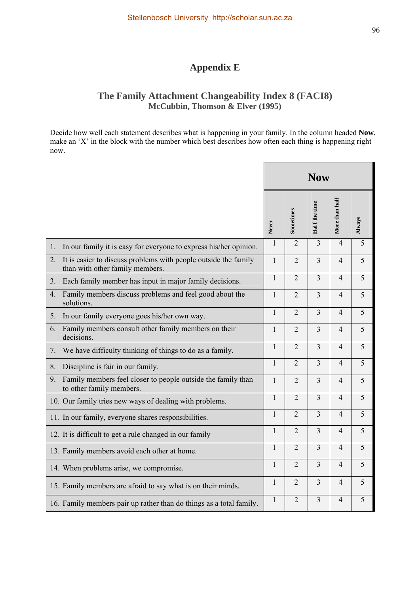# **Appendix E**

# **The Family Attachment Changeability Index 8 (FACI8) McCubbin, Thomson & Elver (1995)**

Decide how well each statement describes what is happening in your family. In the column headed **Now**, make an 'X' in the block with the number which best describes how often each thing is happening right now.

|                |                                                                                                    | <b>Now</b>   |                |                |                |        |
|----------------|----------------------------------------------------------------------------------------------------|--------------|----------------|----------------|----------------|--------|
|                |                                                                                                    | Never        | Sometimes      | Half the time  | More than half | Always |
| 1.             | In our family it is easy for everyone to express his/her opinion.                                  | 1            | $\overline{2}$ | 3              | $\overline{4}$ | 5      |
| 2.             | It is easier to discuss problems with people outside the family<br>than with other family members. | 1            | $\overline{2}$ | $\overline{3}$ | 4              | 5      |
| 3 <sub>1</sub> | Each family member has input in major family decisions.                                            | 1            | $\overline{2}$ | 3              | $\overline{4}$ | 5      |
| 4.             | Family members discuss problems and feel good about the<br>solutions.                              | 1            | $\overline{2}$ | 3              | 4              | 5      |
| 5.             | In our family everyone goes his/her own way.                                                       | 1            | $\overline{2}$ | $\overline{3}$ | $\overline{4}$ | 5      |
| 6.             | Family members consult other family members on their<br>decisions.                                 | $\mathbf{1}$ | $\overline{2}$ | $\overline{3}$ | $\overline{4}$ | 5      |
| 7.             | We have difficulty thinking of things to do as a family.                                           | $\mathbf{1}$ | $\overline{2}$ | $\overline{3}$ | $\overline{4}$ | 5      |
| 8.             | Discipline is fair in our family.                                                                  | 1            | $\overline{2}$ | 3              | $\overline{4}$ | 5      |
| 9.             | Family members feel closer to people outside the family than<br>to other family members.           | $\mathbf{1}$ | $\overline{2}$ | $\overline{3}$ | $\overline{4}$ | 5      |
|                | 10. Our family tries new ways of dealing with problems.                                            | $\mathbf{1}$ | $\overline{2}$ | $\overline{3}$ | $\overline{4}$ | 5      |
|                | 11. In our family, everyone shares responsibilities.                                               | $\mathbf{1}$ | $\overline{2}$ | $\overline{3}$ | $\overline{4}$ | 5      |
|                | 12. It is difficult to get a rule changed in our family                                            | 1            | $\overline{2}$ | $\overline{3}$ | $\overline{4}$ | 5      |
|                | 13. Family members avoid each other at home.                                                       | 1            | $\overline{2}$ | $\overline{3}$ | $\overline{4}$ | 5      |
|                | 14. When problems arise, we compromise.                                                            | $\mathbf{1}$ | $\overline{2}$ | $\overline{3}$ | $\overline{4}$ | 5      |
|                | 15. Family members are afraid to say what is on their minds.                                       | 1            | $\overline{2}$ | $\overline{3}$ | $\overline{4}$ | 5      |
|                | 16. Family members pair up rather than do things as a total family.                                | 1            | $\overline{2}$ | 3              | $\overline{4}$ | 5      |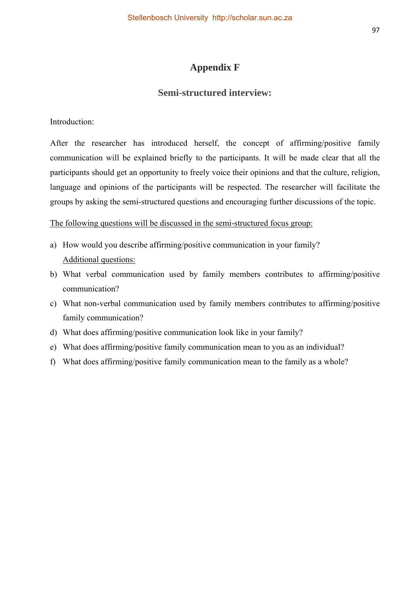# **Appendix F**

### **Semi-structured interview:**

Introduction:

After the researcher has introduced herself, the concept of affirming/positive family communication will be explained briefly to the participants. It will be made clear that all the participants should get an opportunity to freely voice their opinions and that the culture, religion, language and opinions of the participants will be respected. The researcher will facilitate the groups by asking the semi-structured questions and encouraging further discussions of the topic.

The following questions will be discussed in the semi-structured focus group:

- a) How would you describe affirming/positive communication in your family? Additional questions:
- b) What verbal communication used by family members contributes to affirming/positive communication?
- c) What non-verbal communication used by family members contributes to affirming/positive family communication?
- d) What does affirming/positive communication look like in your family?
- e) What does affirming/positive family communication mean to you as an individual?
- f) What does affirming/positive family communication mean to the family as a whole?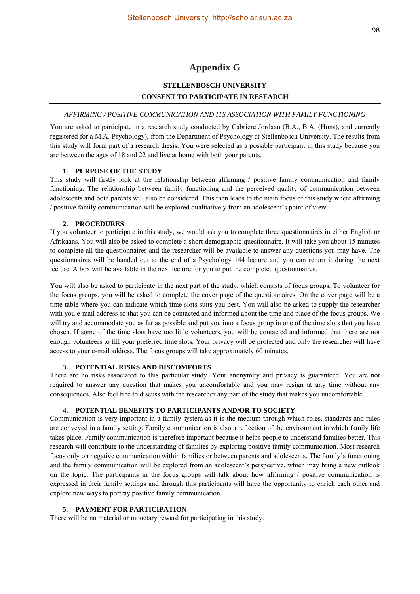### **Appendix G**

### **STELLENBOSCH UNIVERSITY CONSENT TO PARTICIPATE IN RESEARCH**

#### *AFFIRMING / POSITIVE COMMUNICATION AND ITS ASSOCIATION WITH FAMILY FUNCTIONING*

You are asked to participate in a research study conducted by Cabrière Jordaan (B.A., B.A. (Hons), and currently registered for a M.A. Psychology), from the Department of Psychology at Stellenbosch University. The results from this study will form part of a research thesis. You were selected as a possible participant in this study because you are between the ages of 18 and 22 and live at home with both your parents.

#### **1. PURPOSE OF THE STUDY**

This study will firstly look at the relationship between affirming / positive family communication and family functioning. The relationship between family functioning and the perceived quality of communication between adolescents and both parents will also be considered. This then leads to the main focus of this study where affirming / positive family communication will be explored qualitatively from an adolescent's point of view.

#### **2. PROCEDURES**

If you volunteer to participate in this study, we would ask you to complete three questionnaires in either English or Afrikaans. You will also be asked to complete a short demographic questionnaire. It will take you about 15 minutes to complete all the questionnaires and the researcher will be available to answer any questions you may have. The questionnaires will be handed out at the end of a Psychology 144 lecture and you can return it during the next lecture. A box will be available in the next lecture for you to put the completed questionnaires.

You will also be asked to participate in the next part of the study, which consists of focus groups. To volunteer for the focus groups, you will be asked to complete the cover page of the questionnaires. On the cover page will be a time table where you can indicate which time slots suits you best. You will also be asked to supply the researcher with you e-mail address so that you can be contacted and informed about the time and place of the focus groups. We will try and accommodate you as far as possible and put you into a focus group in one of the time slots that you have chosen. If some of the time slots have too little volunteers, you will be contacted and informed that there are not enough volunteers to fill your preferred time slots. Your privacy will be protected and only the researcher will have access to your e-mail address. The focus groups will take approximately 60 minutes.

#### **3. POTENTIAL RISKS AND DISCOMFORTS**

There are no risks associated to this particular study. Your anonymity and privacy is guaranteed. You are not required to answer any question that makes you uncomfortable and you may resign at any time without any consequences. Also feel free to discuss with the researcher any part of the study that makes you uncomfortable.

#### **4. POTENTIAL BENEFITS TO PARTICIPANTS AND/OR TO SOCIETY**

Communication is very important in a family system as it is the medium through which roles, standards and rules are conveyed in a family setting. Family communication is also a reflection of the environment in which family life takes place. Family communication is therefore important because it helps people to understand families better. This research will contribute to the understanding of families by exploring positive family communication. Most research focus only on negative communication within families or between parents and adolescents. The family's functioning and the family communication will be explored from an adolescent's perspective, which may bring a new outlook on the topic. The participants in the focus groups will talk about how affirming / positive communication is expressed in their family settings and through this participants will have the opportunity to enrich each other and explore new ways to portray positive family communication.

#### **5. PAYMENT FOR PARTICIPATION**

There will be no material or monetary reward for participating in this study.